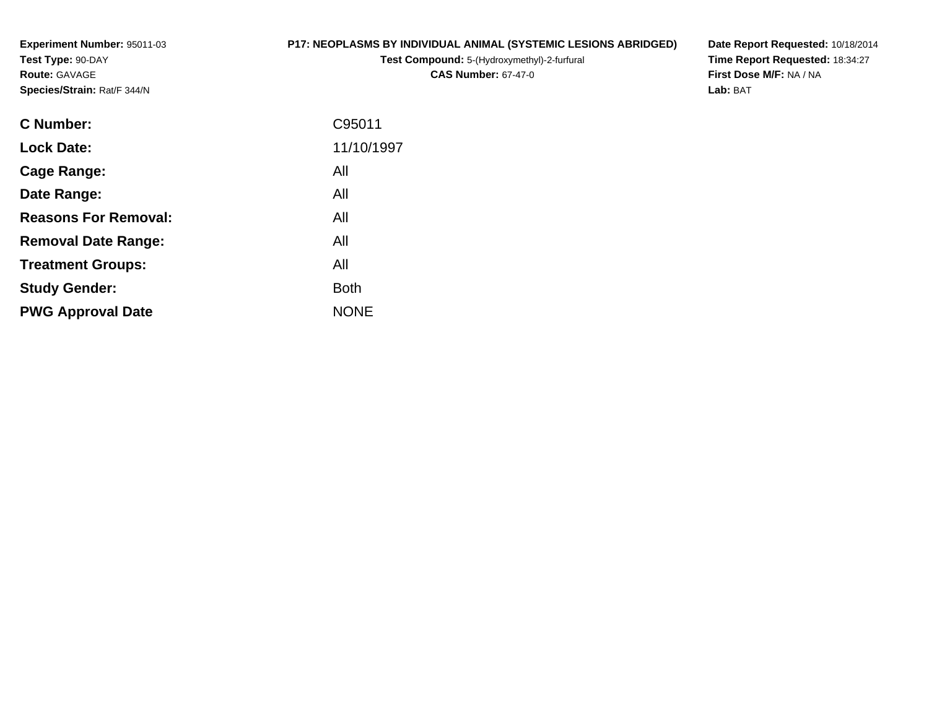**Experiment Number:** 95011-03**Test Type:** 90-DAY**Route:** GAVAGE**Species/Strain:** Rat/F 344/N

#### **P17: NEOPLASMS BY INDIVIDUAL ANIMAL (SYSTEMIC LESIONS ABRIDGED)**

**Test Compound:** 5-(Hydroxymethyl)-2-furfural **CAS Number:** 67-47-0

**Date Report Requested:** 10/18/2014 **Time Report Requested:** 18:34:27**First Dose M/F:** NA / NA**Lab:** BAT

| C Number:                   | C95011      |
|-----------------------------|-------------|
| <b>Lock Date:</b>           | 11/10/1997  |
| Cage Range:                 | All         |
| Date Range:                 | All         |
| <b>Reasons For Removal:</b> | All         |
| <b>Removal Date Range:</b>  | All         |
| <b>Treatment Groups:</b>    | All         |
| <b>Study Gender:</b>        | <b>Both</b> |
| <b>PWG Approval Date</b>    | <b>NONE</b> |
|                             |             |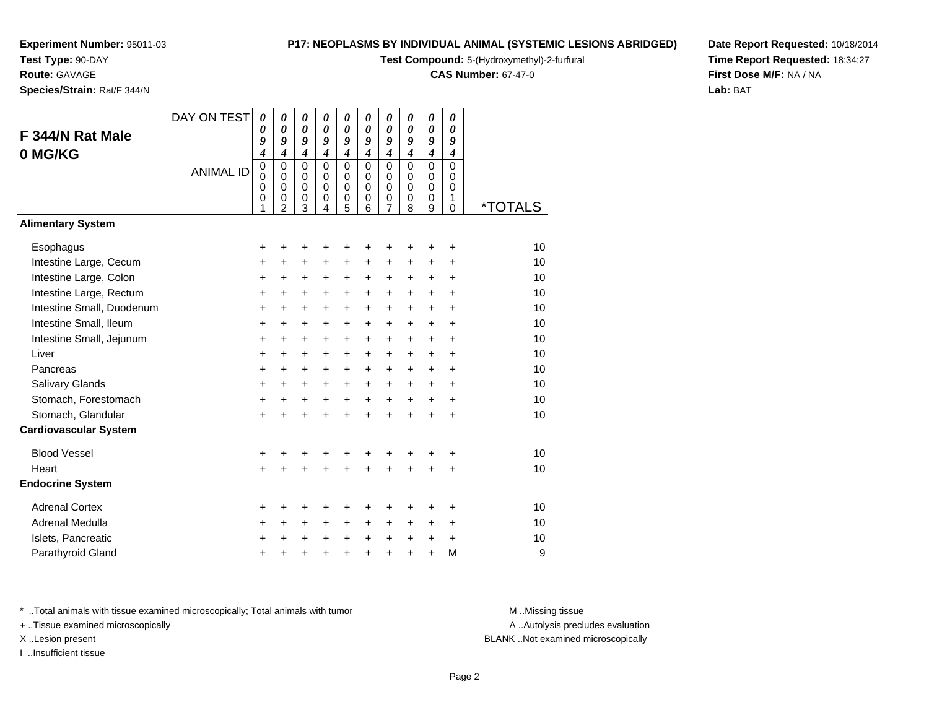**Test Type:** 90-DAY

**Route:** GAVAGE

**Species/Strain:** Rat/F 344/N

#### **P17: NEOPLASMS BY INDIVIDUAL ANIMAL (SYSTEMIC LESIONS ABRIDGED)**

**Test Compound:** 5-(Hydroxymethyl)-2-furfural

**CAS Number:** 67-47-0

**Date Report Requested:** 10/18/2014**Time Report Requested:** 18:34:27**First Dose M/F:** NA / NA**Lab:** BAT

|                              | DAY ON TEST      | $\boldsymbol{\theta}$ | $\boldsymbol{\theta}$      | $\boldsymbol{\theta}$      | $\boldsymbol{\theta}$      | 0                          | 0                          | 0                          | $\boldsymbol{\theta}$ | 0                          | $\boldsymbol{\theta}$   |                       |
|------------------------------|------------------|-----------------------|----------------------------|----------------------------|----------------------------|----------------------------|----------------------------|----------------------------|-----------------------|----------------------------|-------------------------|-----------------------|
| F 344/N Rat Male             |                  | 0<br>9                | $\boldsymbol{\theta}$<br>9 | $\boldsymbol{\theta}$<br>9 | $\boldsymbol{\theta}$<br>9 | 0<br>9                     | $\boldsymbol{\theta}$<br>9 | $\boldsymbol{\theta}$<br>9 | 0<br>9                | $\boldsymbol{\theta}$<br>9 | 0<br>9                  |                       |
| 0 MG/KG                      |                  | 4                     | $\boldsymbol{4}$           | $\boldsymbol{4}$           | $\boldsymbol{4}$           | 4                          | $\boldsymbol{4}$           | $\boldsymbol{4}$           | 4                     | 4                          | $\boldsymbol{4}$        |                       |
|                              | <b>ANIMAL ID</b> | 0                     | $\mathbf 0$                | $\mathbf 0$                | $\mathbf 0$                | $\mathbf 0$                | $\mathbf 0$                | $\mathbf 0$                | 0                     | $\mathbf 0$                | $\mathbf 0$             |                       |
|                              |                  | $\mathbf 0$<br>0      | $\mathbf 0$<br>$\mathbf 0$ | $\mathbf 0$<br>$\mathbf 0$ | $\mathbf 0$<br>$\Omega$    | $\mathbf 0$<br>$\mathbf 0$ | $\Omega$<br>$\Omega$       | $\mathbf 0$<br>$\mathbf 0$ | $\Omega$<br>$\Omega$  | $\mathbf 0$<br>$\mathbf 0$ | $\mathbf 0$<br>$\Omega$ |                       |
|                              |                  | 0                     | 0                          | 0                          | 0                          | 0                          | 0                          | 0                          | 0                     | 0                          | 1                       |                       |
| <b>Alimentary System</b>     |                  | 1                     | $\overline{2}$             | 3                          | $\overline{4}$             | 5                          | 6                          | $\overline{7}$             | 8                     | 9                          | $\mathbf 0$             | <i><b>*TOTALS</b></i> |
|                              |                  |                       |                            |                            |                            |                            |                            |                            |                       |                            |                         |                       |
| Esophagus                    |                  | +                     | +                          | +                          | +                          | +                          | +                          | ٠                          | +                     | ٠                          | ÷                       | 10                    |
| Intestine Large, Cecum       |                  | +                     | +                          | $\ddot{}$                  | $\pm$                      | +                          | $\ddot{}$                  | $\pm$                      | $\ddot{}$             | +                          | $\ddot{}$               | 10                    |
| Intestine Large, Colon       |                  | +                     | +                          | +                          | +                          | +                          | +                          | +                          | +                     | +                          | $\ddot{}$               | 10                    |
| Intestine Large, Rectum      |                  | +                     | +                          | +                          | +                          | +                          | +                          | +                          | +                     | +                          | $\ddot{}$               | 10                    |
| Intestine Small, Duodenum    |                  | $\ddot{}$             | $\ddot{}$                  | $\ddot{}$                  | +                          | +                          | $\ddot{}$                  | +                          | +                     | $\ddot{}$                  | $\ddot{}$               | 10                    |
| Intestine Small, Ileum       |                  | $\ddot{}$             | +                          | $\ddot{}$                  | $\ddot{}$                  | +                          | $\ddot{}$                  | $\ddot{}$                  | $\ddot{}$             | $\ddot{}$                  | $\ddot{}$               | 10                    |
| Intestine Small, Jejunum     |                  | $\ddot{}$             | $\ddot{}$                  | $\ddot{}$                  | $\ddot{}$                  | $\ddot{}$                  | $\ddot{}$                  | $\ddot{}$                  | $\ddot{}$             | $\ddot{}$                  | $\ddot{}$               | 10                    |
| Liver                        |                  | $\ddot{}$             | $\ddot{}$                  | $\ddot{}$                  | $\ddot{}$                  | $\ddot{}$                  | $\ddot{}$                  | $\ddot{}$                  | $\ddot{}$             | $\ddot{}$                  | $\ddot{}$               | 10                    |
| Pancreas                     |                  | $\ddot{}$             | +                          | $\ddot{}$                  | $\ddot{}$                  | $\ddot{}$                  | $\ddot{}$                  | $\ddot{}$                  | $+$                   | $\ddot{}$                  | $\ddot{}$               | 10                    |
| <b>Salivary Glands</b>       |                  | $\ddot{}$             | $\ddot{}$                  | $\ddot{}$                  | $+$                        | $\ddot{}$                  | $\ddot{}$                  | $\ddot{}$                  | $\ddot{}$             | $\ddot{}$                  | $\ddot{}$               | 10                    |
| Stomach, Forestomach         |                  | +                     | $\ddot{}$                  | $\ddot{}$                  | $\ddot{}$                  | $\ddot{}$                  | $\ddot{}$                  | $\ddot{}$                  | $+$                   | $\ddot{}$                  | $\ddot{}$               | 10                    |
| Stomach, Glandular           |                  | $\ddot{}$             | +                          | $\ddot{}$                  | $\ddot{}$                  | $\ddot{}$                  | $\ddot{}$                  | $\ddot{}$                  | $\ddot{}$             | $\ddot{}$                  | $\ddot{}$               | 10                    |
| <b>Cardiovascular System</b> |                  |                       |                            |                            |                            |                            |                            |                            |                       |                            |                         |                       |
| <b>Blood Vessel</b>          |                  | +                     | +                          |                            |                            | +                          | +                          | +                          | +                     | +                          | +                       | 10                    |
| Heart                        |                  | $\ddot{}$             | $\ddot{}$                  |                            | $\ddot{}$                  | $\ddot{}$                  | $\ddot{}$                  | $\ddot{}$                  | $\ddot{}$             | $\ddot{}$                  | $\ddot{}$               | 10                    |
| <b>Endocrine System</b>      |                  |                       |                            |                            |                            |                            |                            |                            |                       |                            |                         |                       |
| <b>Adrenal Cortex</b>        |                  | +                     | +                          | ٠                          |                            | +                          | +                          | +                          | ٠                     | +                          | ٠                       | 10                    |
| Adrenal Medulla              |                  | +                     | +                          | $\ddot{}$                  | +                          | +                          | $\ddot{}$                  | +                          | +                     | +                          | $\ddot{}$               | 10                    |
| Islets, Pancreatic           |                  | +                     | +                          | +                          | $\ddot{}$                  | $\ddot{}$                  | $\ddot{}$                  | $\ddot{}$                  | $\ddot{}$             | +                          | $\ddot{}$               | 10                    |
| Parathyroid Gland            |                  | +                     |                            |                            |                            | +                          | $\ddot{}$                  | +                          | +                     | $\ddot{}$                  | M                       | 9                     |

\* ..Total animals with tissue examined microscopically; Total animals with tumor **M** . Missing tissue M ..Missing tissue

+ ..Tissue examined microscopically

I ..Insufficient tissue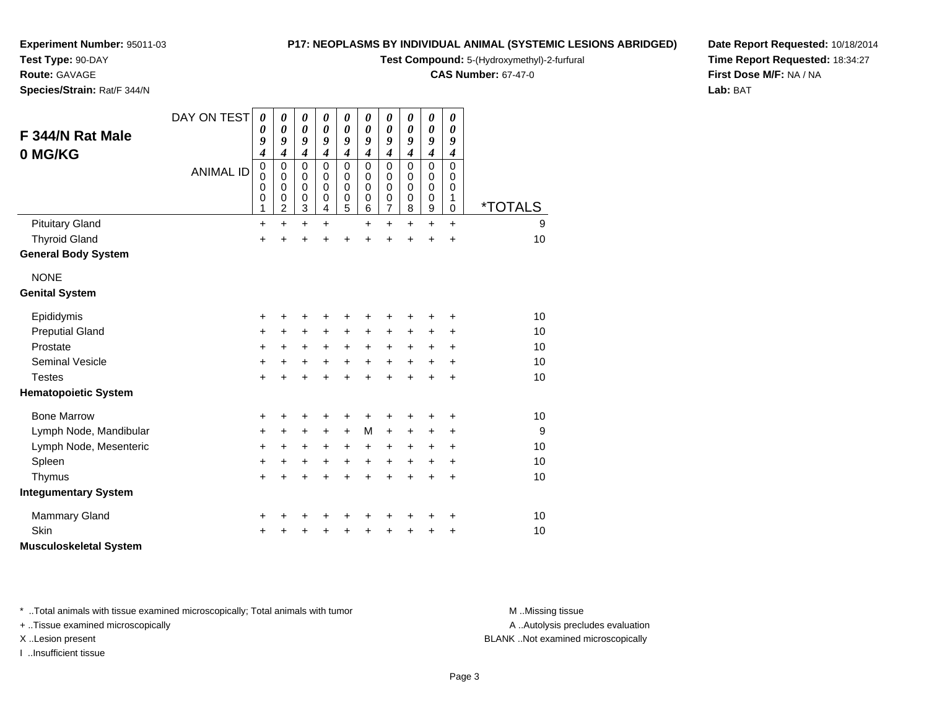**Test Type:** 90-DAY

### **Route:** GAVAGE

**Species/Strain:** Rat/F 344/N

#### **P17: NEOPLASMS BY INDIVIDUAL ANIMAL (SYSTEMIC LESIONS ABRIDGED)**

**Test Compound:** 5-(Hydroxymethyl)-2-furfural

**CAS Number:** 67-47-0

**Date Report Requested:** 10/18/2014**Time Report Requested:** 18:34:27**First Dose M/F:** NA / NA**Lab:** BAT

| F 344/N Rat Male<br>0 MG/KG   | DAY ON TEST      | 0<br>0<br>9<br>4                     | 0<br>$\boldsymbol{\theta}$<br>9<br>$\overline{\boldsymbol{4}}$ | 0<br>0<br>9<br>$\overline{\boldsymbol{4}}$ | 0<br>0<br>9<br>$\overline{\boldsymbol{4}}$ | 0<br>$\boldsymbol{\theta}$<br>9<br>$\overline{\boldsymbol{4}}$ | $\boldsymbol{\theta}$<br>$\boldsymbol{\theta}$<br>9<br>$\overline{\boldsymbol{4}}$ | 0<br>$\boldsymbol{\theta}$<br>9<br>$\boldsymbol{4}$                      | 0<br>0<br>9<br>$\boldsymbol{4}$                     | $\boldsymbol{\theta}$<br>$\boldsymbol{\theta}$<br>9<br>$\boldsymbol{4}$ | 0<br>0<br>9<br>$\boldsymbol{4}$        |                       |
|-------------------------------|------------------|--------------------------------------|----------------------------------------------------------------|--------------------------------------------|--------------------------------------------|----------------------------------------------------------------|------------------------------------------------------------------------------------|--------------------------------------------------------------------------|-----------------------------------------------------|-------------------------------------------------------------------------|----------------------------------------|-----------------------|
|                               | <b>ANIMAL ID</b> | $\boldsymbol{0}$<br>0<br>0<br>0<br>1 | $\mathbf 0$<br>$\pmb{0}$<br>$\mathbf 0$<br>0<br>$\overline{c}$ | $\mathbf 0$<br>0<br>0<br>0<br>3            | 0<br>0<br>0<br>0<br>4                      | $\mathbf 0$<br>$\mathbf 0$<br>$\mathbf 0$<br>0<br>5            | $\mathbf 0$<br>$\mathbf 0$<br>$\mathbf 0$<br>$\mathbf 0$<br>6                      | $\mathbf 0$<br>$\mathbf 0$<br>$\mathbf 0$<br>$\pmb{0}$<br>$\overline{7}$ | $\mathbf 0$<br>0<br>$\mathbf 0$<br>$\mathbf 0$<br>8 | $\mathbf 0$<br>$\mathbf 0$<br>$\mathbf 0$<br>$\mathbf 0$<br>9           | $\mathbf 0$<br>0<br>0<br>1<br>$\Omega$ | <i><b>*TOTALS</b></i> |
| <b>Pituitary Gland</b>        |                  | $\ddot{}$                            | $\ddot{}$                                                      | +                                          | +                                          |                                                                | $\ddot{}$                                                                          | $\ddot{}$                                                                | $\ddot{}$                                           | $\ddot{}$                                                               | $\ddot{}$                              | 9                     |
| <b>Thyroid Gland</b>          |                  | $\ddot{}$                            | $\ddot{}$                                                      | $\ddot{}$                                  | Ŧ.                                         | $\ddot{}$                                                      | $\ddot{}$                                                                          | $\ddot{}$                                                                | $\ddot{}$                                           | $\ddot{}$                                                               | $\ddot{}$                              | 10                    |
| <b>General Body System</b>    |                  |                                      |                                                                |                                            |                                            |                                                                |                                                                                    |                                                                          |                                                     |                                                                         |                                        |                       |
| <b>NONE</b>                   |                  |                                      |                                                                |                                            |                                            |                                                                |                                                                                    |                                                                          |                                                     |                                                                         |                                        |                       |
| <b>Genital System</b>         |                  |                                      |                                                                |                                            |                                            |                                                                |                                                                                    |                                                                          |                                                     |                                                                         |                                        |                       |
| Epididymis                    |                  | +                                    | +                                                              | +                                          | +                                          | +                                                              | +                                                                                  | +                                                                        | +                                                   | +                                                                       | +                                      | 10                    |
| <b>Preputial Gland</b>        |                  | +                                    | $+$                                                            | +                                          | $\ddot{}$                                  | +                                                              | +                                                                                  | $\ddot{}$                                                                | ٠                                                   | +                                                                       | +                                      | 10                    |
| Prostate                      |                  | +                                    | $\ddot{}$                                                      | $\ddot{}$                                  | $\ddot{}$                                  | $\ddot{}$                                                      | $\ddot{}$                                                                          | $\ddot{}$                                                                | $\ddot{}$                                           | $\ddot{}$                                                               | +                                      | 10                    |
| Seminal Vesicle               |                  | +                                    | $+$                                                            | $\ddot{}$                                  | $\ddot{}$                                  | $\ddot{}$                                                      | $+$                                                                                | $\ddot{}$                                                                | $\ddot{}$                                           | $\ddot{}$                                                               | $\ddot{}$                              | 10                    |
| <b>Testes</b>                 |                  | $\ddot{}$                            | $\ddot{}$                                                      | $\ddot{}$                                  | $\ddot{}$                                  | $\ddot{}$                                                      | $\ddot{}$                                                                          | $\ddot{}$                                                                | $\ddot{}$                                           | $\ddot{}$                                                               | $\ddot{}$                              | 10                    |
| <b>Hematopoietic System</b>   |                  |                                      |                                                                |                                            |                                            |                                                                |                                                                                    |                                                                          |                                                     |                                                                         |                                        |                       |
| <b>Bone Marrow</b>            |                  | +                                    | +                                                              | +                                          | +                                          | +                                                              | +                                                                                  | +                                                                        |                                                     | +                                                                       | +                                      | 10                    |
| Lymph Node, Mandibular        |                  | +                                    | $\ddot{}$                                                      | $\ddot{}$                                  | $\ddot{}$                                  | $\ddot{}$                                                      | M                                                                                  | $\ddot{}$                                                                | +                                                   | $\ddot{}$                                                               | +                                      | 9                     |
| Lymph Node, Mesenteric        |                  | +                                    | +                                                              | $\ddot{}$                                  | +                                          | $\ddot{}$                                                      | $\ddot{}$                                                                          | $\ddot{}$                                                                | +                                                   | +                                                                       | +                                      | 10                    |
| Spleen                        |                  | +                                    | $\ddot{}$                                                      | +                                          | $\ddot{}$                                  | $\ddot{}$                                                      | $\ddot{}$                                                                          | $\ddot{}$                                                                | $\ddot{}$                                           | $\ddot{}$                                                               | $\ddot{}$                              | 10                    |
| Thymus                        |                  | $\ddot{}$                            | $\ddot{}$                                                      | +                                          | +                                          | $\ddot{}$                                                      | $\ddot{}$                                                                          | $\ddot{}$                                                                | $\ddot{}$                                           | $\ddot{}$                                                               | $\ddot{}$                              | 10                    |
| <b>Integumentary System</b>   |                  |                                      |                                                                |                                            |                                            |                                                                |                                                                                    |                                                                          |                                                     |                                                                         |                                        |                       |
| <b>Mammary Gland</b>          |                  | +                                    | +                                                              | +                                          | +                                          | +                                                              | +                                                                                  | +                                                                        | +                                                   | +                                                                       | +                                      | 10                    |
| Skin                          |                  | +                                    |                                                                | +                                          |                                            | +                                                              | +                                                                                  | +                                                                        |                                                     | +                                                                       | +                                      | 10                    |
| <b>Musculoskeletal System</b> |                  |                                      |                                                                |                                            |                                            |                                                                |                                                                                    |                                                                          |                                                     |                                                                         |                                        |                       |

\* ..Total animals with tissue examined microscopically; Total animals with tumor **M** . Missing tissue M ..Missing tissue

+ ..Tissue examined microscopically

I ..Insufficient tissue

A ..Autolysis precludes evaluation

X ..Lesion present BLANK ..Not examined microscopically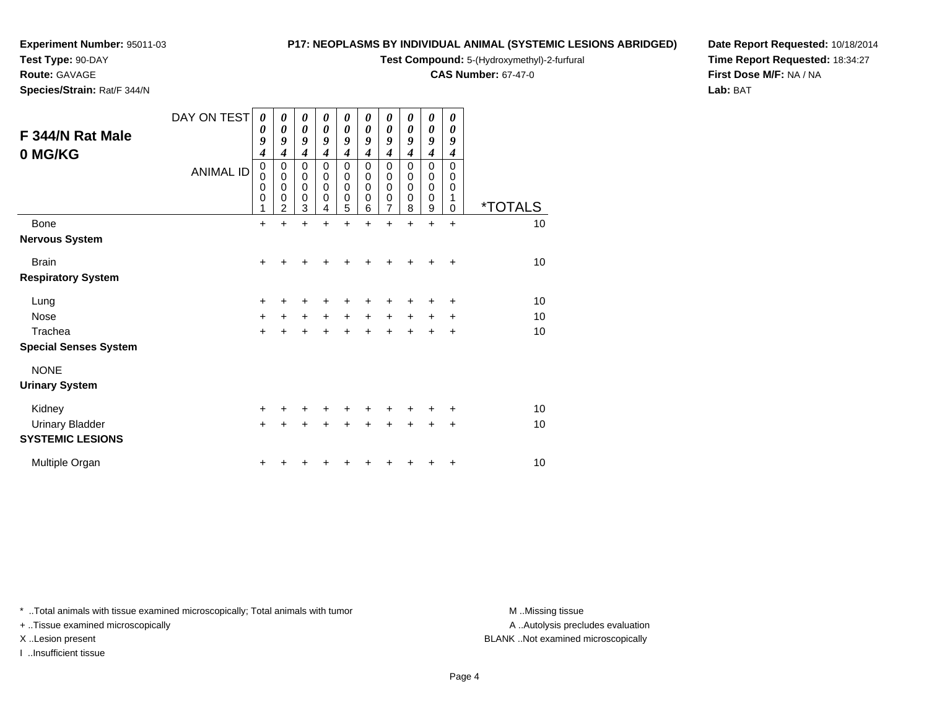**Test Type:** 90-DAY

#### **Route:** GAVAGE

**Species/Strain:** Rat/F 344/N

#### **P17: NEOPLASMS BY INDIVIDUAL ANIMAL (SYSTEMIC LESIONS ABRIDGED)**

**Test Compound:** 5-(Hydroxymethyl)-2-furfural

**CAS Number:** 67-47-0

**Date Report Requested:** 10/18/2014**Time Report Requested:** 18:34:27**First Dose M/F:** NA / NA**Lab:** BAT

| F 344/N Rat Male<br>0 MG/KG  | DAY ON TEST<br><b>ANIMAL ID</b> | $\boldsymbol{\theta}$<br>0<br>9<br>4<br>$\mathbf 0$<br>$\mathbf 0$<br>0<br>0<br>1 | 0<br>$\boldsymbol{\theta}$<br>9<br>4<br>$\mathbf 0$<br>$\mathbf 0$<br>$\mathbf 0$<br>$\mathbf 0$<br>2 | 0<br>$\boldsymbol{\theta}$<br>9<br>$\overline{\mathcal{A}}$<br>$\mathbf 0$<br>$\mathbf 0$<br>$\mathbf 0$<br>$\mathbf 0$<br>3 | $\boldsymbol{\theta}$<br>$\boldsymbol{\theta}$<br>9<br>4<br>$\mathbf 0$<br>$\mathbf 0$<br>0<br>0<br>4 | 0<br>$\boldsymbol{\theta}$<br>9<br>$\boldsymbol{4}$<br>$\mathbf 0$<br>$\pmb{0}$<br>$\mathbf 0$<br>$\mathbf 0$<br>5 | $\boldsymbol{\theta}$<br>0<br>9<br>4<br>$\mathbf 0$<br>$\pmb{0}$<br>$\mathbf 0$<br>$\mathbf 0$<br>6 | 0<br>$\boldsymbol{\theta}$<br>9<br>$\boldsymbol{4}$<br>$\mathbf 0$<br>$\pmb{0}$<br>0<br>$\pmb{0}$<br>$\overline{7}$ | 0<br>$\boldsymbol{\theta}$<br>9<br>4<br>$\mathbf 0$<br>$\mathbf 0$<br>0<br>$\mathbf 0$<br>8 | 0<br>$\boldsymbol{\theta}$<br>9<br>$\boldsymbol{4}$<br>$\mathbf 0$<br>$\mathbf 0$<br>$\mathbf 0$<br>$\mathbf 0$<br>9 | 0<br>$\boldsymbol{\theta}$<br>9<br>4<br>$\Omega$<br>0<br>0<br>1<br>$\Omega$ | <i><b>*TOTALS</b></i> |
|------------------------------|---------------------------------|-----------------------------------------------------------------------------------|-------------------------------------------------------------------------------------------------------|------------------------------------------------------------------------------------------------------------------------------|-------------------------------------------------------------------------------------------------------|--------------------------------------------------------------------------------------------------------------------|-----------------------------------------------------------------------------------------------------|---------------------------------------------------------------------------------------------------------------------|---------------------------------------------------------------------------------------------|----------------------------------------------------------------------------------------------------------------------|-----------------------------------------------------------------------------|-----------------------|
| <b>Bone</b>                  |                                 | $\ddot{}$                                                                         | $\ddot{}$                                                                                             | $\ddot{}$                                                                                                                    | $\ddot{}$                                                                                             | $\ddot{}$                                                                                                          | $\ddot{}$                                                                                           | $\ddot{}$                                                                                                           | $\ddot{}$                                                                                   | $\ddot{}$                                                                                                            | $\ddot{}$                                                                   | 10                    |
| <b>Nervous System</b>        |                                 |                                                                                   |                                                                                                       |                                                                                                                              |                                                                                                       |                                                                                                                    |                                                                                                     |                                                                                                                     |                                                                                             |                                                                                                                      |                                                                             |                       |
| <b>Brain</b>                 |                                 | $\ddot{}$                                                                         |                                                                                                       |                                                                                                                              |                                                                                                       |                                                                                                                    |                                                                                                     |                                                                                                                     |                                                                                             |                                                                                                                      | ÷                                                                           | 10                    |
| <b>Respiratory System</b>    |                                 |                                                                                   |                                                                                                       |                                                                                                                              |                                                                                                       |                                                                                                                    |                                                                                                     |                                                                                                                     |                                                                                             |                                                                                                                      |                                                                             |                       |
| Lung                         |                                 | +                                                                                 |                                                                                                       | +                                                                                                                            |                                                                                                       | +                                                                                                                  |                                                                                                     | +                                                                                                                   |                                                                                             | +                                                                                                                    | $\ddot{}$                                                                   | 10                    |
| <b>Nose</b>                  |                                 | $\ddot{}$                                                                         | $+$                                                                                                   | $\ddot{}$                                                                                                                    | $\ddot{}$                                                                                             | $\ddot{}$                                                                                                          | $\ddot{}$                                                                                           | $\ddot{}$                                                                                                           | $\ddot{}$                                                                                   | $\ddot{}$                                                                                                            | $\ddot{}$                                                                   | 10                    |
| Trachea                      |                                 | $\ddot{}$                                                                         |                                                                                                       | $\ddot{}$                                                                                                                    | +                                                                                                     | $\ddot{}$                                                                                                          | +                                                                                                   | $\ddot{}$                                                                                                           |                                                                                             | +                                                                                                                    | +                                                                           | 10                    |
| <b>Special Senses System</b> |                                 |                                                                                   |                                                                                                       |                                                                                                                              |                                                                                                       |                                                                                                                    |                                                                                                     |                                                                                                                     |                                                                                             |                                                                                                                      |                                                                             |                       |
| <b>NONE</b>                  |                                 |                                                                                   |                                                                                                       |                                                                                                                              |                                                                                                       |                                                                                                                    |                                                                                                     |                                                                                                                     |                                                                                             |                                                                                                                      |                                                                             |                       |
| <b>Urinary System</b>        |                                 |                                                                                   |                                                                                                       |                                                                                                                              |                                                                                                       |                                                                                                                    |                                                                                                     |                                                                                                                     |                                                                                             |                                                                                                                      |                                                                             |                       |
| Kidney                       |                                 | $\ddot{}$                                                                         |                                                                                                       | +                                                                                                                            | +                                                                                                     | +                                                                                                                  | +                                                                                                   | +                                                                                                                   |                                                                                             | +                                                                                                                    | +                                                                           | 10                    |
| <b>Urinary Bladder</b>       |                                 | $\ddot{}$                                                                         |                                                                                                       | $\ddot{}$                                                                                                                    | $\ddot{}$                                                                                             | $\ddot{}$                                                                                                          | $\ddot{}$                                                                                           | $\ddot{}$                                                                                                           | $\ddot{}$                                                                                   | $\ddot{}$                                                                                                            | +                                                                           | 10                    |
| <b>SYSTEMIC LESIONS</b>      |                                 |                                                                                   |                                                                                                       |                                                                                                                              |                                                                                                       |                                                                                                                    |                                                                                                     |                                                                                                                     |                                                                                             |                                                                                                                      |                                                                             |                       |
| Multiple Organ               |                                 | +                                                                                 |                                                                                                       |                                                                                                                              |                                                                                                       |                                                                                                                    |                                                                                                     |                                                                                                                     |                                                                                             | +                                                                                                                    | +                                                                           | $10$                  |

\* ..Total animals with tissue examined microscopically; Total animals with tumor **M** . Missing tissue M ..Missing tissue

+ ..Tissue examined microscopically

I ..Insufficient tissue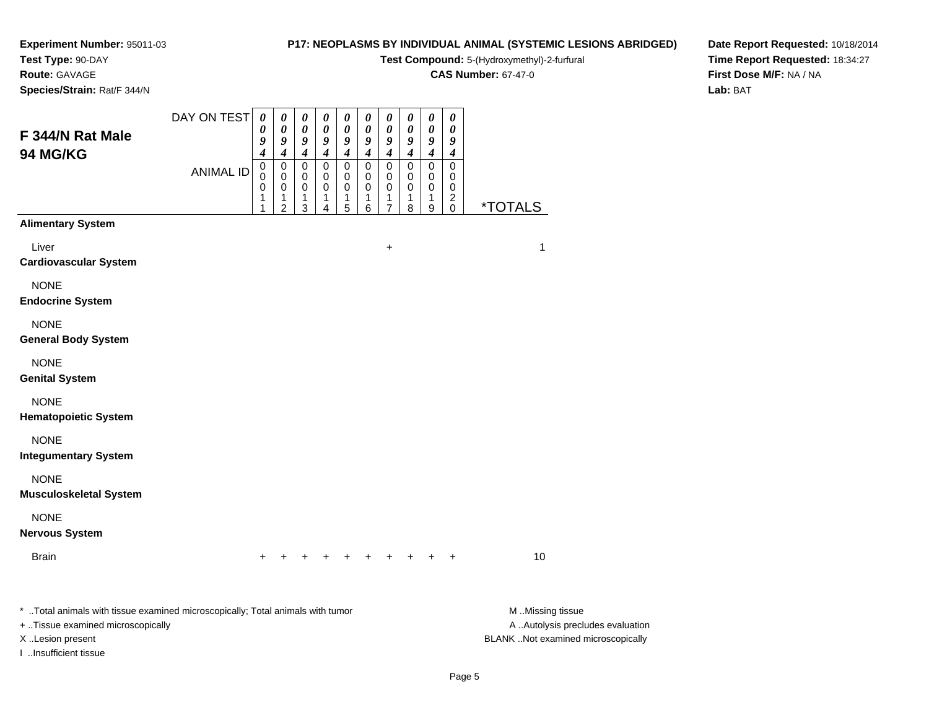# **Test Type:** 90-DAY

**Route:** GAVAGE

I ..Insufficient tissue

**Species/Strain:** Rat/F 344/N

#### **P17: NEOPLASMS BY INDIVIDUAL ANIMAL (SYSTEMIC LESIONS ABRIDGED)**

**Test Compound:** 5-(Hydroxymethyl)-2-furfural

**CAS Number:** 67-47-0

**Date Report Requested:** 10/18/2014**Time Report Requested:** 18:34:27**First Dose M/F:** NA / NA**Lab:** BAT

| F 344/N Rat Male<br>94 MG/KG                                                                                        | DAY ON TEST<br><b>ANIMAL ID</b> | $\pmb{\theta}$<br>0<br>9<br>4<br>$\mathsf 0$<br>0<br>0<br>1<br>1 | 0<br>0<br>9<br>$\boldsymbol{4}$<br>$\pmb{0}$<br>0<br>0<br>1<br>$\overline{2}$ | $\boldsymbol{\theta}$<br>$\pmb{\theta}$<br>$\boldsymbol{9}$<br>$\boldsymbol{4}$<br>0<br>0<br>0<br>1<br>3 | 0<br>$\pmb{\theta}$<br>$\boldsymbol{9}$<br>$\boldsymbol{4}$<br>0<br>0<br>0<br>1<br>4 | 0<br>$\boldsymbol{\theta}$<br>$\pmb{9}$<br>$\boldsymbol{4}$<br>$\mathsf 0$<br>0<br>0<br>1<br>5 | 0<br>0<br>$\pmb{9}$<br>4<br>0<br>0<br>0<br>1<br>6 | $\boldsymbol{\theta}$<br>$\pmb{\theta}$<br>$\boldsymbol{g}$<br>$\boldsymbol{4}$<br>$\pmb{0}$<br>0<br>0<br>1<br>$\overline{7}$ | $\boldsymbol{\theta}$<br>$\pmb{\theta}$<br>$\boldsymbol{9}$<br>$\boldsymbol{4}$<br>$\pmb{0}$<br>0<br>0<br>1<br>8 | 0<br>$\pmb{\theta}$<br>9<br>$\overline{\boldsymbol{4}}$<br>$\mathsf 0$<br>0<br>0<br>1<br>9 | 0<br>0<br>9<br>4<br>$\pmb{0}$<br>0<br>0<br>$^2_{\rm 0}$ | <i><b>*TOTALS</b></i>                                 |
|---------------------------------------------------------------------------------------------------------------------|---------------------------------|------------------------------------------------------------------|-------------------------------------------------------------------------------|----------------------------------------------------------------------------------------------------------|--------------------------------------------------------------------------------------|------------------------------------------------------------------------------------------------|---------------------------------------------------|-------------------------------------------------------------------------------------------------------------------------------|------------------------------------------------------------------------------------------------------------------|--------------------------------------------------------------------------------------------|---------------------------------------------------------|-------------------------------------------------------|
| <b>Alimentary System</b>                                                                                            |                                 |                                                                  |                                                                               |                                                                                                          |                                                                                      |                                                                                                |                                                   |                                                                                                                               |                                                                                                                  |                                                                                            |                                                         |                                                       |
| Liver<br><b>Cardiovascular System</b>                                                                               |                                 |                                                                  |                                                                               |                                                                                                          |                                                                                      |                                                                                                |                                                   | $\ddot{}$                                                                                                                     |                                                                                                                  |                                                                                            |                                                         | $\mathbf{1}$                                          |
| <b>NONE</b><br><b>Endocrine System</b>                                                                              |                                 |                                                                  |                                                                               |                                                                                                          |                                                                                      |                                                                                                |                                                   |                                                                                                                               |                                                                                                                  |                                                                                            |                                                         |                                                       |
| <b>NONE</b><br><b>General Body System</b>                                                                           |                                 |                                                                  |                                                                               |                                                                                                          |                                                                                      |                                                                                                |                                                   |                                                                                                                               |                                                                                                                  |                                                                                            |                                                         |                                                       |
| <b>NONE</b><br><b>Genital System</b>                                                                                |                                 |                                                                  |                                                                               |                                                                                                          |                                                                                      |                                                                                                |                                                   |                                                                                                                               |                                                                                                                  |                                                                                            |                                                         |                                                       |
| <b>NONE</b><br><b>Hematopoietic System</b>                                                                          |                                 |                                                                  |                                                                               |                                                                                                          |                                                                                      |                                                                                                |                                                   |                                                                                                                               |                                                                                                                  |                                                                                            |                                                         |                                                       |
| <b>NONE</b><br><b>Integumentary System</b>                                                                          |                                 |                                                                  |                                                                               |                                                                                                          |                                                                                      |                                                                                                |                                                   |                                                                                                                               |                                                                                                                  |                                                                                            |                                                         |                                                       |
| <b>NONE</b><br><b>Musculoskeletal System</b>                                                                        |                                 |                                                                  |                                                                               |                                                                                                          |                                                                                      |                                                                                                |                                                   |                                                                                                                               |                                                                                                                  |                                                                                            |                                                         |                                                       |
| <b>NONE</b><br><b>Nervous System</b>                                                                                |                                 |                                                                  |                                                                               |                                                                                                          |                                                                                      |                                                                                                |                                                   |                                                                                                                               |                                                                                                                  |                                                                                            |                                                         |                                                       |
| <b>Brain</b>                                                                                                        |                                 | $\ddot{}$                                                        |                                                                               |                                                                                                          |                                                                                      |                                                                                                |                                                   |                                                                                                                               |                                                                                                                  |                                                                                            |                                                         | 10                                                    |
| * Total animals with tissue examined microscopically; Total animals with tumor<br>+ Tissue examined microscopically |                                 |                                                                  |                                                                               |                                                                                                          |                                                                                      |                                                                                                |                                                   |                                                                                                                               |                                                                                                                  |                                                                                            |                                                         | M Missing tissue<br>A  Autolysis precludes evaluation |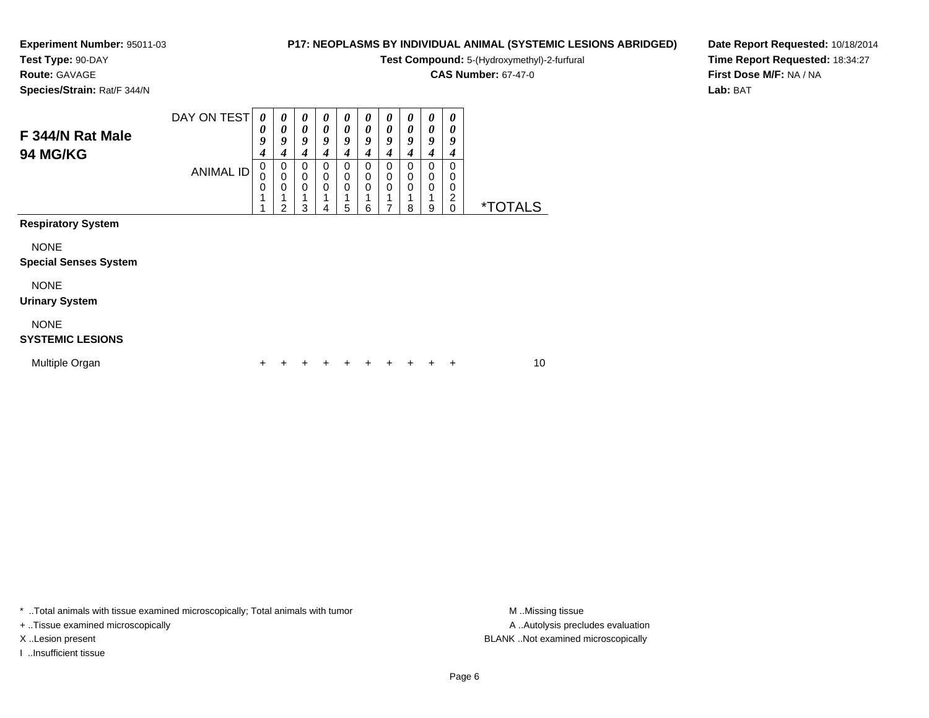**Test Type:** 90-DAY

**Route:** GAVAGE

**Species/Strain:** Rat/F 344/N

#### **P17: NEOPLASMS BY INDIVIDUAL ANIMAL (SYSTEMIC LESIONS ABRIDGED)**

**Test Compound:** 5-(Hydroxymethyl)-2-furfural

**CAS Number:** 67-47-0

**Date Report Requested:** 10/18/2014**Time Report Requested:** 18:34:27**First Dose M/F:** NA / NA**Lab:** BAT

| F 344/N Rat Male<br><b>94 MG/KG</b>         | DAY ON TEST      | 0<br>0<br>9<br>4 | 0<br>0<br>9<br>4                        | 0<br>0<br>9<br>4        | 0<br>0<br>9<br>4 | 0<br>0<br>9<br>4 | $\boldsymbol{\theta}$<br>0<br>9<br>4 | 0<br>$\boldsymbol{\theta}$<br>9<br>4     | 0<br>0<br>9<br>4                  | 0<br>0<br>9<br>4                            | 0<br>0<br>9<br>4             |                       |    |  |
|---------------------------------------------|------------------|------------------|-----------------------------------------|-------------------------|------------------|------------------|--------------------------------------|------------------------------------------|-----------------------------------|---------------------------------------------|------------------------------|-----------------------|----|--|
|                                             | <b>ANIMAL ID</b> | 0<br>0<br>0      | 0<br>$\mathbf 0$<br>0<br>$\overline{2}$ | $\Omega$<br>0<br>0<br>3 | 0<br>0<br>0<br>4 | 0<br>0<br>0<br>5 | 0<br>0<br>0<br>6                     | $\Omega$<br>$\mathbf 0$<br>$\Omega$<br>7 | $\Omega$<br>0<br>$\mathbf 0$<br>8 | $\Omega$<br>$\mathbf 0$<br>$\mathbf 0$<br>9 | $\Omega$<br>0<br>0<br>2<br>0 | <i><b>*TOTALS</b></i> |    |  |
| <b>Respiratory System</b>                   |                  |                  |                                         |                         |                  |                  |                                      |                                          |                                   |                                             |                              |                       |    |  |
| <b>NONE</b><br><b>Special Senses System</b> |                  |                  |                                         |                         |                  |                  |                                      |                                          |                                   |                                             |                              |                       |    |  |
| <b>NONE</b><br><b>Urinary System</b>        |                  |                  |                                         |                         |                  |                  |                                      |                                          |                                   |                                             |                              |                       |    |  |
| <b>NONE</b><br><b>SYSTEMIC LESIONS</b>      |                  |                  |                                         |                         |                  |                  |                                      |                                          |                                   |                                             |                              |                       |    |  |
| Multiple Organ                              |                  | +                |                                         |                         |                  |                  |                                      |                                          |                                   | +                                           | +                            |                       | 10 |  |

\* ..Total animals with tissue examined microscopically; Total animals with tumor **M** . Missing tissue M ..Missing tissue

+ ..Tissue examined microscopically

I ..Insufficient tissue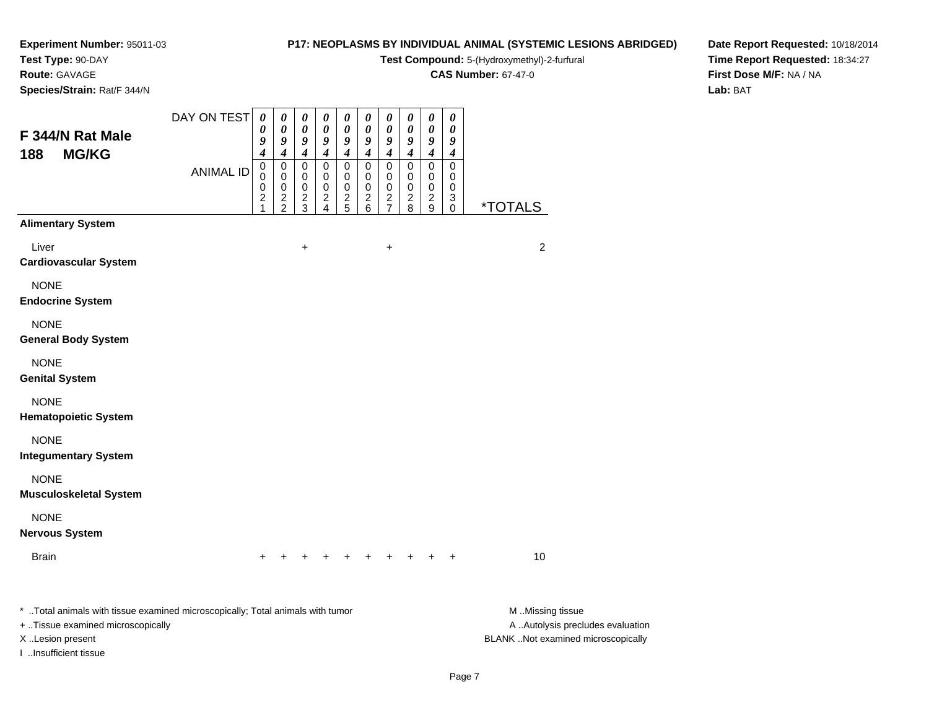#### **Test Type:** 90-DAY

**Route:** GAVAGE

**Species/Strain:** Rat/F 344/N

#### **P17: NEOPLASMS BY INDIVIDUAL ANIMAL (SYSTEMIC LESIONS ABRIDGED)**

**Test Compound:** 5-(Hydroxymethyl)-2-furfural

**CAS Number:** 67-47-0

**Date Report Requested:** 10/18/2014**Time Report Requested:** 18:34:27**First Dose M/F:** NA / NA**Lab:** BAT

| $\frac{1}{2}$                                                                                                                                                    |                  |                                      |                                        |                                                |                                              |                                      |                                 |                                                                          |                                                                  |                                              |                                              |                                                                                             |
|------------------------------------------------------------------------------------------------------------------------------------------------------------------|------------------|--------------------------------------|----------------------------------------|------------------------------------------------|----------------------------------------------|--------------------------------------|---------------------------------|--------------------------------------------------------------------------|------------------------------------------------------------------|----------------------------------------------|----------------------------------------------|---------------------------------------------------------------------------------------------|
| F 344/N Rat Male                                                                                                                                                 | DAY ON TEST      | $\boldsymbol{\theta}$<br>0<br>9<br>4 | 0<br>0<br>9<br>4                       | 0<br>0<br>$\boldsymbol{9}$<br>$\boldsymbol{4}$ | 0<br>$\pmb{\theta}$<br>9<br>$\boldsymbol{4}$ | 0<br>$\boldsymbol{\theta}$<br>9<br>4 | 0<br>0<br>9<br>$\boldsymbol{4}$ | $\pmb{\theta}$<br>$\pmb{\theta}$<br>$\boldsymbol{9}$<br>$\boldsymbol{4}$ | $\boldsymbol{\theta}$<br>$\pmb{\theta}$<br>9<br>$\boldsymbol{4}$ | 0<br>$\pmb{\theta}$<br>9<br>$\boldsymbol{4}$ | $\pmb{\theta}$<br>0<br>9<br>$\boldsymbol{4}$ |                                                                                             |
| <b>MG/KG</b><br>188                                                                                                                                              | <b>ANIMAL ID</b> | 0<br>0<br>0<br>2<br>1                | 0<br>$\mathbf 0$<br>0<br>$\frac{2}{2}$ | 0<br>0<br>0<br>$\frac{2}{3}$                   | 0<br>0<br>0<br>$\frac{2}{4}$                 | 0<br>0<br>0<br>$\frac{2}{5}$         | 0<br>0<br>0<br>$\frac{2}{6}$    | 0<br>$\mathbf 0$<br>$\pmb{0}$<br>$\frac{2}{7}$                           | $\mathsf 0$<br>0<br>0<br>$\frac{2}{8}$                           | $\mathbf 0$<br>0<br>0<br>$\frac{2}{9}$       | $\mathsf 0$<br>0<br>0<br>3<br>0              | <i><b>*TOTALS</b></i>                                                                       |
| <b>Alimentary System</b>                                                                                                                                         |                  |                                      |                                        |                                                |                                              |                                      |                                 |                                                                          |                                                                  |                                              |                                              |                                                                                             |
| Liver<br><b>Cardiovascular System</b>                                                                                                                            |                  |                                      |                                        | $\ddot{}$                                      |                                              |                                      |                                 | $\ddot{}$                                                                |                                                                  |                                              |                                              | $\overline{c}$                                                                              |
| <b>NONE</b><br><b>Endocrine System</b>                                                                                                                           |                  |                                      |                                        |                                                |                                              |                                      |                                 |                                                                          |                                                                  |                                              |                                              |                                                                                             |
| <b>NONE</b><br><b>General Body System</b>                                                                                                                        |                  |                                      |                                        |                                                |                                              |                                      |                                 |                                                                          |                                                                  |                                              |                                              |                                                                                             |
| <b>NONE</b><br><b>Genital System</b>                                                                                                                             |                  |                                      |                                        |                                                |                                              |                                      |                                 |                                                                          |                                                                  |                                              |                                              |                                                                                             |
| <b>NONE</b><br><b>Hematopoietic System</b>                                                                                                                       |                  |                                      |                                        |                                                |                                              |                                      |                                 |                                                                          |                                                                  |                                              |                                              |                                                                                             |
| <b>NONE</b><br><b>Integumentary System</b>                                                                                                                       |                  |                                      |                                        |                                                |                                              |                                      |                                 |                                                                          |                                                                  |                                              |                                              |                                                                                             |
| <b>NONE</b><br><b>Musculoskeletal System</b>                                                                                                                     |                  |                                      |                                        |                                                |                                              |                                      |                                 |                                                                          |                                                                  |                                              |                                              |                                                                                             |
| <b>NONE</b><br><b>Nervous System</b>                                                                                                                             |                  |                                      |                                        |                                                |                                              |                                      |                                 |                                                                          |                                                                  |                                              |                                              |                                                                                             |
| <b>Brain</b>                                                                                                                                                     |                  |                                      |                                        |                                                |                                              |                                      |                                 |                                                                          |                                                                  |                                              |                                              | 10                                                                                          |
| * Total animals with tissue examined microscopically; Total animals with tumor<br>+ Tissue examined microscopically<br>X Lesion present<br>I Insufficient tissue |                  |                                      |                                        |                                                |                                              |                                      |                                 |                                                                          |                                                                  |                                              |                                              | M Missing tissue<br>A  Autolysis precludes evaluation<br>BLANK Not examined microscopically |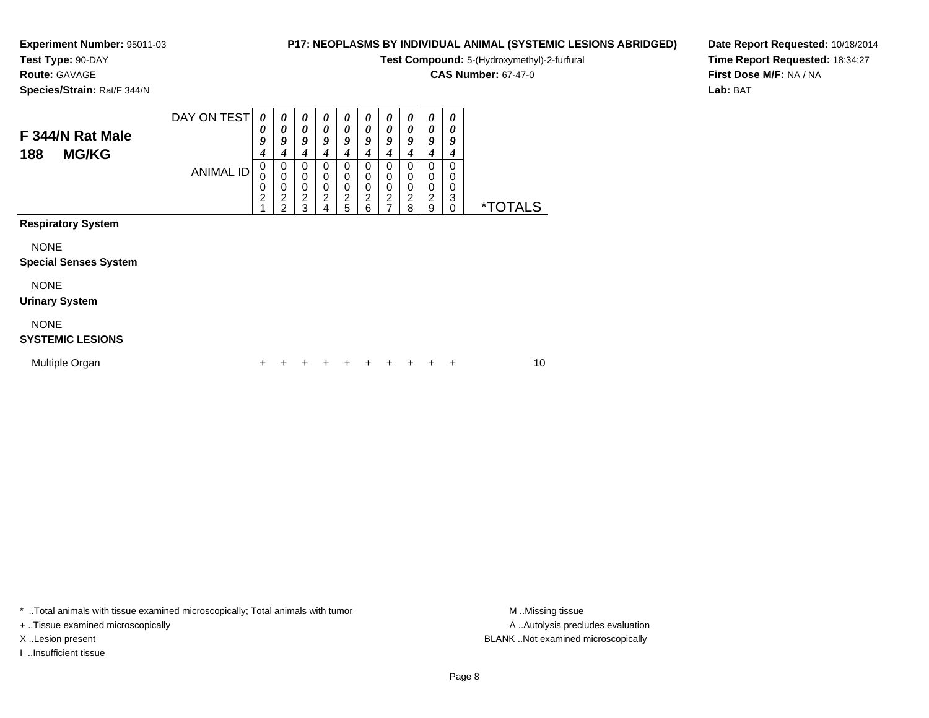**Test Type:** 90-DAY

**Route:** GAVAGE

**Species/Strain:** Rat/F 344/N

#### **P17: NEOPLASMS BY INDIVIDUAL ANIMAL (SYSTEMIC LESIONS ABRIDGED)**

**Test Compound:** 5-(Hydroxymethyl)-2-furfural

**CAS Number:** 67-47-0

**Date Report Requested:** 10/18/2014**Time Report Requested:** 18:34:27**First Dose M/F:** NA / NA**Lab:** BAT

| F 344/N Rat Male<br><b>MG/KG</b><br>188     | DAY ON TEST<br><b>ANIMAL ID</b> | $\boldsymbol{\theta}$<br>0<br>9<br>4<br>0 | $\boldsymbol{\theta}$<br>0<br>9<br>4<br>$\mathbf 0$ | 0<br>0<br>9<br>4<br>0                                  | $\boldsymbol{\theta}$<br>$\boldsymbol{\theta}$<br>9<br>4<br>0 | 0<br>0<br>9<br>4<br>0                   | $\boldsymbol{\theta}$<br>$\boldsymbol{\theta}$<br>9<br>$\boldsymbol{4}$<br>0 | 0<br>0<br>9<br>4<br>0                   | 0<br>0<br>9<br>4<br>0   | 0<br>0<br>9<br>4<br>0 | 0<br>0<br>9<br>4<br>0    |                       |    |
|---------------------------------------------|---------------------------------|-------------------------------------------|-----------------------------------------------------|--------------------------------------------------------|---------------------------------------------------------------|-----------------------------------------|------------------------------------------------------------------------------|-----------------------------------------|-------------------------|-----------------------|--------------------------|-----------------------|----|
|                                             |                                 | 0<br>0<br>$\overline{c}$                  | $\pmb{0}$<br>0<br>$\overline{c}$<br>$\overline{2}$  | $\boldsymbol{0}$<br>$\mathbf 0$<br>$\overline{c}$<br>3 | $\pmb{0}$<br>$\pmb{0}$<br>$\overline{c}$<br>4                 | $\pmb{0}$<br>$\pmb{0}$<br>$\frac{2}{5}$ | $\pmb{0}$<br>$\mathbf 0$<br>$\frac{2}{6}$                                    | 0<br>$\mathbf 0$<br>$\overline{c}$<br>7 | 0<br>0<br>$\frac{2}{8}$ | 0<br>0<br>2<br>9      | 0<br>0<br>3<br>$\pmb{0}$ | <i><b>*TOTALS</b></i> |    |
| <b>Respiratory System</b>                   |                                 |                                           |                                                     |                                                        |                                                               |                                         |                                                                              |                                         |                         |                       |                          |                       |    |
| <b>NONE</b><br><b>Special Senses System</b> |                                 |                                           |                                                     |                                                        |                                                               |                                         |                                                                              |                                         |                         |                       |                          |                       |    |
| <b>NONE</b><br><b>Urinary System</b>        |                                 |                                           |                                                     |                                                        |                                                               |                                         |                                                                              |                                         |                         |                       |                          |                       |    |
| <b>NONE</b><br><b>SYSTEMIC LESIONS</b>      |                                 |                                           |                                                     |                                                        |                                                               |                                         |                                                                              |                                         |                         |                       |                          |                       |    |
| Multiple Organ                              |                                 | +                                         |                                                     |                                                        |                                                               |                                         |                                                                              |                                         |                         |                       | ٠                        |                       | 10 |

\* ..Total animals with tissue examined microscopically; Total animals with tumor **M** . Missing tissue M ..Missing tissue

+ ..Tissue examined microscopically

I ..Insufficient tissue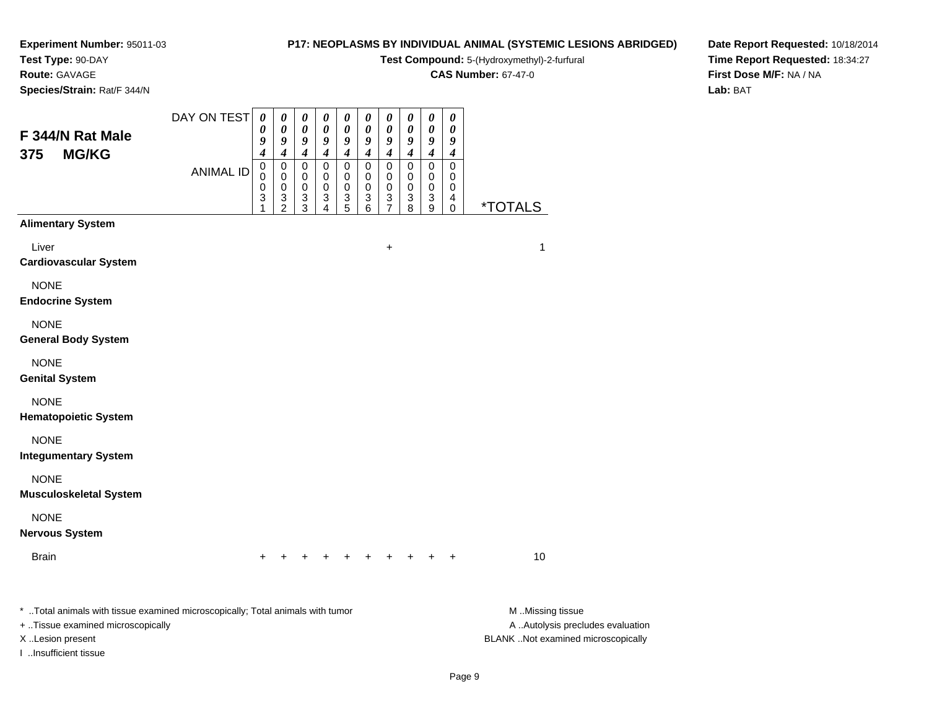**Test Type:** 90-DAY

**Route:** GAVAGE

**Species/Strain:** Rat/F 344/N

#### **P17: NEOPLASMS BY INDIVIDUAL ANIMAL (SYSTEMIC LESIONS ABRIDGED)**

**Test Compound:** 5-(Hydroxymethyl)-2-furfural

**CAS Number:** 67-47-0

**Date Report Requested:** 10/18/2014**Time Report Requested:** 18:34:27**First Dose M/F:** NA / NA**Lab:** BAT

| F 344/N Rat Male                                                                                                                                                 | DAY ON TEST      | $\boldsymbol{\theta}$<br>0<br>9<br>4 | $\pmb{\theta}$<br>0<br>9<br>4        | $\boldsymbol{\theta}$<br>0<br>9<br>$\boldsymbol{4}$  | 0<br>0<br>9<br>4              | 0<br>0<br>9<br>4                     | $\pmb{\theta}$<br>0<br>9<br>4        | $\pmb{\theta}$<br>0<br>9<br>$\boldsymbol{4}$ | $\pmb{\theta}$<br>0<br>9<br>$\boldsymbol{4}$   | $\pmb{\theta}$<br>$\boldsymbol{\theta}$<br>$\pmb{9}$<br>$\boldsymbol{4}$ | $\pmb{\theta}$<br>0<br>9<br>$\boldsymbol{4}$                  |                                                                                             |
|------------------------------------------------------------------------------------------------------------------------------------------------------------------|------------------|--------------------------------------|--------------------------------------|------------------------------------------------------|-------------------------------|--------------------------------------|--------------------------------------|----------------------------------------------|------------------------------------------------|--------------------------------------------------------------------------|---------------------------------------------------------------|---------------------------------------------------------------------------------------------|
| <b>MG/KG</b><br>375                                                                                                                                              | <b>ANIMAL ID</b> | $\pmb{0}$<br>$\mathbf 0$<br>0<br>3   | 0<br>0<br>$\pmb{0}$<br>$\frac{3}{2}$ | 0<br>$\mathbf 0$<br>$\pmb{0}$<br>3<br>$\overline{3}$ | 0<br>0<br>$\pmb{0}$<br>3<br>4 | 0<br>0<br>$\pmb{0}$<br>$\frac{3}{5}$ | 0<br>0<br>$\pmb{0}$<br>$\frac{3}{6}$ | 0<br>0<br>$\mathbf 0$<br>3<br>$\overline{7}$ | $\pmb{0}$<br>0<br>$\mathbf 0$<br>$\frac{3}{8}$ | $\pmb{0}$<br>$\mathbf 0$<br>$\pmb{0}$<br>$\frac{3}{9}$                   | $\pmb{0}$<br>0<br>0<br>$\overline{\mathbf{4}}$<br>$\mathbf 0$ | <i><b>*TOTALS</b></i>                                                                       |
| <b>Alimentary System</b>                                                                                                                                         |                  |                                      |                                      |                                                      |                               |                                      |                                      |                                              |                                                |                                                                          |                                                               |                                                                                             |
| Liver<br><b>Cardiovascular System</b>                                                                                                                            |                  |                                      |                                      |                                                      |                               |                                      |                                      | $\ddot{}$                                    |                                                |                                                                          |                                                               | 1                                                                                           |
| <b>NONE</b><br><b>Endocrine System</b>                                                                                                                           |                  |                                      |                                      |                                                      |                               |                                      |                                      |                                              |                                                |                                                                          |                                                               |                                                                                             |
| <b>NONE</b><br><b>General Body System</b>                                                                                                                        |                  |                                      |                                      |                                                      |                               |                                      |                                      |                                              |                                                |                                                                          |                                                               |                                                                                             |
| <b>NONE</b><br><b>Genital System</b>                                                                                                                             |                  |                                      |                                      |                                                      |                               |                                      |                                      |                                              |                                                |                                                                          |                                                               |                                                                                             |
| <b>NONE</b><br><b>Hematopoietic System</b>                                                                                                                       |                  |                                      |                                      |                                                      |                               |                                      |                                      |                                              |                                                |                                                                          |                                                               |                                                                                             |
| <b>NONE</b><br><b>Integumentary System</b>                                                                                                                       |                  |                                      |                                      |                                                      |                               |                                      |                                      |                                              |                                                |                                                                          |                                                               |                                                                                             |
| <b>NONE</b><br><b>Musculoskeletal System</b>                                                                                                                     |                  |                                      |                                      |                                                      |                               |                                      |                                      |                                              |                                                |                                                                          |                                                               |                                                                                             |
| <b>NONE</b><br><b>Nervous System</b>                                                                                                                             |                  |                                      |                                      |                                                      |                               |                                      |                                      |                                              |                                                |                                                                          |                                                               |                                                                                             |
| <b>Brain</b>                                                                                                                                                     |                  |                                      |                                      |                                                      |                               |                                      |                                      |                                              |                                                |                                                                          |                                                               | 10                                                                                          |
| * Total animals with tissue examined microscopically; Total animals with tumor<br>+ Tissue examined microscopically<br>X Lesion present<br>I Insufficient tissue |                  |                                      |                                      |                                                      |                               |                                      |                                      |                                              |                                                |                                                                          |                                                               | M Missing tissue<br>A  Autolysis precludes evaluation<br>BLANK Not examined microscopically |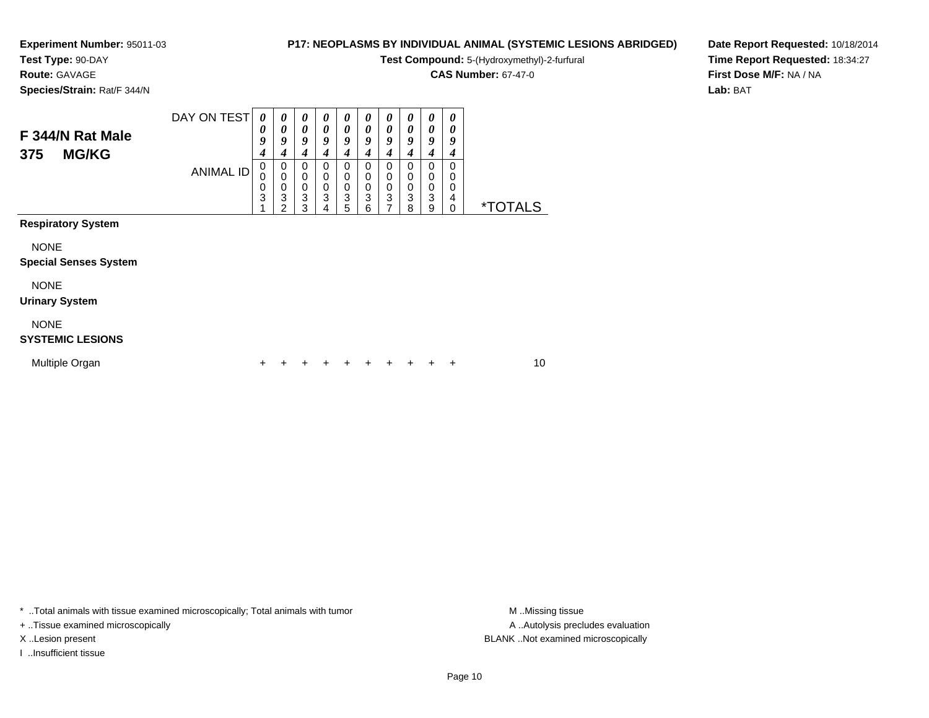**Test Type:** 90-DAY

**Route:** GAVAGE

**Species/Strain:** Rat/F 344/N

#### **P17: NEOPLASMS BY INDIVIDUAL ANIMAL (SYSTEMIC LESIONS ABRIDGED)**

**Test Compound:** 5-(Hydroxymethyl)-2-furfural

**CAS Number:** 67-47-0

**Date Report Requested:** 10/18/2014**Time Report Requested:** 18:34:27**First Dose M/F:** NA / NA**Lab:** BAT

| F 344/N Rat Male<br><b>MG/KG</b><br>375     | DAY ON TEST      | 0<br>0<br>9<br>4 | 0<br>0<br>9<br>$\boldsymbol{4}$      | 0<br>0<br>9<br>4                | 0<br>$\boldsymbol{\theta}$<br>9<br>4 | 0<br>0<br>9<br>4                | $\boldsymbol{\theta}$<br>0<br>9<br>4 | 0<br>0<br>9<br>4         | 0<br>0<br>9<br>4      | 0<br>0<br>9<br>4      | 0<br>0<br>9<br>4      |                       |  |
|---------------------------------------------|------------------|------------------|--------------------------------------|---------------------------------|--------------------------------------|---------------------------------|--------------------------------------|--------------------------|-----------------------|-----------------------|-----------------------|-----------------------|--|
|                                             | <b>ANIMAL ID</b> | 0<br>0<br>0<br>3 | 0<br>$\boldsymbol{0}$<br>0<br>3<br>2 | 0<br>$\mathbf 0$<br>0<br>3<br>3 | 0<br>$\pmb{0}$<br>$\frac{0}{3}$<br>4 | 0<br>0<br>$\mathbf 0$<br>3<br>5 | 0<br>$\pmb{0}$<br>$\frac{0}{3}$<br>6 | 0<br>0<br>$\pmb{0}$<br>3 | 0<br>0<br>$_3^0$<br>8 | 0<br>0<br>0<br>3<br>9 | 0<br>0<br>0<br>4<br>0 | <i><b>*TOTALS</b></i> |  |
| <b>Respiratory System</b>                   |                  |                  |                                      |                                 |                                      |                                 |                                      |                          |                       |                       |                       |                       |  |
| <b>NONE</b><br><b>Special Senses System</b> |                  |                  |                                      |                                 |                                      |                                 |                                      |                          |                       |                       |                       |                       |  |
| <b>NONE</b><br><b>Urinary System</b>        |                  |                  |                                      |                                 |                                      |                                 |                                      |                          |                       |                       |                       |                       |  |
| <b>NONE</b><br><b>SYSTEMIC LESIONS</b>      |                  |                  |                                      |                                 |                                      |                                 |                                      |                          |                       |                       |                       |                       |  |
| Multiple Organ                              |                  | ٠                |                                      |                                 |                                      |                                 |                                      |                          |                       |                       | ÷                     | 10                    |  |

\* ..Total animals with tissue examined microscopically; Total animals with tumor **M** . Missing tissue M ..Missing tissue

+ ..Tissue examined microscopically

I ..Insufficient tissue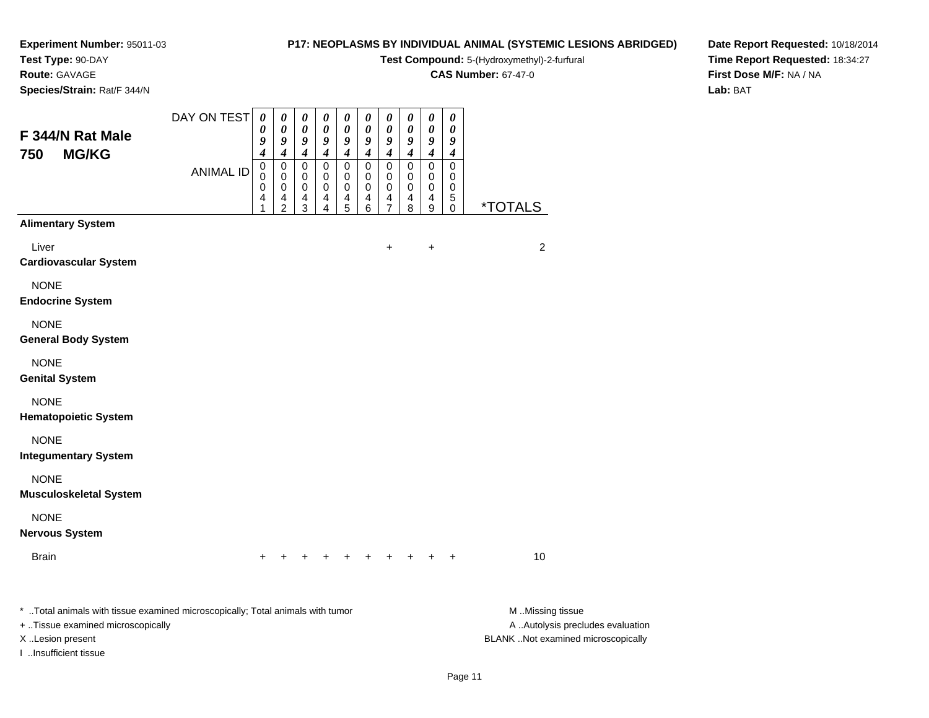## **Test Type:** 90-DAY

**Route:** GAVAGE

**Species/Strain:** Rat/F 344/N

#### **P17: NEOPLASMS BY INDIVIDUAL ANIMAL (SYSTEMIC LESIONS ABRIDGED)**

**Test Compound:** 5-(Hydroxymethyl)-2-furfural

**CAS Number:** 67-47-0

**Date Report Requested:** 10/18/2014**Time Report Requested:** 18:34:27**First Dose M/F:** NA / NA**Lab:** BAT

| F 344/N Rat Male                                                                                                                                                 | DAY ON TEST      | $\pmb{\theta}$<br>0<br>9             | $\pmb{\theta}$<br>0<br>9                                  | 0<br>0<br>9<br>$\boldsymbol{4}$ | 0<br>0<br>9<br>$\boldsymbol{4}$ | 0<br>0<br>9<br>$\boldsymbol{4}$ | 0<br>0<br>9                | $\pmb{\theta}$<br>$\boldsymbol{\theta}$<br>9<br>$\boldsymbol{4}$ | 0<br>$\pmb{\theta}$<br>9                          | $\pmb{\theta}$<br>$\pmb{\theta}$<br>$\boldsymbol{g}$<br>$\boldsymbol{4}$     | $\pmb{\theta}$<br>0<br>9                                              |                                                                                             |
|------------------------------------------------------------------------------------------------------------------------------------------------------------------|------------------|--------------------------------------|-----------------------------------------------------------|---------------------------------|---------------------------------|---------------------------------|----------------------------|------------------------------------------------------------------|---------------------------------------------------|------------------------------------------------------------------------------|-----------------------------------------------------------------------|---------------------------------------------------------------------------------------------|
| 750<br><b>MG/KG</b>                                                                                                                                              | <b>ANIMAL ID</b> | $\boldsymbol{4}$<br>0<br>0<br>0<br>4 | 4<br>$\mathbf 0$<br>0<br>$\pmb{0}$<br>4<br>$\overline{c}$ | 0<br>0<br>0<br>4<br>3           | 0<br>0<br>$\pmb{0}$<br>4<br>4   | $\mathbf 0$<br>0<br>0<br>4<br>5 | 4<br>0<br>0<br>0<br>4<br>6 | 0<br>0<br>0<br>4<br>$\overline{7}$                               | $\boldsymbol{4}$<br>$\pmb{0}$<br>0<br>0<br>4<br>8 | $\mathbf 0$<br>0<br>$\pmb{0}$<br>$\overline{\mathbf{4}}$<br>$\boldsymbol{9}$ | $\boldsymbol{4}$<br>$\mathbf 0$<br>0<br>$\mathbf 0$<br>5<br>$\pmb{0}$ | <i><b>*TOTALS</b></i>                                                                       |
| <b>Alimentary System</b>                                                                                                                                         |                  |                                      |                                                           |                                 |                                 |                                 |                            |                                                                  |                                                   |                                                                              |                                                                       |                                                                                             |
| Liver<br><b>Cardiovascular System</b>                                                                                                                            |                  |                                      |                                                           |                                 |                                 |                                 |                            | +                                                                |                                                   | $\ddot{}$                                                                    |                                                                       | $\overline{c}$                                                                              |
| <b>NONE</b><br><b>Endocrine System</b>                                                                                                                           |                  |                                      |                                                           |                                 |                                 |                                 |                            |                                                                  |                                                   |                                                                              |                                                                       |                                                                                             |
| <b>NONE</b><br><b>General Body System</b>                                                                                                                        |                  |                                      |                                                           |                                 |                                 |                                 |                            |                                                                  |                                                   |                                                                              |                                                                       |                                                                                             |
| <b>NONE</b><br><b>Genital System</b>                                                                                                                             |                  |                                      |                                                           |                                 |                                 |                                 |                            |                                                                  |                                                   |                                                                              |                                                                       |                                                                                             |
| <b>NONE</b><br><b>Hematopoietic System</b>                                                                                                                       |                  |                                      |                                                           |                                 |                                 |                                 |                            |                                                                  |                                                   |                                                                              |                                                                       |                                                                                             |
| <b>NONE</b><br><b>Integumentary System</b>                                                                                                                       |                  |                                      |                                                           |                                 |                                 |                                 |                            |                                                                  |                                                   |                                                                              |                                                                       |                                                                                             |
| <b>NONE</b><br><b>Musculoskeletal System</b>                                                                                                                     |                  |                                      |                                                           |                                 |                                 |                                 |                            |                                                                  |                                                   |                                                                              |                                                                       |                                                                                             |
| <b>NONE</b><br><b>Nervous System</b>                                                                                                                             |                  |                                      |                                                           |                                 |                                 |                                 |                            |                                                                  |                                                   |                                                                              |                                                                       |                                                                                             |
| <b>Brain</b>                                                                                                                                                     |                  |                                      |                                                           |                                 |                                 |                                 |                            |                                                                  |                                                   |                                                                              |                                                                       | 10                                                                                          |
| * Total animals with tissue examined microscopically; Total animals with tumor<br>+ Tissue examined microscopically<br>X Lesion present<br>I Insufficient tissue |                  |                                      |                                                           |                                 |                                 |                                 |                            |                                                                  |                                                   |                                                                              |                                                                       | M Missing tissue<br>A  Autolysis precludes evaluation<br>BLANK Not examined microscopically |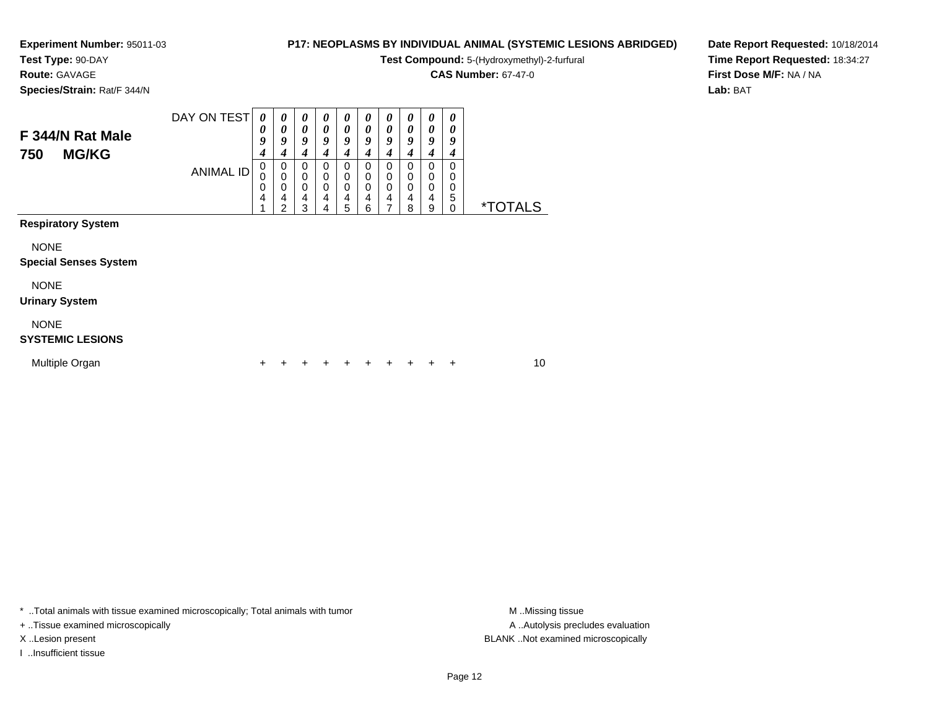**Test Type:** 90-DAY

**Route:** GAVAGE

**Species/Strain:** Rat/F 344/N

#### **P17: NEOPLASMS BY INDIVIDUAL ANIMAL (SYSTEMIC LESIONS ABRIDGED)**

**Test Compound:** 5-(Hydroxymethyl)-2-furfural

**CAS Number:** 67-47-0

**Date Report Requested:** 10/18/2014**Time Report Requested:** 18:34:27**First Dose M/F:** NA / NA**Lab:** BAT

| F 344/N Rat Male<br>750<br><b>MG/KG</b>     | DAY ON TEST      | $\boldsymbol{\theta}$<br>0<br>9<br>4 | 0<br>$\boldsymbol{\theta}$<br>9<br>4                      | 0<br>0<br>9<br>4                                                         | $\boldsymbol{\theta}$<br>$\boldsymbol{\theta}$<br>9<br>4 | 0<br>$\boldsymbol{\theta}$<br>9<br>4    | $\boldsymbol{\theta}$<br>0<br>9<br>$\boldsymbol{4}$                             | 0<br>0<br>9<br>4      | 0<br>0<br>9<br>4      | 0<br>0<br>9<br>4      | 0<br>0<br>9<br>4      |                       |  |
|---------------------------------------------|------------------|--------------------------------------|-----------------------------------------------------------|--------------------------------------------------------------------------|----------------------------------------------------------|-----------------------------------------|---------------------------------------------------------------------------------|-----------------------|-----------------------|-----------------------|-----------------------|-----------------------|--|
|                                             | <b>ANIMAL ID</b> | 0<br>0<br>0<br>4                     | $\begin{smallmatrix}0\\0\end{smallmatrix}$<br>0<br>4<br>2 | $\boldsymbol{0}$<br>$\begin{smallmatrix}0\\0\end{smallmatrix}$<br>4<br>3 | 0<br>$\boldsymbol{0}$<br>$\mathbf 0$<br>4<br>4           | 0<br>$\pmb{0}$<br>$\mathbf 0$<br>4<br>5 | 0<br>$\begin{smallmatrix}0\\0\end{smallmatrix}$<br>$\overline{\mathbf{4}}$<br>6 | 0<br>0<br>0<br>4<br>7 | 0<br>0<br>0<br>4<br>8 | 0<br>0<br>0<br>4<br>9 | 0<br>0<br>0<br>5<br>0 | <i><b>*TOTALS</b></i> |  |
| <b>Respiratory System</b>                   |                  |                                      |                                                           |                                                                          |                                                          |                                         |                                                                                 |                       |                       |                       |                       |                       |  |
| <b>NONE</b><br><b>Special Senses System</b> |                  |                                      |                                                           |                                                                          |                                                          |                                         |                                                                                 |                       |                       |                       |                       |                       |  |
| <b>NONE</b><br><b>Urinary System</b>        |                  |                                      |                                                           |                                                                          |                                                          |                                         |                                                                                 |                       |                       |                       |                       |                       |  |
| <b>NONE</b><br><b>SYSTEMIC LESIONS</b>      |                  |                                      |                                                           |                                                                          |                                                          |                                         |                                                                                 |                       |                       |                       |                       |                       |  |
| Multiple Organ                              |                  | +                                    |                                                           |                                                                          |                                                          |                                         |                                                                                 |                       |                       |                       | ÷                     | 10                    |  |

\* ..Total animals with tissue examined microscopically; Total animals with tumor **M** . Missing tissue M ..Missing tissue

+ ..Tissue examined microscopically

I ..Insufficient tissue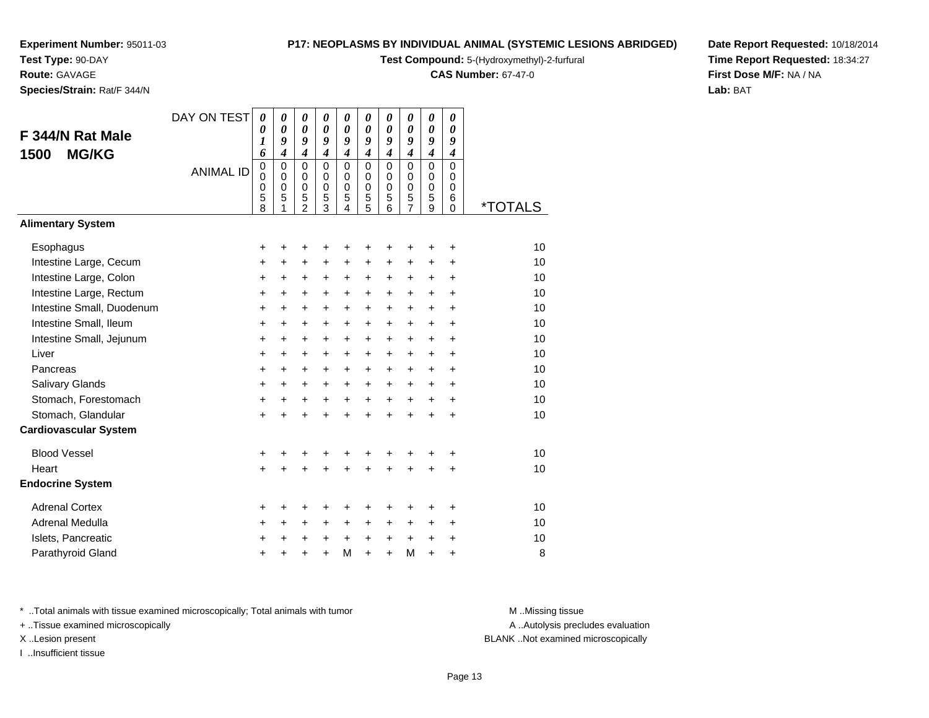**Test Type:** 90-DAY**Route:** GAVAGE

**Species/Strain:** Rat/F 344/N

#### **P17: NEOPLASMS BY INDIVIDUAL ANIMAL (SYSTEMIC LESIONS ABRIDGED)**

**Test Compound:** 5-(Hydroxymethyl)-2-furfural

**CAS Number:** 67-47-0

**Date Report Requested:** 10/18/2014**Time Report Requested:** 18:34:27**First Dose M/F:** NA / NA**Lab:** BAT

| F 344/N Rat Male<br><b>MG/KG</b><br>1500 | DAY ON TEST<br><b>ANIMAL ID</b> | 0<br>0<br>1<br>6<br>0<br>$\mathbf 0$<br>0<br>5<br>8 | $\boldsymbol{\theta}$<br>$\boldsymbol{\theta}$<br>9<br>$\overline{\boldsymbol{4}}$<br>$\mathbf 0$<br>$\mathbf 0$<br>$\mathbf 0$<br>5 | $\pmb{\theta}$<br>$\boldsymbol{\theta}$<br>9<br>$\boldsymbol{4}$<br>$\Omega$<br>0<br>0<br>5<br>$\overline{2}$ | 0<br>$\boldsymbol{\theta}$<br>9<br>$\boldsymbol{4}$<br>$\Omega$<br>$\Omega$<br>$\mathbf 0$<br>5<br>3 | $\pmb{\theta}$<br>$\boldsymbol{\theta}$<br>9<br>$\boldsymbol{4}$<br>$\mathbf 0$<br>0<br>0<br>5<br>$\overline{4}$ | $\boldsymbol{\theta}$<br>$\boldsymbol{\theta}$<br>9<br>$\boldsymbol{4}$<br>$\Omega$<br>0<br>$\mathbf 0$<br>5<br>5 | 0<br>$\boldsymbol{\theta}$<br>9<br>$\boldsymbol{4}$<br>$\mathbf 0$<br>0<br>$\mathbf 0$<br>5<br>6 | 0<br>$\boldsymbol{\theta}$<br>9<br>$\boldsymbol{4}$<br>$\Omega$<br>$\Omega$<br>0<br>5<br>$\overline{7}$ | 0<br>$\boldsymbol{\theta}$<br>9<br>$\overline{4}$<br>$\Omega$<br>$\mathbf 0$<br>$\mathbf 0$<br>5<br>9 | 0<br>0<br>9<br>$\boldsymbol{4}$<br>0<br>0<br>$\Omega$<br>6<br>$\mathbf 0$ | <i><b>*TOTALS</b></i> |
|------------------------------------------|---------------------------------|-----------------------------------------------------|--------------------------------------------------------------------------------------------------------------------------------------|---------------------------------------------------------------------------------------------------------------|------------------------------------------------------------------------------------------------------|------------------------------------------------------------------------------------------------------------------|-------------------------------------------------------------------------------------------------------------------|--------------------------------------------------------------------------------------------------|---------------------------------------------------------------------------------------------------------|-------------------------------------------------------------------------------------------------------|---------------------------------------------------------------------------|-----------------------|
| <b>Alimentary System</b>                 |                                 |                                                     |                                                                                                                                      |                                                                                                               |                                                                                                      |                                                                                                                  |                                                                                                                   |                                                                                                  |                                                                                                         |                                                                                                       |                                                                           |                       |
| Esophagus                                |                                 | +                                                   | +                                                                                                                                    | +                                                                                                             | +                                                                                                    | +                                                                                                                | +                                                                                                                 | +                                                                                                | ٠                                                                                                       | +                                                                                                     | +                                                                         | 10                    |
| Intestine Large, Cecum                   |                                 | $\ddot{}$                                           | $\ddot{}$                                                                                                                            | $\ddot{}$                                                                                                     | $\ddot{}$                                                                                            | $\ddot{}$                                                                                                        | $\ddot{}$                                                                                                         | $+$                                                                                              | +                                                                                                       | $\ddot{}$                                                                                             | $\ddot{}$                                                                 | 10                    |
| Intestine Large, Colon                   |                                 | +                                                   | $\ddot{}$                                                                                                                            | +                                                                                                             | +                                                                                                    | $\ddot{}$                                                                                                        | $\ddot{}$                                                                                                         | $\ddot{}$                                                                                        | +                                                                                                       | +                                                                                                     | $\ddot{}$                                                                 | 10                    |
| Intestine Large, Rectum                  |                                 | $\ddot{}$                                           | $\ddot{}$                                                                                                                            | $\ddot{}$                                                                                                     | $\ddot{}$                                                                                            | $\ddot{}$                                                                                                        | $+$                                                                                                               | $+$                                                                                              | $\ddot{}$                                                                                               | +                                                                                                     | $\ddot{}$                                                                 | 10                    |
| Intestine Small, Duodenum                |                                 | +                                                   | $\ddot{}$                                                                                                                            | $\ddot{}$                                                                                                     | $\ddot{}$                                                                                            | +                                                                                                                | $\ddot{}$                                                                                                         | $+$                                                                                              | $\ddot{}$                                                                                               | $\ddot{}$                                                                                             | $\ddot{}$                                                                 | 10                    |
| Intestine Small, Ileum                   |                                 | $\ddot{}$                                           | $+$                                                                                                                                  | $\ddot{}$                                                                                                     | $\ddot{}$                                                                                            | $+$                                                                                                              | $+$                                                                                                               | $+$                                                                                              | $\ddot{}$                                                                                               | $+$                                                                                                   | $\ddot{}$                                                                 | 10                    |
| Intestine Small, Jejunum                 |                                 | +                                                   | $\ddot{}$                                                                                                                            | $\ddot{}$                                                                                                     | $\ddot{}$                                                                                            | $\ddot{}$                                                                                                        | $+$                                                                                                               | $\ddot{}$                                                                                        | $\ddot{}$                                                                                               | $\ddot{}$                                                                                             | $\ddot{}$                                                                 | 10                    |
| Liver                                    |                                 | $\ddot{}$                                           | $\ddot{}$                                                                                                                            | $\ddot{}$                                                                                                     | $\ddot{}$                                                                                            | $\ddot{}$                                                                                                        | +                                                                                                                 | $\ddot{}$                                                                                        | $\ddot{}$                                                                                               | $\ddot{}$                                                                                             | $\ddot{}$                                                                 | 10                    |
| Pancreas                                 |                                 | $\ddot{}$                                           | $\ddot{}$                                                                                                                            | $\ddot{}$                                                                                                     | +                                                                                                    | +                                                                                                                | $\ddot{}$                                                                                                         | $\ddot{}$                                                                                        | $\ddot{}$                                                                                               | $\ddot{}$                                                                                             | $\ddot{}$                                                                 | 10                    |
| Salivary Glands                          |                                 | $\ddot{}$                                           | $\ddot{}$                                                                                                                            | $\ddot{}$                                                                                                     | $\ddot{}$                                                                                            | $\ddot{}$                                                                                                        | $\ddot{}$                                                                                                         | $\ddot{}$                                                                                        | $\ddot{}$                                                                                               | $\ddot{}$                                                                                             | $\ddot{}$                                                                 | 10                    |
| Stomach, Forestomach                     |                                 | +                                                   | $\ddot{}$                                                                                                                            | $\ddot{}$                                                                                                     | $\ddot{}$                                                                                            | $\ddot{}$                                                                                                        | $+$                                                                                                               | $+$                                                                                              | $+$                                                                                                     | $+$                                                                                                   | $\ddot{}$                                                                 | 10                    |
| Stomach, Glandular                       |                                 | $\ddot{}$                                           | $\ddot{}$                                                                                                                            | $\ddot{}$                                                                                                     | $\ddot{}$                                                                                            | $\ddot{}$                                                                                                        | $\ddot{}$                                                                                                         | $\ddot{}$                                                                                        | ÷                                                                                                       | $\ddot{}$                                                                                             | $\ddot{}$                                                                 | 10                    |
| <b>Cardiovascular System</b>             |                                 |                                                     |                                                                                                                                      |                                                                                                               |                                                                                                      |                                                                                                                  |                                                                                                                   |                                                                                                  |                                                                                                         |                                                                                                       |                                                                           |                       |
| <b>Blood Vessel</b>                      |                                 | +                                                   |                                                                                                                                      | +                                                                                                             | +                                                                                                    | +                                                                                                                |                                                                                                                   |                                                                                                  |                                                                                                         | +                                                                                                     | +                                                                         | 10                    |
| Heart                                    |                                 | $\ddot{}$                                           | ÷                                                                                                                                    | $\ddot{}$                                                                                                     | $\ddot{}$                                                                                            | $\ddot{}$                                                                                                        | $\ddot{}$                                                                                                         | $\ddot{}$                                                                                        | ÷                                                                                                       | $\ddot{}$                                                                                             | +                                                                         | 10                    |
| <b>Endocrine System</b>                  |                                 |                                                     |                                                                                                                                      |                                                                                                               |                                                                                                      |                                                                                                                  |                                                                                                                   |                                                                                                  |                                                                                                         |                                                                                                       |                                                                           |                       |
| <b>Adrenal Cortex</b>                    |                                 | +                                                   | ٠                                                                                                                                    | ٠                                                                                                             | +                                                                                                    | +                                                                                                                | +                                                                                                                 | +                                                                                                | +                                                                                                       | +                                                                                                     | +                                                                         | 10                    |
| <b>Adrenal Medulla</b>                   |                                 | +                                                   | $\ddot{}$                                                                                                                            | +                                                                                                             | +                                                                                                    | $\ddot{}$                                                                                                        | $\ddot{}$                                                                                                         | $\pm$                                                                                            | $\ddot{}$                                                                                               | $\ddot{}$                                                                                             | $\ddot{}$                                                                 | 10                    |
| Islets, Pancreatic                       |                                 | +                                                   | +                                                                                                                                    | $\ddot{}$                                                                                                     | $\ddot{}$                                                                                            | $\ddot{}$                                                                                                        | $\ddot{}$                                                                                                         | $\ddot{}$                                                                                        | $\ddot{}$                                                                                               | +                                                                                                     | $\ddot{}$                                                                 | 10                    |
| Parathyroid Gland                        |                                 |                                                     |                                                                                                                                      | ÷                                                                                                             | $\ddot{}$                                                                                            | M                                                                                                                | $\ddot{}$                                                                                                         | $\ddot{}$                                                                                        | M                                                                                                       | $\ddot{}$                                                                                             | $\ddot{}$                                                                 | 8                     |

\* ..Total animals with tissue examined microscopically; Total animals with tumor **M** . Missing tissue M ..Missing tissue

+ ..Tissue examined microscopically

I ..Insufficient tissue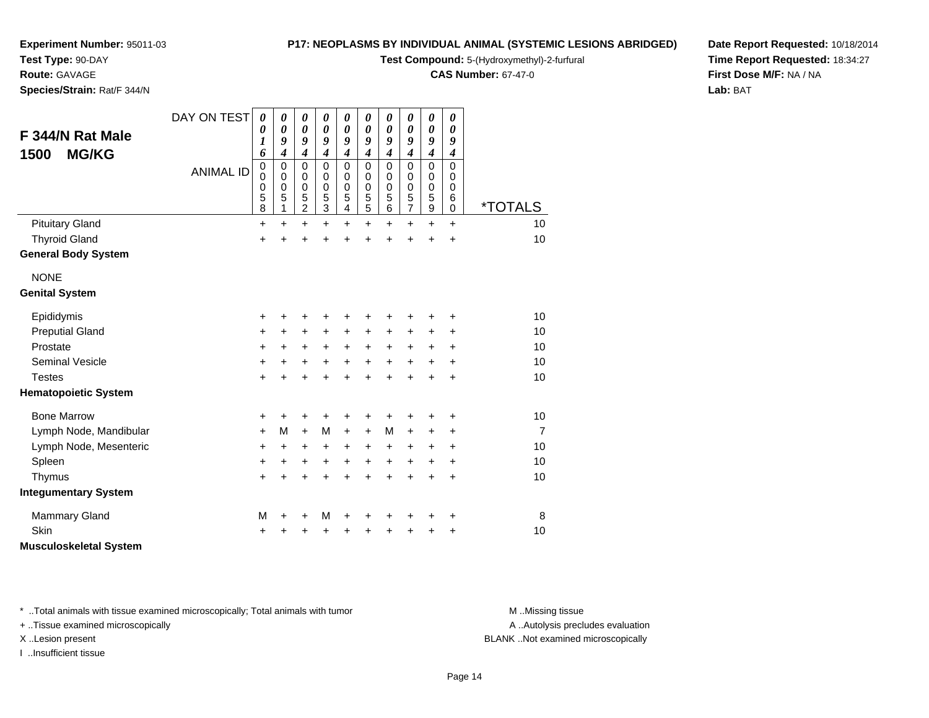**Test Type:** 90-DAY

### **Route:** GAVAGE

**Species/Strain:** Rat/F 344/N

#### **P17: NEOPLASMS BY INDIVIDUAL ANIMAL (SYSTEMIC LESIONS ABRIDGED)**

**Test Compound:** 5-(Hydroxymethyl)-2-furfural

**CAS Number:** 67-47-0

**Date Report Requested:** 10/18/2014**Time Report Requested:** 18:34:27**First Dose M/F:** NA / NA**Lab:** BAT

| F 344/N Rat Male<br><b>MG/KG</b><br>1500 | DAY ON TEST<br><b>ANIMAL ID</b> | $\boldsymbol{\theta}$<br>0<br>$\boldsymbol{l}$<br>6<br>$\mathbf 0$ | 0<br>0<br>9<br>4<br>0 | 0<br>$\boldsymbol{\theta}$<br>9<br>$\boldsymbol{4}$<br>$\mathbf 0$ | 0<br>$\boldsymbol{\theta}$<br>9<br>$\overline{\boldsymbol{4}}$<br>$\mathbf 0$ | $\boldsymbol{\theta}$<br>$\boldsymbol{\theta}$<br>9<br>$\boldsymbol{4}$<br>$\mathbf 0$ | 0<br>$\boldsymbol{\theta}$<br>9<br>$\overline{\boldsymbol{4}}$<br>$\mathbf 0$ | $\boldsymbol{\theta}$<br>$\boldsymbol{\theta}$<br>9<br>$\boldsymbol{4}$<br>$\mathbf 0$ | 0<br>0<br>9<br>$\boldsymbol{4}$<br>$\mathbf 0$ | $\boldsymbol{\theta}$<br>$\boldsymbol{\theta}$<br>9<br>$\boldsymbol{4}$<br>0 | $\boldsymbol{\theta}$<br>0<br>9<br>$\boldsymbol{4}$<br>$\mathbf 0$ |                       |
|------------------------------------------|---------------------------------|--------------------------------------------------------------------|-----------------------|--------------------------------------------------------------------|-------------------------------------------------------------------------------|----------------------------------------------------------------------------------------|-------------------------------------------------------------------------------|----------------------------------------------------------------------------------------|------------------------------------------------|------------------------------------------------------------------------------|--------------------------------------------------------------------|-----------------------|
|                                          |                                 | $\pmb{0}$<br>0<br>5<br>8                                           | 0<br>0<br>5<br>1      | 0<br>$\mathbf 0$<br>5<br>$\overline{c}$                            | 0<br>0<br>5<br>3                                                              | 0<br>$\mathbf 0$<br>5<br>4                                                             | 0<br>$\mathbf 0$<br>5<br>5                                                    | 0<br>$\mathbf 0$<br>5<br>$6\phantom{1}6$                                               | 0<br>0<br>5<br>$\overline{7}$                  | 0<br>$\mathbf 0$<br>$\frac{5}{9}$                                            | 0<br>$\mathbf 0$<br>6<br>$\mathbf 0$                               | <i><b>*TOTALS</b></i> |
| <b>Pituitary Gland</b>                   |                                 | +                                                                  | $\ddot{}$             | $\ddot{}$                                                          | $\ddot{}$                                                                     | $\ddot{}$                                                                              | $\ddot{}$                                                                     | $\ddot{}$                                                                              | +                                              | $\ddot{}$                                                                    | $+$                                                                | 10                    |
| <b>Thyroid Gland</b>                     |                                 | $\ddot{}$                                                          | +                     | +                                                                  | +                                                                             | +                                                                                      |                                                                               | +                                                                                      |                                                | +                                                                            | $\ddot{}$                                                          | 10                    |
| <b>General Body System</b>               |                                 |                                                                    |                       |                                                                    |                                                                               |                                                                                        |                                                                               |                                                                                        |                                                |                                                                              |                                                                    |                       |
| <b>NONE</b>                              |                                 |                                                                    |                       |                                                                    |                                                                               |                                                                                        |                                                                               |                                                                                        |                                                |                                                                              |                                                                    |                       |
| <b>Genital System</b>                    |                                 |                                                                    |                       |                                                                    |                                                                               |                                                                                        |                                                                               |                                                                                        |                                                |                                                                              |                                                                    |                       |
| Epididymis                               |                                 | +                                                                  | +                     | ٠                                                                  | +                                                                             | +                                                                                      |                                                                               |                                                                                        |                                                | +                                                                            | ٠                                                                  | 10                    |
| <b>Preputial Gland</b>                   |                                 | +                                                                  | +                     | $\ddot{}$                                                          | $\ddot{}$                                                                     | $\ddot{}$                                                                              | $\ddot{}$                                                                     | $\ddot{}$                                                                              | +                                              | +                                                                            | +                                                                  | 10                    |
| Prostate                                 |                                 | +                                                                  | +                     | +                                                                  | +                                                                             | $\ddot{}$                                                                              | $\ddot{}$                                                                     | $\ddot{}$                                                                              | +                                              | $\ddot{}$                                                                    | $\ddot{}$                                                          | 10                    |
| <b>Seminal Vesicle</b>                   |                                 | +                                                                  | +                     | +                                                                  | $\ddot{}$                                                                     | $\ddot{}$                                                                              | $\ddot{}$                                                                     | $\ddot{}$                                                                              | +                                              | +                                                                            | +                                                                  | 10                    |
| <b>Testes</b>                            |                                 | +                                                                  | +                     | +                                                                  | +                                                                             | +                                                                                      | +                                                                             | +                                                                                      | +                                              | $\ddot{}$                                                                    | $\ddot{}$                                                          | 10                    |
| <b>Hematopoietic System</b>              |                                 |                                                                    |                       |                                                                    |                                                                               |                                                                                        |                                                                               |                                                                                        |                                                |                                                                              |                                                                    |                       |
| <b>Bone Marrow</b>                       |                                 | +                                                                  | +                     | +                                                                  | +                                                                             | +                                                                                      | +                                                                             | +                                                                                      |                                                | +                                                                            | +                                                                  | 10                    |
| Lymph Node, Mandibular                   |                                 | +                                                                  | M                     | $+$                                                                | M                                                                             | $\ddot{}$                                                                              | $\ddot{}$                                                                     | M                                                                                      | $\ddot{}$                                      | +                                                                            | +                                                                  | $\overline{7}$        |
| Lymph Node, Mesenteric                   |                                 | +                                                                  | +                     | +                                                                  | +                                                                             | +                                                                                      | +                                                                             | $\ddot{}$                                                                              | +                                              | +                                                                            | $\ddot{}$                                                          | 10                    |
| Spleen                                   |                                 | +                                                                  | +                     | +                                                                  | +                                                                             | +                                                                                      | $\ddot{}$                                                                     | +                                                                                      | +                                              | +                                                                            | $\ddot{}$                                                          | 10                    |
| Thymus                                   |                                 | +                                                                  | $\ddot{}$             | $\ddot{}$                                                          | $\ddot{}$                                                                     | $\ddot{}$                                                                              | $\ddot{}$                                                                     | $\ddot{}$                                                                              | $\ddot{}$                                      | $\ddot{}$                                                                    | $\ddot{}$                                                          | 10                    |
| <b>Integumentary System</b>              |                                 |                                                                    |                       |                                                                    |                                                                               |                                                                                        |                                                                               |                                                                                        |                                                |                                                                              |                                                                    |                       |
| <b>Mammary Gland</b>                     |                                 | M                                                                  | +                     | +                                                                  | M                                                                             | +                                                                                      | +                                                                             | +                                                                                      |                                                | +                                                                            | +                                                                  | 8                     |
| Skin                                     |                                 | +                                                                  |                       |                                                                    |                                                                               | +                                                                                      |                                                                               |                                                                                        |                                                | +                                                                            | +                                                                  | 10                    |
| <b>Musculoskeletal System</b>            |                                 |                                                                    |                       |                                                                    |                                                                               |                                                                                        |                                                                               |                                                                                        |                                                |                                                                              |                                                                    |                       |

\* ..Total animals with tissue examined microscopically; Total animals with tumor **M** . Missing tissue M ..Missing tissue

+ ..Tissue examined microscopically

I ..Insufficient tissue

A ..Autolysis precludes evaluation

X ..Lesion present BLANK ..Not examined microscopically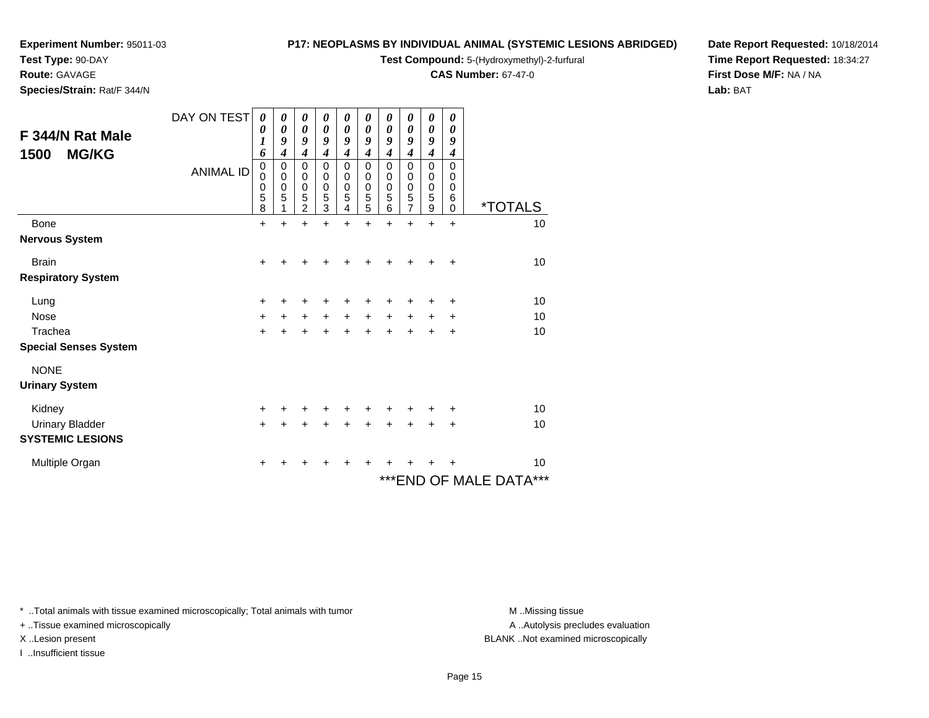**Test Type:** 90-DAY

### **Route:** GAVAGE

**Species/Strain:** Rat/F 344/N

#### **P17: NEOPLASMS BY INDIVIDUAL ANIMAL (SYSTEMIC LESIONS ABRIDGED)**

**Test Compound:** 5-(Hydroxymethyl)-2-furfural

**CAS Number:** 67-47-0

**Date Report Requested:** 10/18/2014**Time Report Requested:** 18:34:27**First Dose M/F:** NA / NA**Lab:** BAT

| F 344/N Rat Male<br><b>MG/KG</b><br>1500 | DAY ON TEST<br><b>ANIMAL ID</b> | 0<br>0<br>1<br>6<br>$\mathbf 0$<br>0<br>0<br>5<br>8 | 0<br>$\boldsymbol{\theta}$<br>9<br>4<br>0<br>0<br>$\mathbf 0$<br>5 | $\boldsymbol{\theta}$<br>$\boldsymbol{\theta}$<br>$\boldsymbol{g}$<br>$\boldsymbol{4}$<br>$\mathbf 0$<br>0<br>$\mathbf 0$<br>5<br>$\overline{2}$ | 0<br>$\boldsymbol{\theta}$<br>9<br>$\boldsymbol{4}$<br>$\mathbf 0$<br>0<br>$\mathbf 0$<br>5<br>3 | 0<br>$\boldsymbol{\theta}$<br>9<br>$\boldsymbol{4}$<br>$\mathbf 0$<br>0<br>$\pmb{0}$<br>5<br>4 | $\boldsymbol{\theta}$<br>$\boldsymbol{\theta}$<br>9<br>4<br>$\mathbf 0$<br>0<br>$\pmb{0}$<br>5<br>5 | 0<br>$\boldsymbol{\theta}$<br>9<br>$\boldsymbol{4}$<br>0<br>0<br>$\pmb{0}$<br>5<br>6 | 0<br>$\boldsymbol{\theta}$<br>9<br>$\overline{\boldsymbol{4}}$<br>$\mathbf 0$<br>0<br>$\pmb{0}$<br>5<br>$\overline{7}$ | 0<br>$\boldsymbol{\theta}$<br>9<br>$\boldsymbol{4}$<br>$\pmb{0}$<br>$\,0\,$<br>$\,0\,$<br>$\mathbf 5$<br>$\overline{9}$ | 0<br>0<br>9<br>4<br>$\mathbf{0}$<br>0<br>0<br>6<br>$\mathbf 0$ | <i><b>*TOTALS</b></i>   |
|------------------------------------------|---------------------------------|-----------------------------------------------------|--------------------------------------------------------------------|--------------------------------------------------------------------------------------------------------------------------------------------------|--------------------------------------------------------------------------------------------------|------------------------------------------------------------------------------------------------|-----------------------------------------------------------------------------------------------------|--------------------------------------------------------------------------------------|------------------------------------------------------------------------------------------------------------------------|-------------------------------------------------------------------------------------------------------------------------|----------------------------------------------------------------|-------------------------|
| Bone                                     |                                 | $\ddot{}$                                           | $\ddot{}$                                                          | $\ddot{}$                                                                                                                                        | $\ddot{}$                                                                                        | $\ddot{}$                                                                                      | $\ddot{}$                                                                                           | $\ddot{}$                                                                            | $\ddot{}$                                                                                                              | $\ddot{}$                                                                                                               | $\ddot{}$                                                      | 10                      |
| <b>Nervous System</b>                    |                                 |                                                     |                                                                    |                                                                                                                                                  |                                                                                                  |                                                                                                |                                                                                                     |                                                                                      |                                                                                                                        |                                                                                                                         |                                                                |                         |
| <b>Brain</b>                             |                                 | $\ddot{}$                                           |                                                                    |                                                                                                                                                  |                                                                                                  |                                                                                                |                                                                                                     |                                                                                      |                                                                                                                        |                                                                                                                         | +                                                              | 10                      |
| <b>Respiratory System</b>                |                                 |                                                     |                                                                    |                                                                                                                                                  |                                                                                                  |                                                                                                |                                                                                                     |                                                                                      |                                                                                                                        |                                                                                                                         |                                                                |                         |
| Lung                                     |                                 | +                                                   | ┿                                                                  | +                                                                                                                                                |                                                                                                  |                                                                                                |                                                                                                     |                                                                                      |                                                                                                                        | ٠                                                                                                                       | +                                                              | 10                      |
| <b>Nose</b>                              |                                 | +                                                   | +                                                                  | $\ddot{}$                                                                                                                                        | $\ddot{}$                                                                                        | $\ddot{}$                                                                                      | $\ddot{}$                                                                                           | $\ddot{}$                                                                            | $\ddot{}$                                                                                                              | $\ddot{}$                                                                                                               | ÷                                                              | 10                      |
| Trachea                                  |                                 | +                                                   | +                                                                  | $\ddot{}$                                                                                                                                        | +                                                                                                | $\ddot{}$                                                                                      |                                                                                                     | +                                                                                    | $\ddot{}$                                                                                                              | $\ddot{}$                                                                                                               | +                                                              | 10                      |
| <b>Special Senses System</b>             |                                 |                                                     |                                                                    |                                                                                                                                                  |                                                                                                  |                                                                                                |                                                                                                     |                                                                                      |                                                                                                                        |                                                                                                                         |                                                                |                         |
| <b>NONE</b>                              |                                 |                                                     |                                                                    |                                                                                                                                                  |                                                                                                  |                                                                                                |                                                                                                     |                                                                                      |                                                                                                                        |                                                                                                                         |                                                                |                         |
| <b>Urinary System</b>                    |                                 |                                                     |                                                                    |                                                                                                                                                  |                                                                                                  |                                                                                                |                                                                                                     |                                                                                      |                                                                                                                        |                                                                                                                         |                                                                |                         |
| Kidney                                   |                                 | +                                                   |                                                                    | +                                                                                                                                                |                                                                                                  | +                                                                                              |                                                                                                     |                                                                                      |                                                                                                                        |                                                                                                                         | +                                                              | 10                      |
| <b>Urinary Bladder</b>                   |                                 | $\ddot{}$                                           | +                                                                  | $\ddot{}$                                                                                                                                        | +                                                                                                | $\ddot{}$                                                                                      | $\ddot{}$                                                                                           | $\ddot{}$                                                                            | $\ddot{}$                                                                                                              | $\ddot{}$                                                                                                               | +                                                              | 10                      |
| <b>SYSTEMIC LESIONS</b>                  |                                 |                                                     |                                                                    |                                                                                                                                                  |                                                                                                  |                                                                                                |                                                                                                     |                                                                                      |                                                                                                                        |                                                                                                                         |                                                                |                         |
| Multiple Organ                           |                                 | +                                                   |                                                                    |                                                                                                                                                  |                                                                                                  |                                                                                                |                                                                                                     |                                                                                      |                                                                                                                        |                                                                                                                         |                                                                | 10                      |
|                                          |                                 |                                                     |                                                                    |                                                                                                                                                  |                                                                                                  |                                                                                                |                                                                                                     |                                                                                      |                                                                                                                        |                                                                                                                         |                                                                | *** END OF MALE DATA*** |

\* ..Total animals with tissue examined microscopically; Total animals with tumor **M** . Missing tissue M ..Missing tissue

+ ..Tissue examined microscopically

I ..Insufficient tissue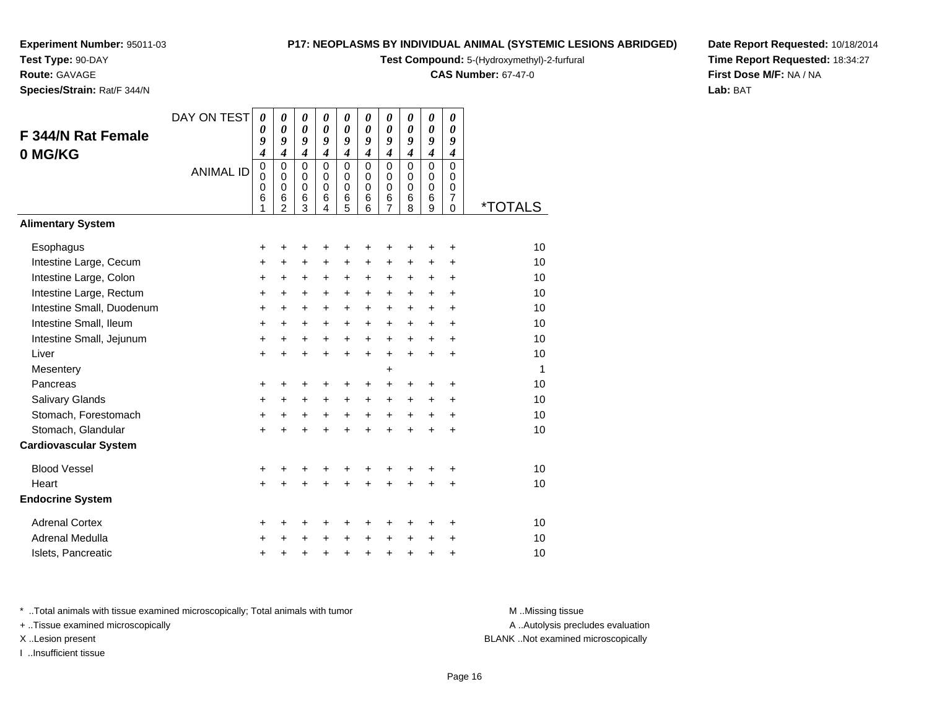**Test Type:** 90-DAY

**Route:** GAVAGE

**Species/Strain:** Rat/F 344/N

#### **P17: NEOPLASMS BY INDIVIDUAL ANIMAL (SYSTEMIC LESIONS ABRIDGED)**

**Test Compound:** 5-(Hydroxymethyl)-2-furfural

**CAS Number:** 67-47-0

**Date Report Requested:** 10/18/2014**Time Report Requested:** 18:34:27**First Dose M/F:** NA / NA**Lab:** BAT

| <b>F 344/N Rat Female</b><br>0 MG/KG | DAY ON TEST<br><b>ANIMAL ID</b> | 0<br>0<br>9<br>4<br>$\mathbf 0$<br>0<br>0<br>6 | 0<br>$\boldsymbol{\theta}$<br>9<br>$\overline{\boldsymbol{4}}$<br>$\mathbf 0$<br>$\mathbf 0$<br>$\mathbf 0$<br>6 | 0<br>$\boldsymbol{\theta}$<br>9<br>$\boldsymbol{4}$<br>$\Omega$<br>0<br>$\mathbf 0$<br>6 | 0<br>$\boldsymbol{\theta}$<br>9<br>$\boldsymbol{4}$<br>$\Omega$<br>$\mathbf 0$<br>$\mathbf 0$<br>6 | 0<br>$\boldsymbol{\theta}$<br>9<br>$\boldsymbol{4}$<br>$\mathbf 0$<br>$\pmb{0}$<br>$\pmb{0}$<br>6 | 0<br>0<br>9<br>$\boldsymbol{4}$<br>$\Omega$<br>$\mathbf 0$<br>$\mathbf 0$<br>6 | 0<br>0<br>9<br>$\boldsymbol{4}$<br>$\mathbf 0$<br>0<br>$\mathbf 0$<br>6 | 0<br>$\boldsymbol{\theta}$<br>9<br>$\boldsymbol{4}$<br>$\mathbf 0$<br>$\mathbf 0$<br>$\mathbf 0$<br>6 | 0<br>$\boldsymbol{\theta}$<br>9<br>$\boldsymbol{4}$<br>$\mathbf 0$<br>0<br>$\mathbf 0$<br>6 | 0<br>0<br>9<br>$\boldsymbol{4}$<br>0<br>$\mathbf 0$<br>$\mathbf 0$<br>$\overline{7}$ |                       |
|--------------------------------------|---------------------------------|------------------------------------------------|------------------------------------------------------------------------------------------------------------------|------------------------------------------------------------------------------------------|----------------------------------------------------------------------------------------------------|---------------------------------------------------------------------------------------------------|--------------------------------------------------------------------------------|-------------------------------------------------------------------------|-------------------------------------------------------------------------------------------------------|---------------------------------------------------------------------------------------------|--------------------------------------------------------------------------------------|-----------------------|
| <b>Alimentary System</b>             |                                 |                                                | $\overline{2}$                                                                                                   | 3                                                                                        | 4                                                                                                  | 5                                                                                                 | 6                                                                              | 7                                                                       | 8                                                                                                     | 9                                                                                           | 0                                                                                    | <i><b>*TOTALS</b></i> |
|                                      |                                 |                                                |                                                                                                                  |                                                                                          |                                                                                                    |                                                                                                   |                                                                                |                                                                         |                                                                                                       |                                                                                             |                                                                                      |                       |
| Esophagus                            |                                 | +                                              | +                                                                                                                | +                                                                                        | +                                                                                                  | +                                                                                                 | +                                                                              | +                                                                       | +                                                                                                     | +                                                                                           | $\ddot{}$                                                                            | 10                    |
| Intestine Large, Cecum               |                                 | +                                              | $\ddot{}$                                                                                                        | $\ddot{}$                                                                                | $\ddot{}$                                                                                          | $\ddot{}$                                                                                         | $\ddot{}$                                                                      | $\ddot{}$                                                               | +                                                                                                     | $\ddot{}$                                                                                   | $\ddot{}$                                                                            | 10                    |
| Intestine Large, Colon               |                                 | +                                              | +                                                                                                                | $\ddot{}$                                                                                | +                                                                                                  | $\ddot{}$                                                                                         | $+$                                                                            | $\ddot{}$                                                               | $\ddot{}$                                                                                             | $\ddot{}$                                                                                   | $\ddot{}$                                                                            | 10                    |
| Intestine Large, Rectum              |                                 | $\ddot{}$                                      | $\ddot{}$                                                                                                        | $\ddot{}$                                                                                | $\ddot{}$                                                                                          | $\ddot{}$                                                                                         | $\ddot{}$                                                                      | $\ddot{}$                                                               | $\ddot{}$                                                                                             | $\ddot{}$                                                                                   | $\ddot{}$                                                                            | 10                    |
| Intestine Small, Duodenum            |                                 | +                                              | +                                                                                                                | $\ddot{}$                                                                                | +                                                                                                  | +                                                                                                 | +                                                                              | +                                                                       | +                                                                                                     | +                                                                                           | $\ddot{}$                                                                            | 10                    |
| Intestine Small, Ileum               |                                 | +                                              | $\ddot{}$                                                                                                        | $\ddot{}$                                                                                | $\ddot{}$                                                                                          | $\ddot{}$                                                                                         | $\ddot{}$                                                                      | $\ddot{}$                                                               | $\ddot{}$                                                                                             | $\ddot{}$                                                                                   | $\ddot{}$                                                                            | 10                    |
| Intestine Small, Jejunum             |                                 | +                                              | +                                                                                                                | $\ddot{}$                                                                                | $\ddot{}$                                                                                          | $\ddot{}$                                                                                         | $\ddot{}$                                                                      | $\ddot{}$                                                               | $\ddot{}$                                                                                             | $\ddot{}$                                                                                   | $\ddot{}$                                                                            | 10                    |
| Liver                                |                                 | $\ddot{}$                                      | $\ddot{}$                                                                                                        | $\ddot{}$                                                                                | $\ddot{}$                                                                                          | $\ddot{}$                                                                                         | $\ddot{}$                                                                      | $\ddot{}$                                                               | $\ddot{}$                                                                                             | $\ddot{}$                                                                                   | $\ddot{}$                                                                            | 10                    |
| Mesentery                            |                                 |                                                |                                                                                                                  |                                                                                          |                                                                                                    |                                                                                                   |                                                                                | +                                                                       |                                                                                                       |                                                                                             |                                                                                      | 1                     |
| Pancreas                             |                                 | +                                              | +                                                                                                                | +                                                                                        |                                                                                                    | +                                                                                                 | +                                                                              | +                                                                       | +                                                                                                     | +                                                                                           | +                                                                                    | 10                    |
| Salivary Glands                      |                                 | +                                              | $\ddot{}$                                                                                                        | $\ddot{}$                                                                                | $\ddot{}$                                                                                          | $\ddot{}$                                                                                         | $+$                                                                            | $\ddot{}$                                                               | +                                                                                                     | +                                                                                           | $\ddot{}$                                                                            | 10                    |
| Stomach, Forestomach                 |                                 | $\ddot{}$                                      | $\ddot{}$                                                                                                        | $\ddot{}$                                                                                | $\ddot{}$                                                                                          | $+$                                                                                               | $\ddot{}$                                                                      | $\ddot{}$                                                               | $\ddot{}$                                                                                             | $\ddot{}$                                                                                   | $\ddot{}$                                                                            | 10                    |
| Stomach, Glandular                   |                                 | $\ddot{}$                                      | $\ddot{}$                                                                                                        | $\ddot{}$                                                                                | ÷                                                                                                  | $\ddot{}$                                                                                         | $\ddot{}$                                                                      | $\ddot{}$                                                               | $\ddot{}$                                                                                             | $\ddot{}$                                                                                   | $\ddot{}$                                                                            | 10                    |
| <b>Cardiovascular System</b>         |                                 |                                                |                                                                                                                  |                                                                                          |                                                                                                    |                                                                                                   |                                                                                |                                                                         |                                                                                                       |                                                                                             |                                                                                      |                       |
| <b>Blood Vessel</b>                  |                                 | +                                              | +                                                                                                                | +                                                                                        |                                                                                                    | +                                                                                                 | +                                                                              | +                                                                       | +                                                                                                     | +                                                                                           | +                                                                                    | 10                    |
| Heart                                |                                 | $\ddot{}$                                      |                                                                                                                  | $\ddot{}$                                                                                |                                                                                                    |                                                                                                   |                                                                                | $\ddot{}$                                                               | $\ddot{}$                                                                                             | $\ddot{}$                                                                                   | $\ddot{}$                                                                            | 10                    |
| <b>Endocrine System</b>              |                                 |                                                |                                                                                                                  |                                                                                          |                                                                                                    |                                                                                                   |                                                                                |                                                                         |                                                                                                       |                                                                                             |                                                                                      |                       |
| <b>Adrenal Cortex</b>                |                                 | +                                              | +                                                                                                                | +                                                                                        | +                                                                                                  | +                                                                                                 | ٠                                                                              | +                                                                       | +                                                                                                     | +                                                                                           | +                                                                                    | 10                    |
| Adrenal Medulla                      |                                 | +                                              |                                                                                                                  | +                                                                                        |                                                                                                    | +                                                                                                 | $\ddot{}$                                                                      | +                                                                       | $\ddot{}$                                                                                             | +                                                                                           | +                                                                                    | 10                    |
| Islets, Pancreatic                   |                                 | +                                              | +                                                                                                                | +                                                                                        | $\ddot{}$                                                                                          | +                                                                                                 | $\ddot{}$                                                                      | $\ddot{}$                                                               | $\ddot{}$                                                                                             | +                                                                                           | $\ddot{}$                                                                            | 10                    |

\* ..Total animals with tissue examined microscopically; Total animals with tumor **M** . Missing tissue M ..Missing tissue

+ ..Tissue examined microscopically

I ..Insufficient tissue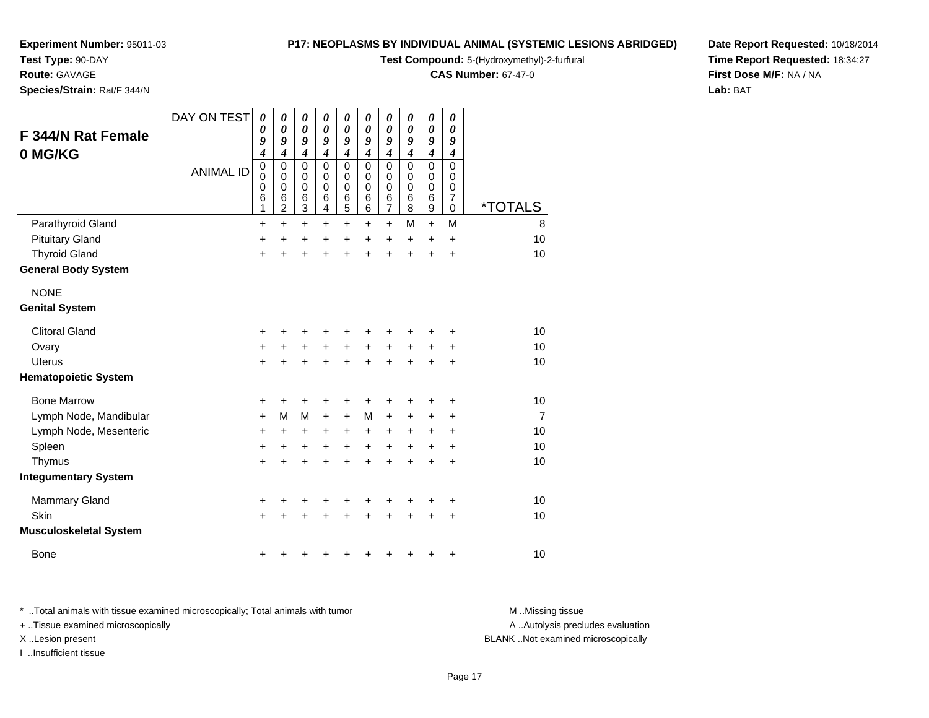**Test Type:** 90-DAY

#### **Route:** GAVAGE

**Species/Strain:** Rat/F 344/N

#### **P17: NEOPLASMS BY INDIVIDUAL ANIMAL (SYSTEMIC LESIONS ABRIDGED)**

**Test Compound:** 5-(Hydroxymethyl)-2-furfural

**CAS Number:** 67-47-0

**Date Report Requested:** 10/18/2014**Time Report Requested:** 18:34:27**First Dose M/F:** NA / NA**Lab:** BAT

| F 344/N Rat Female<br>0 MG/KG                      | DAY ON TEST      | 0<br>0<br>9<br>4      | 0<br>0<br>9<br>4                   | $\boldsymbol{\theta}$<br>$\boldsymbol{\theta}$<br>9<br>$\boldsymbol{4}$ | 0<br>$\boldsymbol{\theta}$<br>9<br>$\boldsymbol{4}$ | 0<br>0<br>9<br>$\boldsymbol{4}$           | 0<br>0<br>9<br>$\boldsymbol{4}$        | 0<br>$\boldsymbol{\theta}$<br>9<br>$\boldsymbol{4}$                  | 0<br>0<br>9<br>$\boldsymbol{4}$ | $\pmb{\theta}$<br>0<br>9<br>$\boldsymbol{4}$                       | 0<br>0<br>9<br>$\boldsymbol{4}$                     |                       |
|----------------------------------------------------|------------------|-----------------------|------------------------------------|-------------------------------------------------------------------------|-----------------------------------------------------|-------------------------------------------|----------------------------------------|----------------------------------------------------------------------|---------------------------------|--------------------------------------------------------------------|-----------------------------------------------------|-----------------------|
|                                                    | <b>ANIMAL ID</b> | 0<br>0<br>0<br>6<br>1 | 0<br>0<br>0<br>6<br>$\overline{c}$ | $\mathbf 0$<br>0<br>$\mathbf 0$<br>6<br>$\ensuremath{\mathsf{3}}$       | $\Omega$<br>0<br>$\mathbf 0$<br>6<br>4              | $\mathbf 0$<br>0<br>$\mathbf 0$<br>6<br>5 | $\Omega$<br>0<br>$\mathbf 0$<br>6<br>6 | $\mathbf 0$<br>$\mathbf 0$<br>$\mathbf 0$<br>$\,6$<br>$\overline{7}$ | $\Omega$<br>0<br>0<br>6<br>8    | $\mathbf 0$<br>$\pmb{0}$<br>$\pmb{0}$<br>$\,6$<br>$\boldsymbol{9}$ | $\Omega$<br>0<br>0<br>$\overline{7}$<br>$\mathbf 0$ | <i><b>*TOTALS</b></i> |
| Parathyroid Gland                                  |                  | $\ddot{}$             | $\ddot{}$                          | $\ddot{}$                                                               | +                                                   | $\ddot{}$                                 | +                                      | $\ddot{}$                                                            | M                               | $+$                                                                | M                                                   | 8                     |
| <b>Pituitary Gland</b>                             |                  | +                     | +                                  | +                                                                       | +                                                   | +                                         | +                                      | +                                                                    | +                               | +                                                                  | +                                                   | 10                    |
| <b>Thyroid Gland</b><br><b>General Body System</b> |                  | $\ddot{}$             | +                                  | +                                                                       | +                                                   | +                                         | +                                      | $\ddot{}$                                                            | $\ddot{}$                       | $\ddot{}$                                                          | $\ddot{}$                                           | 10                    |
| <b>NONE</b><br><b>Genital System</b>               |                  |                       |                                    |                                                                         |                                                     |                                           |                                        |                                                                      |                                 |                                                                    |                                                     |                       |
| <b>Clitoral Gland</b>                              |                  |                       |                                    |                                                                         |                                                     |                                           |                                        |                                                                      |                                 |                                                                    |                                                     | 10                    |
| Ovary                                              |                  | +<br>+                | +<br>+                             | +<br>+                                                                  | +<br>+                                              | $\ddot{}$                                 | +                                      | $\ddot{}$                                                            | +                               |                                                                    | +<br>+                                              | 10                    |
| <b>Uterus</b>                                      |                  | $\ddot{}$             |                                    | $\ddot{}$                                                               | +                                                   | $\ddot{}$                                 |                                        | $\ddot{}$                                                            |                                 | +<br>Ŧ.                                                            | $\ddot{}$                                           | 10                    |
| <b>Hematopoietic System</b>                        |                  |                       |                                    |                                                                         |                                                     |                                           |                                        |                                                                      |                                 |                                                                    |                                                     |                       |
| <b>Bone Marrow</b>                                 |                  | +                     | +                                  | +                                                                       | +                                                   | +                                         |                                        |                                                                      |                                 | +                                                                  | +                                                   | 10                    |
| Lymph Node, Mandibular                             |                  | +                     | М                                  | M                                                                       | +                                                   | $\ddot{}$                                 | M                                      | $\ddot{}$                                                            | +                               | +                                                                  | +                                                   | $\overline{7}$        |
| Lymph Node, Mesenteric                             |                  | +                     | +                                  | +                                                                       | +                                                   | +                                         | +                                      | +                                                                    | +                               | +                                                                  | +                                                   | 10                    |
| Spleen                                             |                  | +                     | +                                  | +                                                                       | +                                                   | +                                         | +                                      | +                                                                    | +                               | +                                                                  | +                                                   | 10                    |
| Thymus                                             |                  | $\ddot{}$             | +                                  | +                                                                       | +                                                   | +                                         |                                        | $\ddot{}$                                                            | $\ddot{}$                       | $\ddot{}$                                                          | $\ddot{}$                                           | 10                    |
| <b>Integumentary System</b>                        |                  |                       |                                    |                                                                         |                                                     |                                           |                                        |                                                                      |                                 |                                                                    |                                                     |                       |
| Mammary Gland                                      |                  | +                     | +                                  | +                                                                       | +                                                   | +                                         | +                                      | +                                                                    | +                               | +                                                                  | +                                                   | 10                    |
| Skin                                               |                  | $\ddot{}$             |                                    | +                                                                       |                                                     |                                           |                                        |                                                                      |                                 | ÷                                                                  | $\ddot{}$                                           | 10                    |
| <b>Musculoskeletal System</b>                      |                  |                       |                                    |                                                                         |                                                     |                                           |                                        |                                                                      |                                 |                                                                    |                                                     |                       |
| Bone                                               |                  | +                     |                                    |                                                                         |                                                     |                                           |                                        |                                                                      |                                 | +                                                                  | +                                                   | 10                    |

\* ..Total animals with tissue examined microscopically; Total animals with tumor **M** . Missing tissue M ..Missing tissue A ..Autolysis precludes evaluation + ..Tissue examined microscopically X ..Lesion present BLANK ..Not examined microscopicallyI ..Insufficient tissue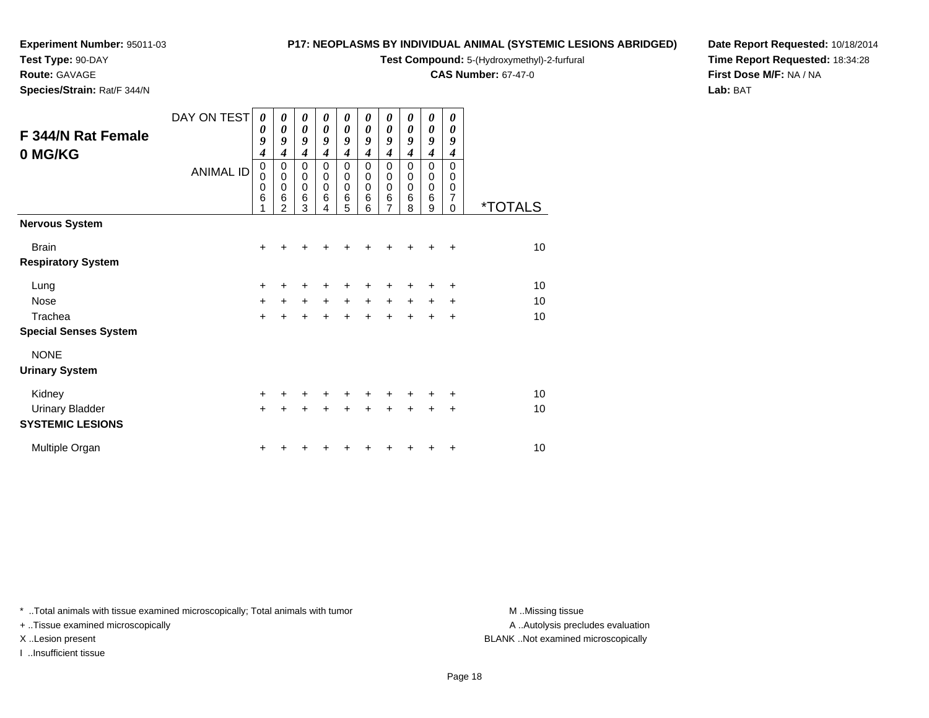**Test Type:** 90-DAY

**Route:** GAVAGE

**Species/Strain:** Rat/F 344/N

#### **P17: NEOPLASMS BY INDIVIDUAL ANIMAL (SYSTEMIC LESIONS ABRIDGED)**

**Test Compound:** 5-(Hydroxymethyl)-2-furfural

**CAS Number:** 67-47-0

**Date Report Requested:** 10/18/2014**Time Report Requested:** 18:34:28**First Dose M/F:** NA / NA**Lab:** BAT

| F 344/N Rat Female<br>0 MG/KG | DAY ON TEST<br><b>ANIMAL ID</b> | 0<br>0<br>9<br>$\boldsymbol{4}$<br>0<br>$\mathbf 0$<br>0<br>6<br>1 | 0<br>0<br>9<br>4<br>0<br>0<br>0<br>6<br>$\mathfrak{p}$ | 0<br>$\boldsymbol{\theta}$<br>9<br>$\boldsymbol{4}$<br>0<br>$\pmb{0}$<br>$\mathbf 0$<br>6<br>3 | $\boldsymbol{\theta}$<br>0<br>9<br>4<br>0<br>$\mathbf 0$<br>$\mathbf 0$<br>6<br>4 | 0<br>$\boldsymbol{\theta}$<br>9<br>$\boldsymbol{4}$<br>$\pmb{0}$<br>$\mathbf 0$<br>$\mathbf 0$<br>$\,6$<br>5 | 0<br>0<br>9<br>4<br>0<br>$\mathbf 0$<br>$\mathbf 0$<br>6<br>6 | 0<br>$\boldsymbol{\theta}$<br>9<br>$\boldsymbol{4}$<br>0<br>$\mathbf 0$<br>$\mathbf 0$<br>$\,6$<br>$\overline{7}$ | 0<br>0<br>9<br>$\boldsymbol{4}$<br>0<br>$\mathbf 0$<br>$\mathbf 0$<br>6<br>8 | 0<br>0<br>9<br>4<br>0<br>0<br>0<br>6<br>9 | 0<br>0<br>9<br>4<br>0<br>0<br>0<br>7<br>$\Omega$ | <i><b>*TOTALS</b></i> |
|-------------------------------|---------------------------------|--------------------------------------------------------------------|--------------------------------------------------------|------------------------------------------------------------------------------------------------|-----------------------------------------------------------------------------------|--------------------------------------------------------------------------------------------------------------|---------------------------------------------------------------|-------------------------------------------------------------------------------------------------------------------|------------------------------------------------------------------------------|-------------------------------------------|--------------------------------------------------|-----------------------|
| <b>Nervous System</b>         |                                 |                                                                    |                                                        |                                                                                                |                                                                                   |                                                                                                              |                                                               |                                                                                                                   |                                                                              |                                           |                                                  |                       |
| <b>Brain</b>                  |                                 | $\ddot{}$                                                          | +                                                      | ٠                                                                                              | +                                                                                 | +                                                                                                            |                                                               | +                                                                                                                 |                                                                              | +                                         | ÷                                                | 10                    |
| <b>Respiratory System</b>     |                                 |                                                                    |                                                        |                                                                                                |                                                                                   |                                                                                                              |                                                               |                                                                                                                   |                                                                              |                                           |                                                  |                       |
| Lung                          |                                 | $\ddot{}$                                                          | +                                                      | $\ddot{}$                                                                                      | ٠                                                                                 | +                                                                                                            |                                                               |                                                                                                                   |                                                                              |                                           | +                                                | 10                    |
| <b>Nose</b>                   |                                 | $\ddot{}$                                                          | $+$                                                    | $+$                                                                                            | $+$                                                                               | $+$                                                                                                          | $+$                                                           | $+$                                                                                                               | $+$                                                                          | $\ddot{}$                                 | +                                                | 10                    |
| Trachea                       |                                 | $\ddot{}$                                                          | $\ddot{}$                                              | $\ddot{}$                                                                                      | $\ddot{}$                                                                         | $\ddot{+}$                                                                                                   | $\ddot{+}$                                                    | $\ddot{}$                                                                                                         |                                                                              | $\ddot{}$                                 | $\ddot{}$                                        | 10                    |
| <b>Special Senses System</b>  |                                 |                                                                    |                                                        |                                                                                                |                                                                                   |                                                                                                              |                                                               |                                                                                                                   |                                                                              |                                           |                                                  |                       |
| <b>NONE</b>                   |                                 |                                                                    |                                                        |                                                                                                |                                                                                   |                                                                                                              |                                                               |                                                                                                                   |                                                                              |                                           |                                                  |                       |
| <b>Urinary System</b>         |                                 |                                                                    |                                                        |                                                                                                |                                                                                   |                                                                                                              |                                                               |                                                                                                                   |                                                                              |                                           |                                                  |                       |
| Kidney                        |                                 | $\ddot{}$                                                          | ٠                                                      | +                                                                                              | ٠                                                                                 | $\ddot{}$                                                                                                    | $\ddot{}$                                                     | $\ddot{}$                                                                                                         | ٠                                                                            | ٠                                         | ÷                                                | 10                    |
| <b>Urinary Bladder</b>        |                                 | $\ddot{}$                                                          | +                                                      | $\ddot{}$                                                                                      | $\ddot{}$                                                                         | $\ddot{}$                                                                                                    | $\ddot{}$                                                     |                                                                                                                   |                                                                              | $\ddot{}$                                 | $\ddot{}$                                        | 10                    |
| <b>SYSTEMIC LESIONS</b>       |                                 |                                                                    |                                                        |                                                                                                |                                                                                   |                                                                                                              |                                                               |                                                                                                                   |                                                                              |                                           |                                                  |                       |
| Multiple Organ                |                                 | $\ddot{}$                                                          |                                                        |                                                                                                |                                                                                   |                                                                                                              |                                                               |                                                                                                                   |                                                                              |                                           | ÷                                                | 10                    |

\* ..Total animals with tissue examined microscopically; Total animals with tumor **M** . Missing tissue M ..Missing tissue

+ ..Tissue examined microscopically

I ..Insufficient tissue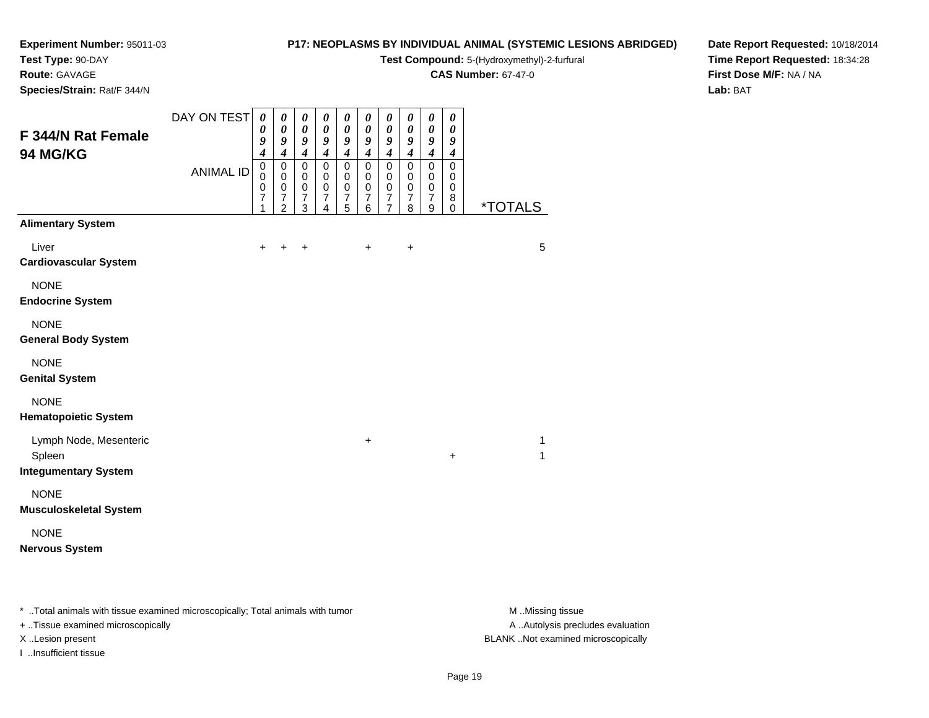**Test Type:** 90-DAY

**Route:** GAVAGE

**Species/Strain:** Rat/F 344/N

#### **P17: NEOPLASMS BY INDIVIDUAL ANIMAL (SYSTEMIC LESIONS ABRIDGED)**

**Test Compound:** 5-(Hydroxymethyl)-2-furfural

**CAS Number:** 67-47-0

**Date Report Requested:** 10/18/2014**Time Report Requested:** 18:34:28**First Dose M/F:** NA / NA**Lab:** BAT

| F 344/N Rat Female<br>94 MG/KG                                  | DAY ON TEST<br><b>ANIMAL ID</b> | 0<br>0<br>9<br>$\overline{\boldsymbol{4}}$<br>$\mbox{O}$<br>$\mathbf 0$<br>$\pmb{0}$<br>$\overline{7}$ | $\boldsymbol{\theta}$<br>$\boldsymbol{\theta}$<br>9<br>$\boldsymbol{4}$<br>$\pmb{0}$<br>$\mathbf 0$<br>$\pmb{0}$<br>$\boldsymbol{7}$ | $\pmb{\theta}$<br>0<br>9<br>$\boldsymbol{4}$<br>$\overline{0}$<br>$\pmb{0}$<br>$\pmb{0}$<br>$\overline{7}$ | $\boldsymbol{\theta}$<br>$\boldsymbol{\theta}$<br>$\boldsymbol{g}$<br>$\boldsymbol{4}$<br>$\pmb{0}$<br>$\mathbf 0$<br>$\pmb{0}$<br>$\overline{7}$ | $\pmb{\theta}$<br>$\boldsymbol{\theta}$<br>$\boldsymbol{g}$<br>$\boldsymbol{4}$<br>$\mathbf 0$<br>$\pmb{0}$<br>$\pmb{0}$<br>$\overline{7}$ | $\pmb{\theta}$<br>$\boldsymbol{\theta}$<br>$\pmb{9}$<br>$\boldsymbol{4}$<br>$\pmb{0}$<br>$\mathbf 0$<br>$\pmb{0}$<br>$\boldsymbol{7}$ | $\boldsymbol{\theta}$<br>0<br>9<br>$\boldsymbol{4}$<br>$\pmb{0}$<br>0<br>0<br>$\boldsymbol{7}$ | 0<br>0<br>9<br>$\boldsymbol{4}$<br>$\mathsf 0$<br>$\mathbf 0$<br>0<br>$\boldsymbol{7}$ | $\boldsymbol{\theta}$<br>$\boldsymbol{\theta}$<br>9<br>$\boldsymbol{4}$<br>$\mathsf 0$<br>$\mathbf 0$<br>$\,0\,$<br>$\overline{7}$ | 0<br>$\pmb{\theta}$<br>9<br>$\boldsymbol{4}$<br>0<br>$\mathbf 0$<br>0<br>8 |                       |
|-----------------------------------------------------------------|---------------------------------|--------------------------------------------------------------------------------------------------------|--------------------------------------------------------------------------------------------------------------------------------------|------------------------------------------------------------------------------------------------------------|---------------------------------------------------------------------------------------------------------------------------------------------------|--------------------------------------------------------------------------------------------------------------------------------------------|---------------------------------------------------------------------------------------------------------------------------------------|------------------------------------------------------------------------------------------------|----------------------------------------------------------------------------------------|------------------------------------------------------------------------------------------------------------------------------------|----------------------------------------------------------------------------|-----------------------|
| <b>Alimentary System</b>                                        |                                 | 1                                                                                                      | $\overline{2}$                                                                                                                       | 3                                                                                                          | 4                                                                                                                                                 | 5                                                                                                                                          | 6                                                                                                                                     | $\overline{7}$                                                                                 | 8                                                                                      | 9                                                                                                                                  | $\mathbf 0$                                                                | <i><b>*TOTALS</b></i> |
| Liver<br><b>Cardiovascular System</b>                           |                                 | $\ddot{}$                                                                                              | $\div$                                                                                                                               | $\ddot{}$                                                                                                  |                                                                                                                                                   |                                                                                                                                            | $\ddot{}$                                                                                                                             |                                                                                                | +                                                                                      |                                                                                                                                    |                                                                            | 5                     |
| <b>NONE</b><br><b>Endocrine System</b>                          |                                 |                                                                                                        |                                                                                                                                      |                                                                                                            |                                                                                                                                                   |                                                                                                                                            |                                                                                                                                       |                                                                                                |                                                                                        |                                                                                                                                    |                                                                            |                       |
| <b>NONE</b><br><b>General Body System</b>                       |                                 |                                                                                                        |                                                                                                                                      |                                                                                                            |                                                                                                                                                   |                                                                                                                                            |                                                                                                                                       |                                                                                                |                                                                                        |                                                                                                                                    |                                                                            |                       |
| <b>NONE</b><br><b>Genital System</b>                            |                                 |                                                                                                        |                                                                                                                                      |                                                                                                            |                                                                                                                                                   |                                                                                                                                            |                                                                                                                                       |                                                                                                |                                                                                        |                                                                                                                                    |                                                                            |                       |
| <b>NONE</b><br><b>Hematopoietic System</b>                      |                                 |                                                                                                        |                                                                                                                                      |                                                                                                            |                                                                                                                                                   |                                                                                                                                            |                                                                                                                                       |                                                                                                |                                                                                        |                                                                                                                                    |                                                                            |                       |
| Lymph Node, Mesenteric<br>Spleen<br><b>Integumentary System</b> |                                 |                                                                                                        |                                                                                                                                      |                                                                                                            |                                                                                                                                                   |                                                                                                                                            | $\ddot{}$                                                                                                                             |                                                                                                |                                                                                        |                                                                                                                                    | +                                                                          | 1<br>1                |
| <b>NONE</b><br><b>Musculoskeletal System</b>                    |                                 |                                                                                                        |                                                                                                                                      |                                                                                                            |                                                                                                                                                   |                                                                                                                                            |                                                                                                                                       |                                                                                                |                                                                                        |                                                                                                                                    |                                                                            |                       |
| <b>NONE</b><br><b>Nervous System</b>                            |                                 |                                                                                                        |                                                                                                                                      |                                                                                                            |                                                                                                                                                   |                                                                                                                                            |                                                                                                                                       |                                                                                                |                                                                                        |                                                                                                                                    |                                                                            |                       |

\* ..Total animals with tissue examined microscopically; Total animals with tumor **M** . Missing tissue M ..Missing tissue

+ ..Tissue examined microscopically

I ..Insufficient tissue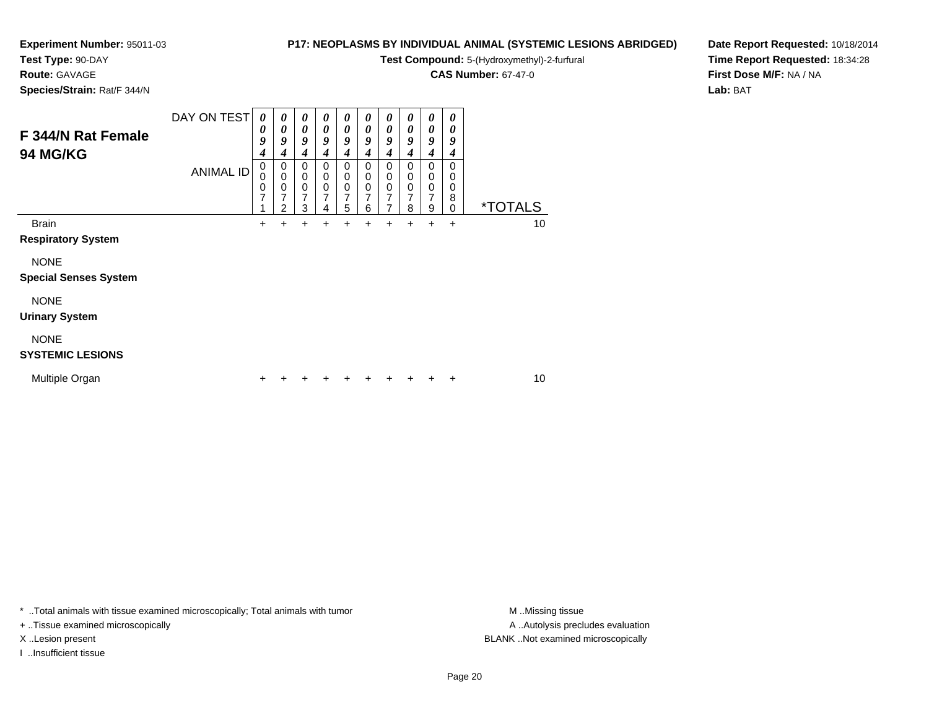**Test Type:** 90-DAY

**Route:** GAVAGE

**Species/Strain:** Rat/F 344/N

#### **P17: NEOPLASMS BY INDIVIDUAL ANIMAL (SYSTEMIC LESIONS ABRIDGED)**

**Test Compound:** 5-(Hydroxymethyl)-2-furfural

**CAS Number:** 67-47-0

**Date Report Requested:** 10/18/2014**Time Report Requested:** 18:34:28**First Dose M/F:** NA / NA**Lab:** BAT

| F 344/N Rat Female<br><b>94 MG/KG</b> | DAY ON TEST      | $\boldsymbol{\theta}$<br>0<br>9<br>4 | $\boldsymbol{\theta}$<br>0<br>9<br>4 | 0<br>0<br>9<br>4                             | 0<br>$\boldsymbol{\theta}$<br>9<br>$\boldsymbol{4}$ | 0<br>0<br>9<br>4                   | 0<br>$\boldsymbol{\theta}$<br>9<br>$\boldsymbol{4}$ | $\boldsymbol{\theta}$<br>0<br>9<br>4 | $\boldsymbol{\theta}$<br>0<br>9<br>$\boldsymbol{4}$ | $\boldsymbol{\theta}$<br>0<br>9<br>4 | 0<br>0<br>9<br>4                |                       |
|---------------------------------------|------------------|--------------------------------------|--------------------------------------|----------------------------------------------|-----------------------------------------------------|------------------------------------|-----------------------------------------------------|--------------------------------------|-----------------------------------------------------|--------------------------------------|---------------------------------|-----------------------|
|                                       | <b>ANIMAL ID</b> | 0<br>0<br>0<br>7                     | 0<br>0<br>0<br>$\overline{7}$<br>2   | 0<br>0<br>$\mathbf 0$<br>$\overline{7}$<br>3 | 0<br>0<br>$\mathbf 0$<br>7<br>4                     | 0<br>0<br>0<br>$\overline{7}$<br>5 | 0<br>0<br>$\mathbf 0$<br>7<br>6                     | 0<br>0<br>0<br>7<br>7                | 0<br>0<br>$\mathbf 0$<br>7<br>8                     | 0<br>0<br>0<br>7<br>9                | 0<br>0<br>0<br>8<br>$\mathbf 0$ | <i><b>*TOTALS</b></i> |
| <b>Brain</b>                          |                  | $\ddot{}$                            | $\ddot{}$                            | +                                            | $\ddot{}$                                           | +                                  | +                                                   | +                                    | $\ddot{}$                                           | $\ddot{}$                            | ÷                               | 10                    |
| <b>Respiratory System</b>             |                  |                                      |                                      |                                              |                                                     |                                    |                                                     |                                      |                                                     |                                      |                                 |                       |
| <b>NONE</b>                           |                  |                                      |                                      |                                              |                                                     |                                    |                                                     |                                      |                                                     |                                      |                                 |                       |
| <b>Special Senses System</b>          |                  |                                      |                                      |                                              |                                                     |                                    |                                                     |                                      |                                                     |                                      |                                 |                       |
| <b>NONE</b>                           |                  |                                      |                                      |                                              |                                                     |                                    |                                                     |                                      |                                                     |                                      |                                 |                       |
| <b>Urinary System</b>                 |                  |                                      |                                      |                                              |                                                     |                                    |                                                     |                                      |                                                     |                                      |                                 |                       |
| <b>NONE</b>                           |                  |                                      |                                      |                                              |                                                     |                                    |                                                     |                                      |                                                     |                                      |                                 |                       |
| <b>SYSTEMIC LESIONS</b>               |                  |                                      |                                      |                                              |                                                     |                                    |                                                     |                                      |                                                     |                                      |                                 |                       |
| Multiple Organ                        |                  | ٠                                    |                                      |                                              |                                                     |                                    |                                                     |                                      |                                                     |                                      | ÷                               | 10                    |

\* ..Total animals with tissue examined microscopically; Total animals with tumor **M** . Missing tissue M ..Missing tissue

+ ..Tissue examined microscopically

I ..Insufficient tissue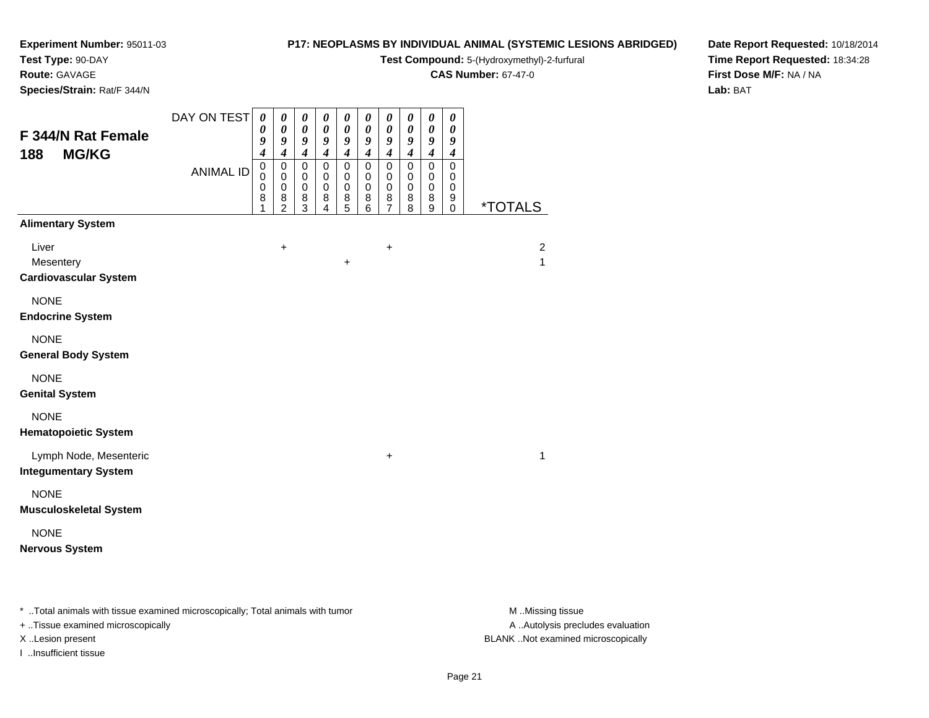**Test Type:** 90-DAY

**Route:** GAVAGE

**Species/Strain:** Rat/F 344/N

#### **P17: NEOPLASMS BY INDIVIDUAL ANIMAL (SYSTEMIC LESIONS ABRIDGED)**

**Test Compound:** 5-(Hydroxymethyl)-2-furfural

**CAS Number:** 67-47-0

**Date Report Requested:** 10/18/2014**Time Report Requested:** 18:34:28**First Dose M/F:** NA / NA**Lab:** BAT

| F 344/N Rat Female<br>188<br><b>MG/KG</b>             | DAY ON TEST      | $\boldsymbol{\theta}$<br>0<br>9<br>$\boldsymbol{4}$ | 0<br>$\boldsymbol{\theta}$<br>9<br>$\boldsymbol{4}$              | 0<br>$\pmb{\theta}$<br>$\boldsymbol{9}$<br>$\boldsymbol{4}$ | $\boldsymbol{\theta}$<br>$\pmb{\theta}$<br>$\boldsymbol{g}$<br>$\boldsymbol{4}$ | 0<br>$\pmb{\theta}$<br>9<br>$\boldsymbol{4}$ | $\boldsymbol{\theta}$<br>$\boldsymbol{\theta}$<br>9<br>$\boldsymbol{4}$ | $\boldsymbol{\theta}$<br>$\pmb{\theta}$<br>9<br>$\boldsymbol{4}$ | 0<br>$\pmb{\theta}$<br>$\boldsymbol{g}$<br>$\boldsymbol{4}$ | $\pmb{\theta}$<br>$\pmb{\theta}$<br>9<br>$\boldsymbol{4}$ | $\boldsymbol{\theta}$<br>$\pmb{\theta}$<br>$\boldsymbol{g}$<br>$\boldsymbol{4}$ |                                |
|-------------------------------------------------------|------------------|-----------------------------------------------------|------------------------------------------------------------------|-------------------------------------------------------------|---------------------------------------------------------------------------------|----------------------------------------------|-------------------------------------------------------------------------|------------------------------------------------------------------|-------------------------------------------------------------|-----------------------------------------------------------|---------------------------------------------------------------------------------|--------------------------------|
|                                                       | <b>ANIMAL ID</b> | $\mathbf 0$<br>0<br>$\mathbf 0$<br>8<br>1           | $\mathbf 0$<br>$\mathbf 0$<br>$\mathbf 0$<br>8<br>$\overline{2}$ | $\mathbf 0$<br>$\mathbf 0$<br>$\mathbf 0$<br>8<br>3         | $\mathbf 0$<br>$\,0\,$<br>$\pmb{0}$<br>8<br>$\overline{4}$                      | $\pmb{0}$<br>0<br>$\pmb{0}$<br>$^8$ 5        | $\mathbf 0$<br>0<br>$\pmb{0}$<br>8<br>6                                 | $\mathbf 0$<br>0<br>$\mathbf 0$<br>$\frac{8}{7}$                 | $\mathbf 0$<br>0<br>$\mathbf 0$<br>8<br>8                   | $\mathbf 0$<br>0<br>$\mathbf 0$<br>8<br>9                 | $\mathbf 0$<br>0<br>$\mathbf 0$<br>9<br>0                                       | <i><b>*TOTALS</b></i>          |
| <b>Alimentary System</b>                              |                  |                                                     |                                                                  |                                                             |                                                                                 |                                              |                                                                         |                                                                  |                                                             |                                                           |                                                                                 |                                |
| Liver<br>Mesentery<br><b>Cardiovascular System</b>    |                  |                                                     | $\ddot{}$                                                        |                                                             |                                                                                 | $\ddot{}$                                    |                                                                         | $\ddot{}$                                                        |                                                             |                                                           |                                                                                 | $\overline{2}$<br>$\mathbf{1}$ |
| <b>NONE</b><br><b>Endocrine System</b>                |                  |                                                     |                                                                  |                                                             |                                                                                 |                                              |                                                                         |                                                                  |                                                             |                                                           |                                                                                 |                                |
| <b>NONE</b><br><b>General Body System</b>             |                  |                                                     |                                                                  |                                                             |                                                                                 |                                              |                                                                         |                                                                  |                                                             |                                                           |                                                                                 |                                |
| <b>NONE</b><br><b>Genital System</b>                  |                  |                                                     |                                                                  |                                                             |                                                                                 |                                              |                                                                         |                                                                  |                                                             |                                                           |                                                                                 |                                |
| <b>NONE</b><br><b>Hematopoietic System</b>            |                  |                                                     |                                                                  |                                                             |                                                                                 |                                              |                                                                         |                                                                  |                                                             |                                                           |                                                                                 |                                |
| Lymph Node, Mesenteric<br><b>Integumentary System</b> |                  |                                                     |                                                                  |                                                             |                                                                                 |                                              |                                                                         | $\ddot{}$                                                        |                                                             |                                                           |                                                                                 | $\mathbf{1}$                   |
| <b>NONE</b><br><b>Musculoskeletal System</b>          |                  |                                                     |                                                                  |                                                             |                                                                                 |                                              |                                                                         |                                                                  |                                                             |                                                           |                                                                                 |                                |
| <b>NONE</b><br><b>Nervous System</b>                  |                  |                                                     |                                                                  |                                                             |                                                                                 |                                              |                                                                         |                                                                  |                                                             |                                                           |                                                                                 |                                |
|                                                       |                  |                                                     |                                                                  |                                                             |                                                                                 |                                              |                                                                         |                                                                  |                                                             |                                                           |                                                                                 |                                |

\* ..Total animals with tissue examined microscopically; Total animals with tumor **M** . Missing tissue M ..Missing tissue

+ ..Tissue examined microscopically

I ..Insufficient tissue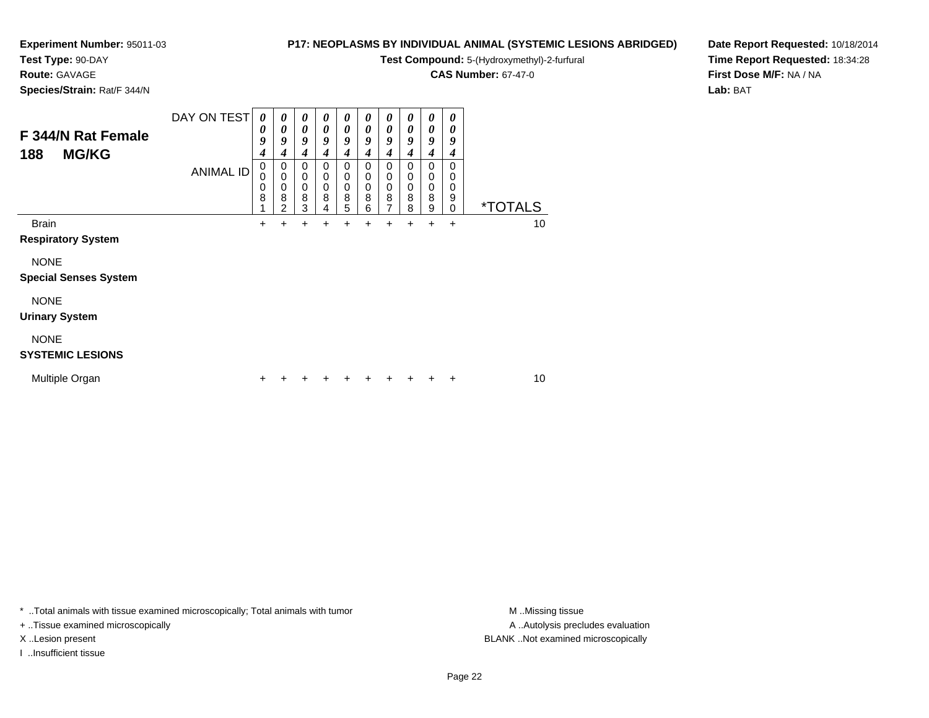### **Test Type:** 90-DAY

**Route:** GAVAGE

**Species/Strain:** Rat/F 344/N

#### **P17: NEOPLASMS BY INDIVIDUAL ANIMAL (SYSTEMIC LESIONS ABRIDGED)**

**Test Compound:** 5-(Hydroxymethyl)-2-furfural

**CAS Number:** 67-47-0

**Date Report Requested:** 10/18/2014**Time Report Requested:** 18:34:28**First Dose M/F:** NA / NA**Lab:** BAT

| F 344/N Rat Female<br><b>MG/KG</b><br>188   | DAY ON TEST      | 0<br>0<br>9<br>4 | $\boldsymbol{\theta}$<br>0<br>9<br>4      | 0<br>0<br>9<br>4                | 0<br>0<br>9<br>4                          | 0<br>0<br>9<br>4      | 0<br>$\boldsymbol{\theta}$<br>9<br>$\boldsymbol{4}$ | 0<br>0<br>9<br>4                | $\boldsymbol{\theta}$<br>$\boldsymbol{\theta}$<br>9<br>$\boldsymbol{4}$ | $\boldsymbol{\theta}$<br>0<br>9<br>4 | 0<br>0<br>9<br>4                |                       |
|---------------------------------------------|------------------|------------------|-------------------------------------------|---------------------------------|-------------------------------------------|-----------------------|-----------------------------------------------------|---------------------------------|-------------------------------------------------------------------------|--------------------------------------|---------------------------------|-----------------------|
|                                             | <b>ANIMAL ID</b> | 0<br>0<br>0<br>8 | 0<br>$\mathbf 0$<br>$\mathbf 0$<br>8<br>2 | 0<br>$\mathbf 0$<br>0<br>8<br>3 | 0<br>$\mathbf 0$<br>$\mathbf 0$<br>8<br>4 | 0<br>0<br>0<br>8<br>5 | 0<br>0<br>$\mathbf 0$<br>8<br>6                     | 0<br>$\mathbf 0$<br>0<br>8<br>7 | 0<br>$\mathbf 0$<br>$\pmb{0}$<br>8<br>8                                 | 0<br>0<br>0<br>8<br>9                | 0<br>0<br>0<br>9<br>$\mathbf 0$ | <i><b>*TOTALS</b></i> |
| <b>Brain</b><br><b>Respiratory System</b>   |                  | $\ddot{}$        | +                                         | +                               | +                                         | +                     | +                                                   | +                               | +                                                                       | +                                    | +                               | 10                    |
| <b>NONE</b><br><b>Special Senses System</b> |                  |                  |                                           |                                 |                                           |                       |                                                     |                                 |                                                                         |                                      |                                 |                       |
| <b>NONE</b><br><b>Urinary System</b>        |                  |                  |                                           |                                 |                                           |                       |                                                     |                                 |                                                                         |                                      |                                 |                       |
| <b>NONE</b><br><b>SYSTEMIC LESIONS</b>      |                  |                  |                                           |                                 |                                           |                       |                                                     |                                 |                                                                         |                                      |                                 |                       |
| Multiple Organ                              |                  | ÷                |                                           |                                 |                                           |                       | ٠                                                   |                                 |                                                                         |                                      | +                               | 10                    |

\* ..Total animals with tissue examined microscopically; Total animals with tumor **M** . Missing tissue M ..Missing tissue

+ ..Tissue examined microscopically

I ..Insufficient tissue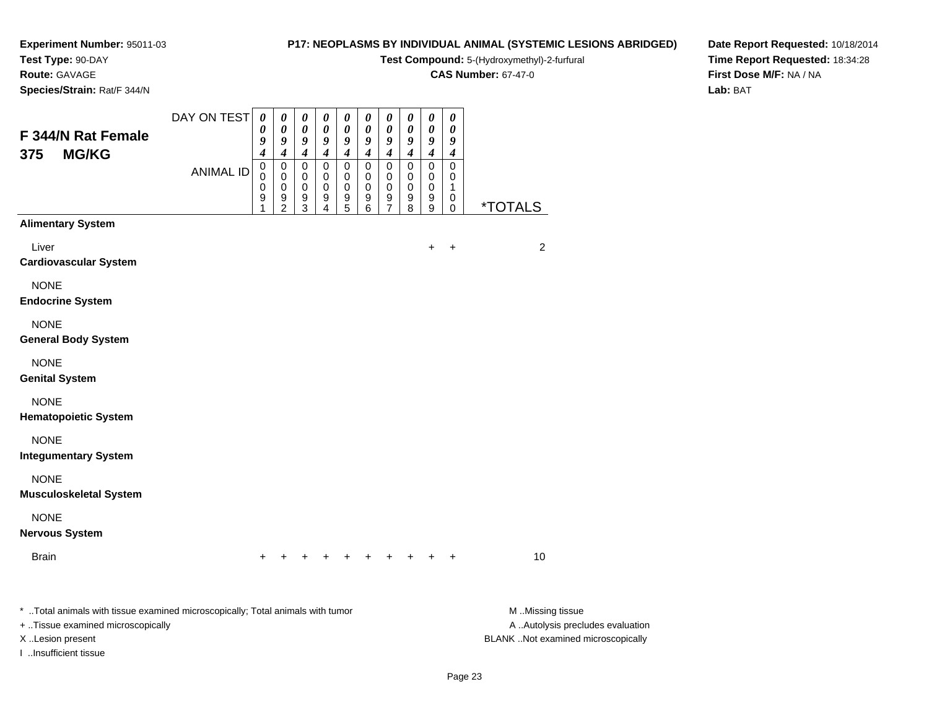### **Test Type:** 90-DAY

**Route:** GAVAGE

**Species/Strain:** Rat/F 344/N

#### **P17: NEOPLASMS BY INDIVIDUAL ANIMAL (SYSTEMIC LESIONS ABRIDGED)**

**Test Compound:** 5-(Hydroxymethyl)-2-furfural

**CAS Number:** 67-47-0

**Date Report Requested:** 10/18/2014**Time Report Requested:** 18:34:28**First Dose M/F:** NA / NA**Lab:** BAT

| F 344/N Rat Female                                                                                                                                               | DAY ON TEST      | $\boldsymbol{\theta}$<br>0<br>9 | $\pmb{\theta}$<br>0<br>9                  | $\boldsymbol{\theta}$<br>0<br>9                               | 0<br>0<br>9                                         | 0<br>0<br>9                               | $\boldsymbol{\theta}$<br>0<br>9    | $\pmb{\theta}$<br>0<br>9                                                 | $\pmb{\theta}$<br>0<br>9                                      | $\pmb{\theta}$<br>0<br>$\pmb{9}$                                        | $\pmb{\theta}$<br>0<br>9                                              |                                                                                             |
|------------------------------------------------------------------------------------------------------------------------------------------------------------------|------------------|---------------------------------|-------------------------------------------|---------------------------------------------------------------|-----------------------------------------------------|-------------------------------------------|------------------------------------|--------------------------------------------------------------------------|---------------------------------------------------------------|-------------------------------------------------------------------------|-----------------------------------------------------------------------|---------------------------------------------------------------------------------------------|
| <b>MG/KG</b><br>375                                                                                                                                              | <b>ANIMAL ID</b> | 4<br>$\mathbf 0$<br>0<br>0<br>9 | 4<br>$\pmb{0}$<br>0<br>0<br>$\frac{9}{2}$ | $\boldsymbol{4}$<br>$\mathbf 0$<br>$\mathbf 0$<br>0<br>9<br>3 | $\boldsymbol{4}$<br>$\mathbf 0$<br>0<br>0<br>9<br>4 | $\boldsymbol{4}$<br>0<br>0<br>0<br>9<br>5 | 4<br>0<br>0<br>$\pmb{0}$<br>9<br>6 | $\boldsymbol{4}$<br>$\pmb{0}$<br>0<br>$\mathbf 0$<br>9<br>$\overline{7}$ | $\boldsymbol{4}$<br>$\mathbf 0$<br>0<br>$\mathbf 0$<br>9<br>8 | $\boldsymbol{4}$<br>$\mathbf 0$<br>$\mathbf 0$<br>$\mathbf 0$<br>9<br>9 | $\boldsymbol{4}$<br>$\pmb{0}$<br>0<br>$\mathbf 1$<br>0<br>$\mathbf 0$ | <i><b>*TOTALS</b></i>                                                                       |
| <b>Alimentary System</b>                                                                                                                                         |                  |                                 |                                           |                                                               |                                                     |                                           |                                    |                                                                          |                                                               |                                                                         |                                                                       |                                                                                             |
| Liver<br><b>Cardiovascular System</b>                                                                                                                            |                  |                                 |                                           |                                                               |                                                     |                                           |                                    |                                                                          |                                                               | +                                                                       | $\ddot{}$                                                             | $\overline{c}$                                                                              |
| <b>NONE</b><br><b>Endocrine System</b>                                                                                                                           |                  |                                 |                                           |                                                               |                                                     |                                           |                                    |                                                                          |                                                               |                                                                         |                                                                       |                                                                                             |
| <b>NONE</b><br><b>General Body System</b>                                                                                                                        |                  |                                 |                                           |                                                               |                                                     |                                           |                                    |                                                                          |                                                               |                                                                         |                                                                       |                                                                                             |
| <b>NONE</b><br><b>Genital System</b>                                                                                                                             |                  |                                 |                                           |                                                               |                                                     |                                           |                                    |                                                                          |                                                               |                                                                         |                                                                       |                                                                                             |
| <b>NONE</b><br><b>Hematopoietic System</b>                                                                                                                       |                  |                                 |                                           |                                                               |                                                     |                                           |                                    |                                                                          |                                                               |                                                                         |                                                                       |                                                                                             |
| <b>NONE</b><br><b>Integumentary System</b>                                                                                                                       |                  |                                 |                                           |                                                               |                                                     |                                           |                                    |                                                                          |                                                               |                                                                         |                                                                       |                                                                                             |
| <b>NONE</b><br><b>Musculoskeletal System</b>                                                                                                                     |                  |                                 |                                           |                                                               |                                                     |                                           |                                    |                                                                          |                                                               |                                                                         |                                                                       |                                                                                             |
| <b>NONE</b><br><b>Nervous System</b>                                                                                                                             |                  |                                 |                                           |                                                               |                                                     |                                           |                                    |                                                                          |                                                               |                                                                         |                                                                       |                                                                                             |
| <b>Brain</b>                                                                                                                                                     |                  |                                 |                                           |                                                               |                                                     |                                           |                                    |                                                                          |                                                               |                                                                         |                                                                       | 10                                                                                          |
| * Total animals with tissue examined microscopically; Total animals with tumor<br>+ Tissue examined microscopically<br>X Lesion present<br>I Insufficient tissue |                  |                                 |                                           |                                                               |                                                     |                                           |                                    |                                                                          |                                                               |                                                                         |                                                                       | M Missing tissue<br>A  Autolysis precludes evaluation<br>BLANK Not examined microscopically |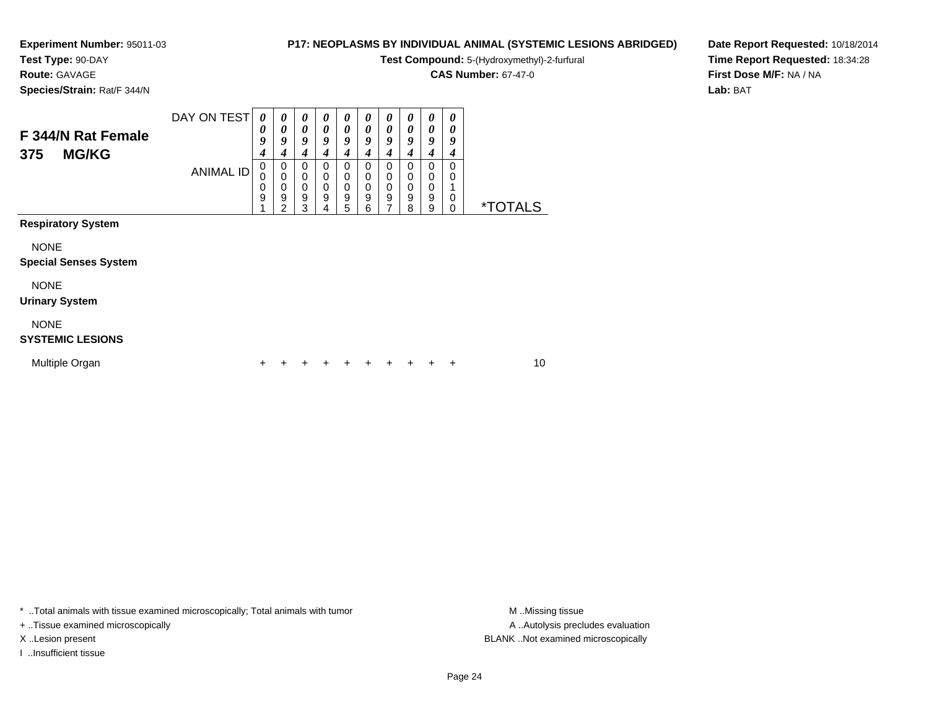**Test Type:** 90-DAY

### **Route:** GAVAGE

**Species/Strain:** Rat/F 344/N

#### **P17: NEOPLASMS BY INDIVIDUAL ANIMAL (SYSTEMIC LESIONS ABRIDGED)**

**Test Compound:** 5-(Hydroxymethyl)-2-furfural

**CAS Number:** 67-47-0

**Date Report Requested:** 10/18/2014**Time Report Requested:** 18:34:28**First Dose M/F:** NA / NA**Lab:** BAT

| F 344/N Rat Female<br><b>MG/KG</b><br>375   | DAY ON TEST      | 0<br>0<br>9<br>4 | 0<br>$\boldsymbol{\theta}$<br>9<br>$\boldsymbol{4}$    | 0<br>0<br>9<br>4      | 0<br>0<br>9<br>4                                    | 0<br>0<br>9<br>4      | 0<br>0<br>9<br>4      | 0<br>0<br>9<br>4      | 0<br>$\pmb{\theta}$<br>9<br>4                | 0<br>$\boldsymbol{\theta}$<br>9<br>4 | 0<br>0<br>9<br>4 |                       |    |  |
|---------------------------------------------|------------------|------------------|--------------------------------------------------------|-----------------------|-----------------------------------------------------|-----------------------|-----------------------|-----------------------|----------------------------------------------|--------------------------------------|------------------|-----------------------|----|--|
|                                             | <b>ANIMAL ID</b> | 0<br>0<br>0<br>9 | 0<br>$\mathbf 0$<br>$\pmb{0}$<br>$\boldsymbol{9}$<br>2 | 0<br>0<br>0<br>9<br>3 | 0<br>0<br>$\boldsymbol{0}$<br>$\boldsymbol{9}$<br>4 | 0<br>0<br>0<br>9<br>5 | 0<br>0<br>0<br>9<br>6 | 0<br>0<br>0<br>9<br>7 | 0<br>0<br>$\pmb{0}$<br>$\boldsymbol{9}$<br>8 | 0<br>0<br>0<br>9<br>9                | 0<br>0<br>0<br>0 | <i><b>*TOTALS</b></i> |    |  |
| <b>Respiratory System</b>                   |                  |                  |                                                        |                       |                                                     |                       |                       |                       |                                              |                                      |                  |                       |    |  |
| <b>NONE</b><br><b>Special Senses System</b> |                  |                  |                                                        |                       |                                                     |                       |                       |                       |                                              |                                      |                  |                       |    |  |
| <b>NONE</b><br><b>Urinary System</b>        |                  |                  |                                                        |                       |                                                     |                       |                       |                       |                                              |                                      |                  |                       |    |  |
| <b>NONE</b><br><b>SYSTEMIC LESIONS</b>      |                  |                  |                                                        |                       |                                                     |                       |                       |                       |                                              |                                      |                  |                       |    |  |
| Multiple Organ                              |                  | +                |                                                        |                       |                                                     |                       |                       |                       |                                              |                                      | ÷                |                       | 10 |  |

\* ..Total animals with tissue examined microscopically; Total animals with tumor **M** . Missing tissue M ..Missing tissue

+ ..Tissue examined microscopically

I ..Insufficient tissue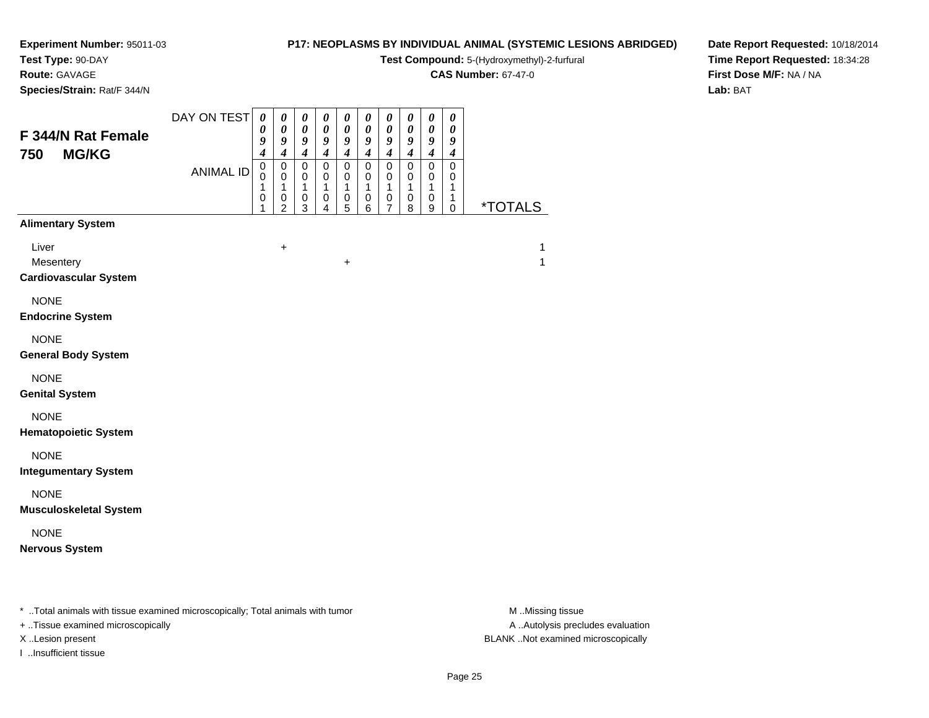**Test Type:** 90-DAY

### **Route:** GAVAGE

**Species/Strain:** Rat/F 344/N

#### **P17: NEOPLASMS BY INDIVIDUAL ANIMAL (SYSTEMIC LESIONS ABRIDGED)**

**Test Compound:** 5-(Hydroxymethyl)-2-furfural

**CAS Number:** 67-47-0

**Date Report Requested:** 10/18/2014**Time Report Requested:** 18:34:28**First Dose M/F:** NA / NA**Lab:** BAT

| F 344/N Rat Female<br>750<br><b>MG/KG</b>                                                                                | DAY ON TEST<br><b>ANIMAL ID</b> | $\pmb{\theta}$<br>$\boldsymbol{\theta}$<br>9<br>$\boldsymbol{4}$<br>$\pmb{0}$<br>$\mathbf 0$<br>$\mathbf{1}$<br>$\pmb{0}$<br>1 | $\boldsymbol{\theta}$<br>$\boldsymbol{\theta}$<br>9<br>$\boldsymbol{4}$<br>$\pmb{0}$<br>$\mathbf 0$<br>$\mathbf{1}$<br>$\pmb{0}$<br>$\overline{2}$ | $\pmb{\theta}$<br>$\pmb{\theta}$<br>$\boldsymbol{g}$<br>$\boldsymbol{4}$<br>$\mathbf 0$<br>0<br>$\mathbf{1}$<br>$\mathbf 0$<br>$\mathbf{3}$ | $\pmb{\theta}$<br>$\pmb{\theta}$<br>$\boldsymbol{g}$<br>$\boldsymbol{4}$<br>$\mathsf 0$<br>$\mathbf 0$<br>$\mathbf{1}$<br>$\pmb{0}$<br>4 | $\pmb{\theta}$<br>$\boldsymbol{\theta}$<br>9<br>$\boldsymbol{4}$<br>$\pmb{0}$<br>0<br>$\mathbf{1}$<br>$\pmb{0}$<br>5 | $\pmb{\theta}$<br>$\pmb{\theta}$<br>9<br>$\boldsymbol{4}$<br>$\pmb{0}$<br>$\mathbf 0$<br>$\mathbf{1}$<br>$\pmb{0}$<br>6 | $\pmb{\theta}$<br>$\pmb{\theta}$<br>9<br>$\boldsymbol{4}$<br>$\mathsf 0$<br>0<br>$\mathbf{1}$<br>$\pmb{0}$<br>$\overline{7}$ | $\boldsymbol{\theta}$<br>$\boldsymbol{\theta}$<br>9<br>$\boldsymbol{4}$<br>$\mathsf 0$<br>$\mathbf 0$<br>$\mathbf{1}$<br>0<br>8 | 0<br>$\pmb{\theta}$<br>9<br>$\boldsymbol{4}$<br>$\mathbf 0$<br>$\mathbf 0$<br>$\mathbf{1}$<br>$\pmb{0}$<br>9 | $\pmb{\theta}$<br>$\boldsymbol{\theta}$<br>9<br>$\boldsymbol{4}$<br>$\mathbf 0$<br>$\mathbf 0$<br>1<br>1<br>0 | <i><b>*TOTALS</b></i> |
|--------------------------------------------------------------------------------------------------------------------------|---------------------------------|--------------------------------------------------------------------------------------------------------------------------------|----------------------------------------------------------------------------------------------------------------------------------------------------|---------------------------------------------------------------------------------------------------------------------------------------------|------------------------------------------------------------------------------------------------------------------------------------------|----------------------------------------------------------------------------------------------------------------------|-------------------------------------------------------------------------------------------------------------------------|------------------------------------------------------------------------------------------------------------------------------|---------------------------------------------------------------------------------------------------------------------------------|--------------------------------------------------------------------------------------------------------------|---------------------------------------------------------------------------------------------------------------|-----------------------|
| <b>Alimentary System</b><br>Liver<br>Mesentery<br><b>Cardiovascular System</b><br><b>NONE</b><br><b>Endocrine System</b> |                                 |                                                                                                                                | $\ddot{}$                                                                                                                                          |                                                                                                                                             |                                                                                                                                          | $\ddot{}$                                                                                                            |                                                                                                                         |                                                                                                                              |                                                                                                                                 |                                                                                                              |                                                                                                               | 1<br>$\mathbf{1}$     |
| <b>NONE</b><br><b>General Body System</b><br><b>NONE</b>                                                                 |                                 |                                                                                                                                |                                                                                                                                                    |                                                                                                                                             |                                                                                                                                          |                                                                                                                      |                                                                                                                         |                                                                                                                              |                                                                                                                                 |                                                                                                              |                                                                                                               |                       |
| <b>Genital System</b><br><b>NONE</b><br><b>Hematopoietic System</b><br><b>NONE</b>                                       |                                 |                                                                                                                                |                                                                                                                                                    |                                                                                                                                             |                                                                                                                                          |                                                                                                                      |                                                                                                                         |                                                                                                                              |                                                                                                                                 |                                                                                                              |                                                                                                               |                       |
| <b>Integumentary System</b><br><b>NONE</b><br><b>Musculoskeletal System</b>                                              |                                 |                                                                                                                                |                                                                                                                                                    |                                                                                                                                             |                                                                                                                                          |                                                                                                                      |                                                                                                                         |                                                                                                                              |                                                                                                                                 |                                                                                                              |                                                                                                               |                       |
| <b>NONE</b><br><b>Nervous System</b>                                                                                     |                                 |                                                                                                                                |                                                                                                                                                    |                                                                                                                                             |                                                                                                                                          |                                                                                                                      |                                                                                                                         |                                                                                                                              |                                                                                                                                 |                                                                                                              |                                                                                                               |                       |

\* ..Total animals with tissue examined microscopically; Total animals with tumor **M** . Missing tissue M ..Missing tissue

+ ..Tissue examined microscopically

I ..Insufficient tissue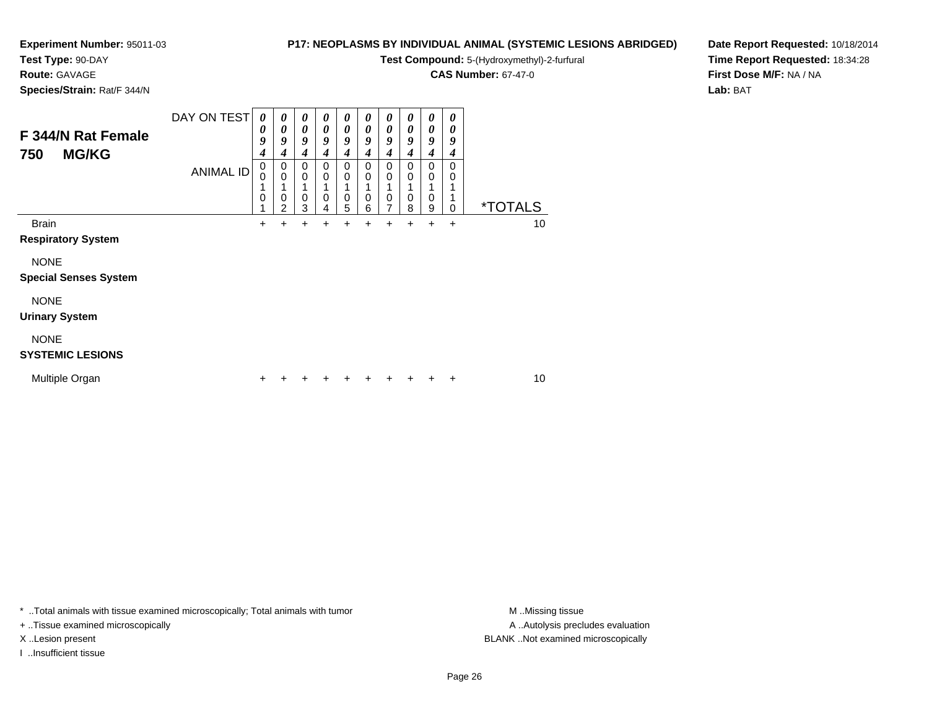## **Test Type:** 90-DAY

**Route:** GAVAGE

**Species/Strain:** Rat/F 344/N

#### **P17: NEOPLASMS BY INDIVIDUAL ANIMAL (SYSTEMIC LESIONS ABRIDGED)**

**Test Compound:** 5-(Hydroxymethyl)-2-furfural

**CAS Number:** 67-47-0

**Date Report Requested:** 10/18/2014**Time Report Requested:** 18:34:28**First Dose M/F:** NA / NA**Lab:** BAT

| F 344/N Rat Female<br><b>MG/KG</b><br>750   | DAY ON TEST<br>ANIMAL ID | 0<br>0<br>9<br>4<br>0<br>0<br>0 | $\boldsymbol{\theta}$<br>0<br>9<br>4<br>$\mathbf 0$<br>$\mathbf 0$<br>0<br>$\overline{2}$ | 0<br>0<br>9<br>4<br>0<br>0<br>0<br>3 | $\boldsymbol{\theta}$<br>0<br>9<br>4<br>0<br>0<br>0<br>4 | 0<br>0<br>9<br>4<br>0<br>0<br>0<br>5 | 0<br>0<br>9<br>4<br>0<br>0<br>0<br>6 | 0<br>$\boldsymbol{\theta}$<br>9<br>4<br>0<br>$\Omega$<br>0<br>7 | 0<br>0<br>9<br>4<br>0<br>0<br>0<br>8 | 0<br>0<br>9<br>4<br>0<br>$\Omega$<br>0<br>9 | 0<br>0<br>9<br>4<br>0<br>0<br>0 | <i><b>*TOTALS</b></i> |  |
|---------------------------------------------|--------------------------|---------------------------------|-------------------------------------------------------------------------------------------|--------------------------------------|----------------------------------------------------------|--------------------------------------|--------------------------------------|-----------------------------------------------------------------|--------------------------------------|---------------------------------------------|---------------------------------|-----------------------|--|
| <b>Brain</b><br><b>Respiratory System</b>   |                          | $\ddot{}$                       | $\div$                                                                                    | +                                    | +                                                        |                                      | +                                    |                                                                 | $\div$                               | $\ddot{}$                                   | $\ddot{}$                       | 10                    |  |
| <b>NONE</b><br><b>Special Senses System</b> |                          |                                 |                                                                                           |                                      |                                                          |                                      |                                      |                                                                 |                                      |                                             |                                 |                       |  |
| <b>NONE</b><br><b>Urinary System</b>        |                          |                                 |                                                                                           |                                      |                                                          |                                      |                                      |                                                                 |                                      |                                             |                                 |                       |  |
| <b>NONE</b><br><b>SYSTEMIC LESIONS</b>      |                          |                                 |                                                                                           |                                      |                                                          |                                      |                                      |                                                                 |                                      |                                             |                                 |                       |  |
| Multiple Organ                              |                          | ٠                               |                                                                                           |                                      | ٠                                                        |                                      |                                      | ٠                                                               | ÷                                    | ÷                                           | ÷                               | 10                    |  |

\* ..Total animals with tissue examined microscopically; Total animals with tumor **M** . Missing tissue M ..Missing tissue

+ ..Tissue examined microscopically

I ..Insufficient tissue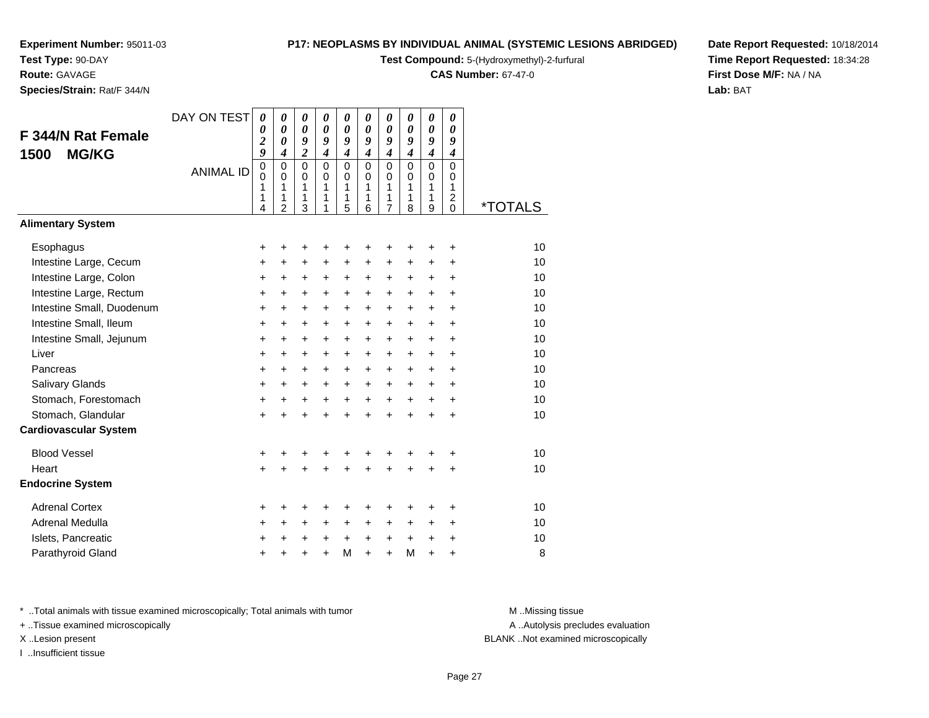**Test Type:** 90-DAY**Route:** GAVAGE

**Species/Strain:** Rat/F 344/N

#### **P17: NEOPLASMS BY INDIVIDUAL ANIMAL (SYSTEMIC LESIONS ABRIDGED)**

**Test Compound:** 5-(Hydroxymethyl)-2-furfural

**CAS Number:** 67-47-0

**Date Report Requested:** 10/18/2014**Time Report Requested:** 18:34:28**First Dose M/F:** NA / NA**Lab:** BAT

| F 344/N Rat Female<br><b>MG/KG</b><br>1500<br><b>Alimentary System</b> | DAY ON TEST<br><b>ANIMAL ID</b> | 0<br>0<br>$\overline{\mathbf{c}}$<br>9<br>$\mathbf 0$<br>$\mathbf 0$<br>1<br>1<br>4 | $\pmb{\theta}$<br>$\boldsymbol{\theta}$<br>$\boldsymbol{\theta}$<br>$\boldsymbol{4}$<br>$\Omega$<br>$\Omega$<br>1<br>1<br>$\overline{2}$ | 0<br>$\boldsymbol{\theta}$<br>9<br>$\overline{2}$<br>$\Omega$<br>0<br>1<br>1<br>3 | 0<br>$\boldsymbol{\theta}$<br>9<br>$\boldsymbol{4}$<br>$\Omega$<br>$\Omega$<br>1<br>1<br>1 | 0<br>$\boldsymbol{\theta}$<br>9<br>$\boldsymbol{4}$<br>$\Omega$<br>$\mathbf 0$<br>1<br>$\mathbf{1}$<br>5 | 0<br>$\boldsymbol{\theta}$<br>9<br>$\boldsymbol{4}$<br>$\Omega$<br>$\Omega$<br>1<br>1<br>6 | 0<br>$\boldsymbol{\theta}$<br>9<br>$\boldsymbol{4}$<br>$\Omega$<br>0<br>1<br>1<br>$\overline{7}$ | 0<br>$\boldsymbol{\theta}$<br>9<br>$\boldsymbol{4}$<br>$\Omega$<br>$\Omega$<br>$\mathbf{1}$<br>1<br>8 | 0<br>$\boldsymbol{\theta}$<br>9<br>$\boldsymbol{4}$<br>$\mathbf 0$<br>$\mathbf 0$<br>1<br>1<br>9 | 0<br>$\boldsymbol{\theta}$<br>9<br>$\boldsymbol{4}$<br>$\Omega$<br>0<br>$\mathbf{1}$<br>$\overline{2}$<br>0 | <i><b>*TOTALS</b></i> |
|------------------------------------------------------------------------|---------------------------------|-------------------------------------------------------------------------------------|------------------------------------------------------------------------------------------------------------------------------------------|-----------------------------------------------------------------------------------|--------------------------------------------------------------------------------------------|----------------------------------------------------------------------------------------------------------|--------------------------------------------------------------------------------------------|--------------------------------------------------------------------------------------------------|-------------------------------------------------------------------------------------------------------|--------------------------------------------------------------------------------------------------|-------------------------------------------------------------------------------------------------------------|-----------------------|
|                                                                        |                                 |                                                                                     |                                                                                                                                          |                                                                                   |                                                                                            |                                                                                                          |                                                                                            |                                                                                                  |                                                                                                       |                                                                                                  |                                                                                                             |                       |
| Esophagus                                                              |                                 | +                                                                                   | +                                                                                                                                        | +                                                                                 | +                                                                                          | +                                                                                                        | +                                                                                          | +                                                                                                | +                                                                                                     | +                                                                                                | +                                                                                                           | 10                    |
| Intestine Large, Cecum                                                 |                                 | +                                                                                   | $\ddot{}$                                                                                                                                | $\ddot{}$                                                                         | $\ddot{}$                                                                                  | $\ddot{}$                                                                                                | $\ddot{}$                                                                                  | $\ddot{}$                                                                                        | $\ddot{}$                                                                                             | $\ddot{}$                                                                                        | $\ddot{}$                                                                                                   | 10                    |
| Intestine Large, Colon                                                 |                                 | +                                                                                   | +                                                                                                                                        | $\ddot{}$                                                                         | +                                                                                          | +                                                                                                        | $\ddot{}$                                                                                  | +                                                                                                | $\ddot{}$                                                                                             | $\ddot{}$                                                                                        | $\ddot{}$                                                                                                   | 10                    |
| Intestine Large, Rectum                                                |                                 | +                                                                                   | $\ddot{}$                                                                                                                                | $\ddot{}$                                                                         | $\ddot{}$                                                                                  | $\ddot{}$                                                                                                | $\ddot{}$                                                                                  | $\ddot{}$                                                                                        | $\ddot{}$                                                                                             | $\ddot{}$                                                                                        | $\ddot{}$                                                                                                   | 10                    |
| Intestine Small, Duodenum                                              |                                 | +                                                                                   | $\ddot{}$                                                                                                                                | $\ddot{}$                                                                         | +                                                                                          | $\ddot{}$                                                                                                | $\ddot{}$                                                                                  | $\ddot{}$                                                                                        | $\ddot{}$                                                                                             | $\ddot{}$                                                                                        | $+$                                                                                                         | 10                    |
| Intestine Small, Ileum                                                 |                                 | $\ddot{}$                                                                           | $\ddot{}$                                                                                                                                | $\ddot{}$                                                                         | $+$                                                                                        | $+$                                                                                                      | $+$                                                                                        | $\ddot{}$                                                                                        | $+$                                                                                                   | $+$                                                                                              | $+$                                                                                                         | 10                    |
| Intestine Small, Jejunum                                               |                                 | +                                                                                   | $\ddot{}$                                                                                                                                | $\ddot{}$                                                                         | $\ddot{}$                                                                                  | $\ddot{}$                                                                                                | $\ddot{}$                                                                                  | $\ddot{}$                                                                                        | $\ddot{}$                                                                                             | $+$                                                                                              | $\ddot{}$                                                                                                   | 10                    |
| Liver                                                                  |                                 | $\ddot{}$                                                                           | $\ddot{}$                                                                                                                                | $\ddot{}$                                                                         | $\ddot{}$                                                                                  | $\ddot{}$                                                                                                | $\ddot{}$                                                                                  | $\ddot{}$                                                                                        | $\ddot{}$                                                                                             | $\ddot{}$                                                                                        | $\ddot{}$                                                                                                   | 10                    |
| Pancreas                                                               |                                 | +                                                                                   | $\ddot{}$                                                                                                                                | $\ddot{}$                                                                         | $\ddot{}$                                                                                  | $\ddot{}$                                                                                                | $\ddot{}$                                                                                  | +                                                                                                | +                                                                                                     | $\ddot{}$                                                                                        | $\ddot{}$                                                                                                   | 10                    |
| Salivary Glands                                                        |                                 | $\ddot{}$                                                                           | $\ddot{}$                                                                                                                                | $\ddot{}$                                                                         | $\ddot{}$                                                                                  | $\ddot{}$                                                                                                | $\ddot{}$<br>$+$                                                                           | $\ddot{}$                                                                                        | $\ddot{}$                                                                                             | $\ddot{}$                                                                                        | $+$                                                                                                         | 10<br>10              |
| Stomach, Forestomach<br>Stomach, Glandular                             |                                 | $\ddot{}$                                                                           | $\ddot{}$                                                                                                                                | $\ddot{}$                                                                         | $+$                                                                                        | $\ddot{}$                                                                                                |                                                                                            | $\ddot{}$                                                                                        | $+$                                                                                                   | $+$                                                                                              | $+$                                                                                                         | 10                    |
| <b>Cardiovascular System</b>                                           |                                 | $\ddot{}$                                                                           | $\ddot{}$                                                                                                                                | $\ddot{}$                                                                         | $\ddot{}$                                                                                  | $\ddot{}$                                                                                                | $\ddot{}$                                                                                  | $\ddot{}$                                                                                        | $\ddot{}$                                                                                             | $\ddot{}$                                                                                        | $\ddot{}$                                                                                                   |                       |
|                                                                        |                                 |                                                                                     |                                                                                                                                          |                                                                                   |                                                                                            |                                                                                                          |                                                                                            |                                                                                                  |                                                                                                       |                                                                                                  |                                                                                                             |                       |
| <b>Blood Vessel</b>                                                    |                                 | +                                                                                   | +                                                                                                                                        | +                                                                                 |                                                                                            | +                                                                                                        | +                                                                                          | +                                                                                                |                                                                                                       | +                                                                                                | $\ddot{}$                                                                                                   | 10                    |
| Heart                                                                  |                                 | $\ddot{}$                                                                           | $\ddot{}$                                                                                                                                | $\ddot{}$                                                                         | $\ddot{}$                                                                                  | $\ddot{}$                                                                                                | $\ddot{}$                                                                                  | $\ddot{}$                                                                                        | $\ddot{}$                                                                                             | $\ddot{}$                                                                                        | $\ddot{}$                                                                                                   | 10                    |
| <b>Endocrine System</b>                                                |                                 |                                                                                     |                                                                                                                                          |                                                                                   |                                                                                            |                                                                                                          |                                                                                            |                                                                                                  |                                                                                                       |                                                                                                  |                                                                                                             |                       |
| <b>Adrenal Cortex</b>                                                  |                                 | +                                                                                   | +                                                                                                                                        | +                                                                                 | +                                                                                          | ٠                                                                                                        | ٠                                                                                          | +                                                                                                | +                                                                                                     | +                                                                                                | $\ddot{}$                                                                                                   | 10                    |
| <b>Adrenal Medulla</b>                                                 |                                 | +                                                                                   | $\ddot{}$                                                                                                                                | $\ddot{}$                                                                         | $\ddot{}$                                                                                  | $\ddot{}$                                                                                                | +                                                                                          | +                                                                                                | $\ddot{}$                                                                                             | $\pm$                                                                                            | $\ddot{}$                                                                                                   | 10                    |
| Islets, Pancreatic                                                     |                                 | +                                                                                   | $\ddot{}$                                                                                                                                | +                                                                                 | +                                                                                          | $\ddot{}$                                                                                                | $\ddot{}$                                                                                  | $\ddot{}$                                                                                        | $\ddot{}$                                                                                             | $\ddot{}$                                                                                        | $\ddot{}$                                                                                                   | 10                    |
| Parathyroid Gland                                                      |                                 | +                                                                                   |                                                                                                                                          |                                                                                   | $\ddot{}$                                                                                  | M                                                                                                        | $\ddot{}$                                                                                  | $\ddot{}$                                                                                        | M                                                                                                     | $\ddot{}$                                                                                        | +                                                                                                           | 8                     |
|                                                                        |                                 |                                                                                     |                                                                                                                                          |                                                                                   |                                                                                            |                                                                                                          |                                                                                            |                                                                                                  |                                                                                                       |                                                                                                  |                                                                                                             |                       |

\* ..Total animals with tissue examined microscopically; Total animals with tumor **M** . Missing tissue M ..Missing tissue

+ ..Tissue examined microscopically

I ..Insufficient tissue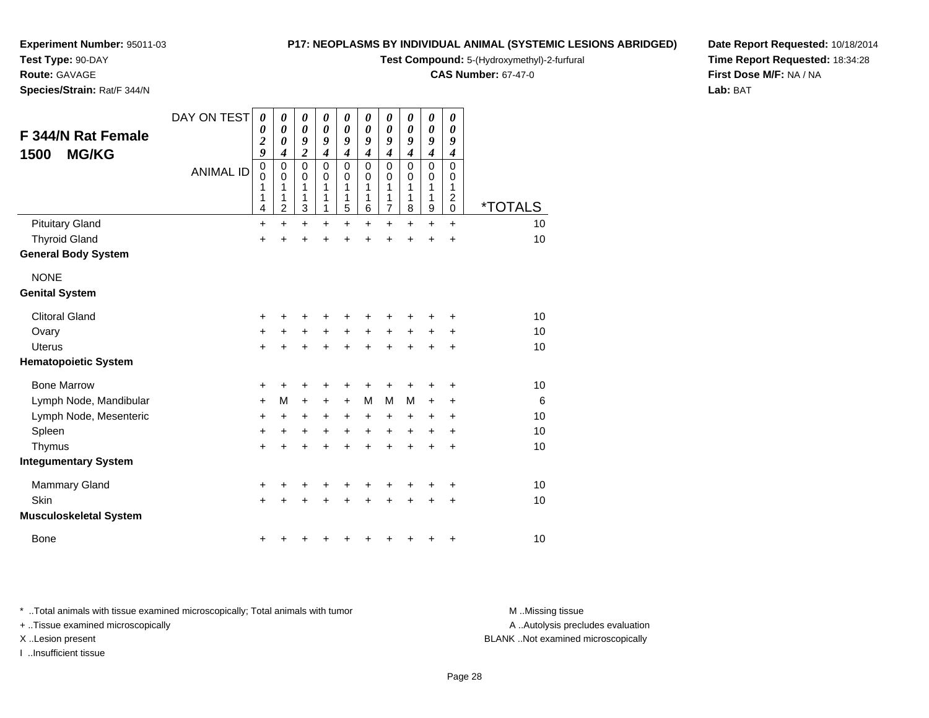**Test Type:** 90-DAY

**Route:** GAVAGE

**Species/Strain:** Rat/F 344/N

#### **P17: NEOPLASMS BY INDIVIDUAL ANIMAL (SYSTEMIC LESIONS ABRIDGED)**

**Test Compound:** 5-(Hydroxymethyl)-2-furfural

**CAS Number:** 67-47-0

**Date Report Requested:** 10/18/2014**Time Report Requested:** 18:34:28**First Dose M/F:** NA / NA**Lab:** BAT

| F 344/N Rat Female<br><b>MG/KG</b><br>1500 | DAY ON TEST<br><b>ANIMAL ID</b> | $\boldsymbol{\theta}$<br>0<br>$\overline{\mathbf{c}}$<br>9<br>$\mathbf 0$<br>0<br>1<br>1<br>4 | 0<br>$\boldsymbol{\theta}$<br>$\boldsymbol{\theta}$<br>$\boldsymbol{4}$<br>$\mathbf 0$<br>0<br>1<br>1<br>2 | $\boldsymbol{\theta}$<br>$\boldsymbol{\theta}$<br>9<br>$\overline{2}$<br>$\mathbf 0$<br>0<br>1<br>1<br>3 | 0<br>0<br>9<br>4<br>$\mathbf 0$<br>0<br>1<br>1<br>1 | 0<br>0<br>9<br>$\boldsymbol{4}$<br>$\pmb{0}$<br>0<br>1<br>1<br>5 | 0<br>0<br>9<br>4<br>$\mathbf 0$<br>$\Omega$<br>1<br>1<br>6 | 0<br>0<br>9<br>$\boldsymbol{4}$<br>$\mathbf 0$<br>0<br>1<br>1<br>$\overline{7}$ | 0<br>0<br>9<br>$\boldsymbol{4}$<br>$\mathbf 0$<br>$\Omega$<br>1<br>1<br>8 | 0<br>$\boldsymbol{\theta}$<br>9<br>$\boldsymbol{4}$<br>$\mathbf 0$<br>0<br>1<br>1<br>$\boldsymbol{9}$ | 0<br>0<br>9<br>$\boldsymbol{4}$<br>$\mathbf 0$<br>0<br>1<br>$\boldsymbol{2}$<br>0 | <i><b>*TOTALS</b></i> |
|--------------------------------------------|---------------------------------|-----------------------------------------------------------------------------------------------|------------------------------------------------------------------------------------------------------------|----------------------------------------------------------------------------------------------------------|-----------------------------------------------------|------------------------------------------------------------------|------------------------------------------------------------|---------------------------------------------------------------------------------|---------------------------------------------------------------------------|-------------------------------------------------------------------------------------------------------|-----------------------------------------------------------------------------------|-----------------------|
| <b>Pituitary Gland</b>                     |                                 | $\ddot{}$                                                                                     | $+$                                                                                                        | $\ddot{}$                                                                                                | $\ddot{}$                                           | $\ddot{}$                                                        | $\ddot{}$                                                  | $\ddot{}$                                                                       | $\ddot{}$                                                                 | $\ddot{}$                                                                                             | $+$                                                                               | 10                    |
| <b>Thyroid Gland</b>                       |                                 | $\ddot{}$                                                                                     | +                                                                                                          | $\ddot{}$                                                                                                | $\ddot{}$                                           | $\ddot{}$                                                        | $\ddot{}$                                                  | $\ddot{}$                                                                       | $\ddot{}$                                                                 | +                                                                                                     | $\ddot{}$                                                                         | 10                    |
| <b>General Body System</b>                 |                                 |                                                                                               |                                                                                                            |                                                                                                          |                                                     |                                                                  |                                                            |                                                                                 |                                                                           |                                                                                                       |                                                                                   |                       |
| <b>NONE</b><br><b>Genital System</b>       |                                 |                                                                                               |                                                                                                            |                                                                                                          |                                                     |                                                                  |                                                            |                                                                                 |                                                                           |                                                                                                       |                                                                                   |                       |
| <b>Clitoral Gland</b>                      |                                 | +                                                                                             | ٠                                                                                                          | +                                                                                                        | +                                                   | +                                                                | +                                                          | +                                                                               | +                                                                         | +                                                                                                     | ٠                                                                                 | 10                    |
| Ovary                                      |                                 | $\ddot{}$                                                                                     | $\ddot{}$                                                                                                  | $\ddot{}$                                                                                                | $+$                                                 | $\ddot{}$                                                        | $+$                                                        | $\ddot{}$                                                                       | $\ddot{}$                                                                 | $\ddot{}$                                                                                             | $\ddot{}$                                                                         | 10                    |
| <b>Uterus</b>                              |                                 | +                                                                                             |                                                                                                            | $\ddot{}$                                                                                                | $\ddot{}$                                           | $\ddot{}$                                                        | $\ddot{}$                                                  | +                                                                               | $\ddot{}$                                                                 | $\ddot{}$                                                                                             | $\ddot{}$                                                                         | 10                    |
| <b>Hematopoietic System</b>                |                                 |                                                                                               |                                                                                                            |                                                                                                          |                                                     |                                                                  |                                                            |                                                                                 |                                                                           |                                                                                                       |                                                                                   |                       |
| <b>Bone Marrow</b>                         |                                 | +                                                                                             |                                                                                                            | +                                                                                                        | +                                                   | +                                                                | +                                                          | +                                                                               | +                                                                         | +                                                                                                     | +                                                                                 | 10                    |
| Lymph Node, Mandibular                     |                                 | $\ddot{}$                                                                                     | M                                                                                                          | $\ddot{}$                                                                                                | +                                                   | $\ddot{}$                                                        | М                                                          | M                                                                               | M                                                                         | +                                                                                                     | +                                                                                 | 6                     |
| Lymph Node, Mesenteric                     |                                 | $\ddot{}$                                                                                     | +                                                                                                          | +                                                                                                        | $\ddot{}$                                           | $\ddot{}$                                                        | +                                                          | +                                                                               | $\ddot{}$                                                                 | +                                                                                                     | $\ddot{}$                                                                         | 10                    |
| Spleen                                     |                                 | $\ddot{}$                                                                                     | $\ddot{}$                                                                                                  | $\ddot{}$                                                                                                | +                                                   | $\ddot{}$                                                        | $\ddot{}$                                                  | +                                                                               | $\ddot{}$                                                                 | $\pm$                                                                                                 | $\ddot{}$                                                                         | 10                    |
| Thymus                                     |                                 | $\ddot{}$                                                                                     | $\ddot{}$                                                                                                  | $\ddot{}$                                                                                                | $\ddot{}$                                           | $\ddot{}$                                                        | $\ddot{}$                                                  | $\ddot{}$                                                                       | $\ddot{}$                                                                 | $\ddot{}$                                                                                             | $\ddot{}$                                                                         | 10                    |
| <b>Integumentary System</b>                |                                 |                                                                                               |                                                                                                            |                                                                                                          |                                                     |                                                                  |                                                            |                                                                                 |                                                                           |                                                                                                       |                                                                                   |                       |
| <b>Mammary Gland</b>                       |                                 | +                                                                                             |                                                                                                            |                                                                                                          |                                                     | +                                                                | +                                                          | +                                                                               |                                                                           | +                                                                                                     | +                                                                                 | 10                    |
| Skin                                       |                                 | $\ddot{}$                                                                                     |                                                                                                            | +                                                                                                        |                                                     | $\ddot{}$                                                        | $\ddot{}$                                                  | $\ddot{}$                                                                       | $\ddot{}$                                                                 | $\pm$                                                                                                 | $\ddot{}$                                                                         | 10                    |
| <b>Musculoskeletal System</b>              |                                 |                                                                                               |                                                                                                            |                                                                                                          |                                                     |                                                                  |                                                            |                                                                                 |                                                                           |                                                                                                       |                                                                                   |                       |
| <b>Bone</b>                                |                                 | +                                                                                             |                                                                                                            |                                                                                                          |                                                     | ٠                                                                | +                                                          | +                                                                               | +                                                                         | +                                                                                                     | $\ddot{}$                                                                         | 10                    |

\* ..Total animals with tissue examined microscopically; Total animals with tumor **M** . Missing tissue M ..Missing tissue

+ ..Tissue examined microscopically

I ..Insufficient tissue